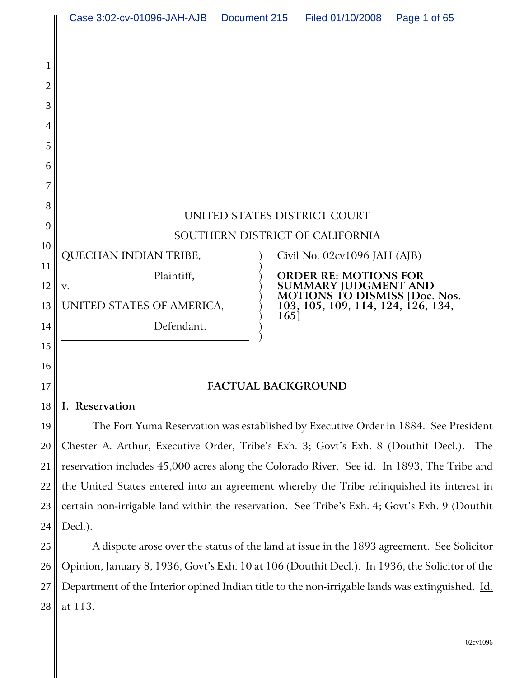|                  | Case 3:02-cv-01096-JAH-AJB                                                                    | Document 215                     | Filed 01/10/2008                                                                                                                                  | Page 1 of 65 |
|------------------|-----------------------------------------------------------------------------------------------|----------------------------------|---------------------------------------------------------------------------------------------------------------------------------------------------|--------------|
| 2<br>3<br>5<br>6 |                                                                                               |                                  |                                                                                                                                                   |              |
| 7                |                                                                                               |                                  |                                                                                                                                                   |              |
| 8                | UNITED STATES DISTRICT COURT                                                                  |                                  |                                                                                                                                                   |              |
| 9                | SOUTHERN DISTRICT OF CALIFORNIA                                                               |                                  |                                                                                                                                                   |              |
| 10               | QUECHAN INDIAN TRIBE,                                                                         | Civil No. $02cv1096$ JAH $(AJB)$ |                                                                                                                                                   |              |
| 11<br>12         | Plaintiff,<br>V.                                                                              |                                  | <b>ORDER RE: MOTIONS FOR</b><br><b>SUMMARY JUDGMENT AND</b><br><b>MOTIONS TO DISMISS [Doc. Nos.</b><br>103, 105, 109, 114, 124, 126, 134,<br>165] |              |
| 13               | UNITED STATES OF AMERICA,                                                                     |                                  |                                                                                                                                                   |              |
| 14               | Defendant.                                                                                    |                                  |                                                                                                                                                   |              |
| 15               |                                                                                               |                                  |                                                                                                                                                   |              |
| 16               |                                                                                               |                                  |                                                                                                                                                   |              |
| 17               | FACTUAL BACKGROUND                                                                            |                                  |                                                                                                                                                   |              |
| 18               | I. Reservation                                                                                |                                  |                                                                                                                                                   |              |
| 19               | The Fort Yuma Reservation was established by Executive Order in 1884. See President           |                                  |                                                                                                                                                   |              |
| 20               | Chester A. Arthur, Executive Order, Tribe's Exh. 3; Govt's Exh. 8 (Douthit Decl.). The        |                                  |                                                                                                                                                   |              |
| 21               | reservation includes 45,000 acres along the Colorado River. See id. In 1893, The Tribe and    |                                  |                                                                                                                                                   |              |
| 22               | the United States entered into an agreement whereby the Tribe relinquished its interest in    |                                  |                                                                                                                                                   |              |
| 23               | certain non-irrigable land within the reservation. See Tribe's Exh. 4; Govt's Exh. 9 (Douthit |                                  |                                                                                                                                                   |              |
| 24               | Decl.).                                                                                       |                                  |                                                                                                                                                   |              |
|                  |                                                                                               |                                  |                                                                                                                                                   |              |

25 26 27 28 A dispute arose over the status of the land at issue in the 1893 agreement. See Solicitor Opinion, January 8, 1936, Govt's Exh. 10 at 106 (Douthit Decl.). In 1936, the Solicitor of the Department of the Interior opined Indian title to the non-irrigable lands was extinguished. Id. at 113.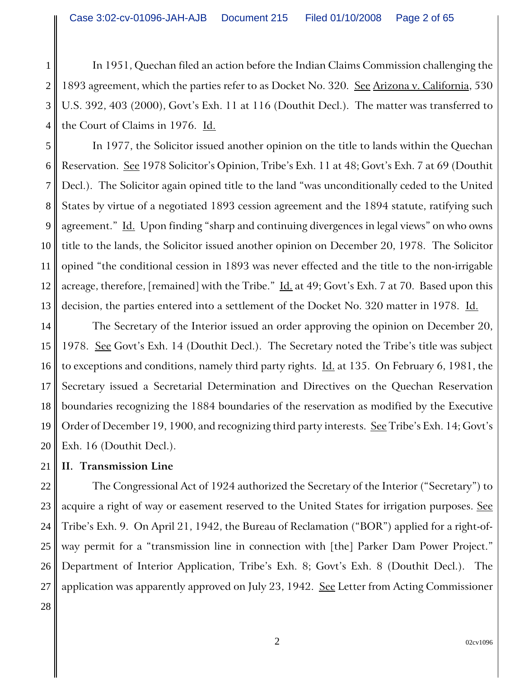1 2 3 4 In 1951, Quechan filed an action before the Indian Claims Commission challenging the 1893 agreement, which the parties refer to as Docket No. 320. See Arizona v. California, 530 U.S. 392, 403 (2000), Govt's Exh. 11 at 116 (Douthit Decl.). The matter was transferred to the Court of Claims in 1976. Id.

5 6 7 8 9 10 12 13 In 1977, the Solicitor issued another opinion on the title to lands within the Quechan Reservation. See 1978 Solicitor's Opinion, Tribe's Exh. 11 at 48; Govt's Exh. 7 at 69 (Douthit Decl.). The Solicitor again opined title to the land "was unconditionally ceded to the United States by virtue of a negotiated 1893 cession agreement and the 1894 statute, ratifying such agreement." Id. Upon finding "sharp and continuing divergences in legal views" on who owns title to the lands, the Solicitor issued another opinion on December 20, 1978. The Solicitor opined "the conditional cession in 1893 was never effected and the title to the non-irrigable acreage, therefore, [remained] with the Tribe." Id. at 49; Govt's Exh. 7 at 70. Based upon this decision, the parties entered into a settlement of the Docket No. 320 matter in 1978. Id.

14 15 16 17 18 19 20 The Secretary of the Interior issued an order approving the opinion on December 20, 1978. See Govt's Exh. 14 (Douthit Decl.). The Secretary noted the Tribe's title was subject to exceptions and conditions, namely third party rights.  $\underline{Id}$  at 135. On February 6, 1981, the Secretary issued a Secretarial Determination and Directives on the Quechan Reservation boundaries recognizing the 1884 boundaries of the reservation as modified by the Executive Order of December 19, 1900, and recognizing third party interests. See Tribe's Exh. 14; Govt's Exh. 16 (Douthit Decl.).

#### 21 **II. Transmission Line**

11

28

22 23 24 25 26 27 The Congressional Act of 1924 authorized the Secretary of the Interior ("Secretary") to acquire a right of way or easement reserved to the United States for irrigation purposes. See Tribe's Exh. 9. On April 21, 1942, the Bureau of Reclamation ("BOR") applied for a right-ofway permit for a "transmission line in connection with [the] Parker Dam Power Project." Department of Interior Application, Tribe's Exh. 8; Govt's Exh. 8 (Douthit Decl.). The application was apparently approved on July 23, 1942. See Letter from Acting Commissioner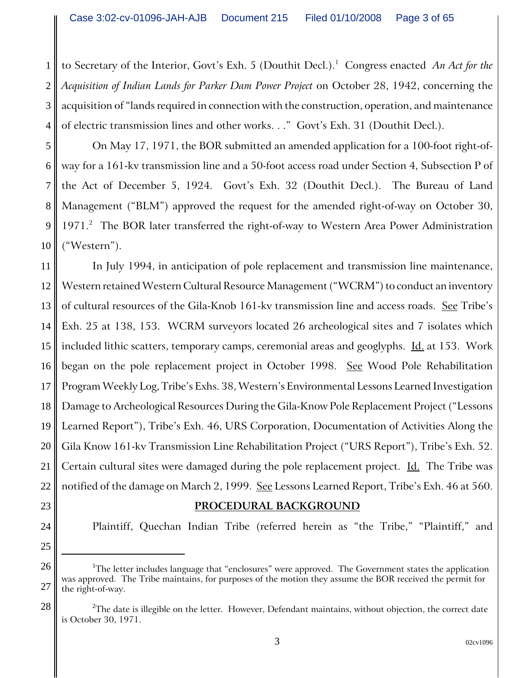1 2 3 4 to Secretary of the Interior, Govt's Exh. 5 (Douthit Decl.).<sup>1</sup> Congress enacted *An Act for the Acquisition of Indian Lands for Parker Dam Power Project* on October 28, 1942, concerning the acquisition of "lands required in connection with the construction, operation, and maintenance of electric transmission lines and other works. . ." Govt's Exh. 31 (Douthit Decl.).

5 6 7 8 9 10 On May 17, 1971, the BOR submitted an amended application for a 100-foot right-ofway for a 161-kv transmission line and a 50-foot access road under Section 4, Subsection P of the Act of December 5, 1924. Govt's Exh. 32 (Douthit Decl.). The Bureau of Land Management ("BLM") approved the request for the amended right-of-way on October 30, 1971.<sup>2</sup> The BOR later transferred the right-of-way to Western Area Power Administration ("Western").

11 12 13 14 15 16 17 18 19 20 21 22 In July 1994, in anticipation of pole replacement and transmission line maintenance, Western retained Western Cultural Resource Management ("WCRM") to conduct an inventory of cultural resources of the Gila-Knob 161-kv transmission line and access roads. See Tribe's Exh. 25 at 138, 153. WCRM surveyors located 26 archeological sites and 7 isolates which included lithic scatters, temporary camps, ceremonial areas and geoglyphs.  $\underline{Id}$  at 153. Work began on the pole replacement project in October 1998. See Wood Pole Rehabilitation Program Weekly Log, Tribe's Exhs. 38, Western's Environmental Lessons Learned Investigation Damage to Archeological Resources During the Gila-Know Pole Replacement Project ("Lessons Learned Report"), Tribe's Exh. 46, URS Corporation, Documentation of Activities Along the Gila Know 161-kv Transmission Line Rehabilitation Project ("URS Report"), Tribe's Exh. 52. Certain cultural sites were damaged during the pole replacement project. Id. The Tribe was notified of the damage on March 2, 1999. See Lessons Learned Report, Tribe's Exh. 46 at 560.

### **PROCEDURAL BACKGROUND**

23

24

25

28

Plaintiff, Quechan Indian Tribe (referred herein as "the Tribe," "Plaintiff," and

<sup>26</sup> 27  $^{\rm 1}$ The letter includes language that "enclosures" were approved. The Government states the application was approved. The Tribe maintains, for purposes of the motion they assume the BOR received the permit for the right-of-way.

 $^2$ The date is illegible on the letter. However, Defendant maintains, without objection, the correct date is October 30, 1971.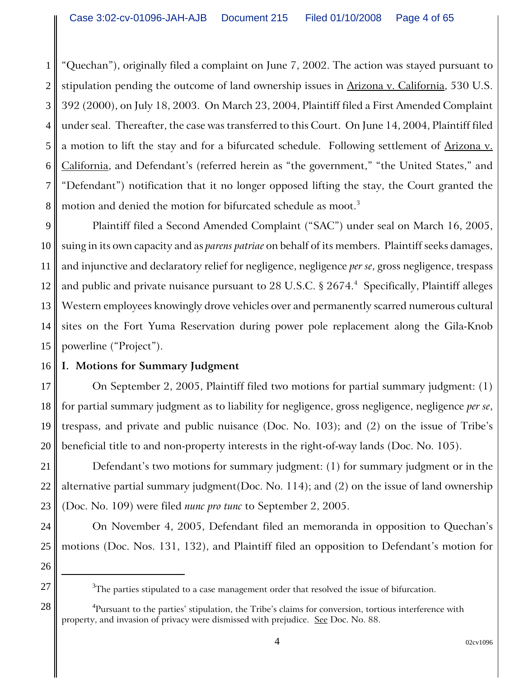1 2 3 4 5 6 7 8 "Quechan"), originally filed a complaint on June 7, 2002. The action was stayed pursuant to stipulation pending the outcome of land ownership issues in Arizona v. California, 530 U.S. 392 (2000), on July 18, 2003. On March 23, 2004, Plaintiff filed a First Amended Complaint under seal. Thereafter, the case was transferred to this Court. On June 14, 2004, Plaintiff filed a motion to lift the stay and for a bifurcated schedule. Following settlement of Arizona v. California, and Defendant's (referred herein as "the government," "the United States," and "Defendant") notification that it no longer opposed lifting the stay, the Court granted the motion and denied the motion for bifurcated schedule as moot.<sup>3</sup>

9 10 11 12 13 14 15 Plaintiff filed a Second Amended Complaint ("SAC") under seal on March 16, 2005, suing in its own capacity and as *parens patriae* on behalf of its members. Plaintiff seeks damages, and injunctive and declaratory relief for negligence, negligence *per se*, gross negligence, trespass and public and private nuisance pursuant to 28 U.S.C.  $\S~2674.^4~$  Specifically, Plaintiff alleges Western employees knowingly drove vehicles over and permanently scarred numerous cultural sites on the Fort Yuma Reservation during power pole replacement along the Gila-Knob powerline ("Project").

#### 16 **I. Motions for Summary Judgment**

17 18 19 20 On September 2, 2005, Plaintiff filed two motions for partial summary judgment: (1) for partial summary judgment as to liability for negligence, gross negligence, negligence *per se*, trespass, and private and public nuisance (Doc. No. 103); and (2) on the issue of Tribe's beneficial title to and non-property interests in the right-of-way lands (Doc. No. 105).

22 23 Defendant's two motions for summary judgment: (1) for summary judgment or in the alternative partial summary judgment(Doc. No. 114); and (2) on the issue of land ownership (Doc. No. 109) were filed *nunc pro tunc* to September 2, 2005.

On November 4, 2005, Defendant filed an memoranda in opposition to Quechan's motions (Doc. Nos. 131, 132), and Plaintiff filed an opposition to Defendant's motion for

28

24

<sup>25</sup> 26 27

 $\rm ^3$ The parties stipulated to a case management order that resolved the issue of bifurcation.

 ${\rm ^4}$ Pursuant to the parties' stipulation, the Tribe's claims for conversion, tortious interference with property, and invasion of privacy were dismissed with prejudice. See Doc. No. 88.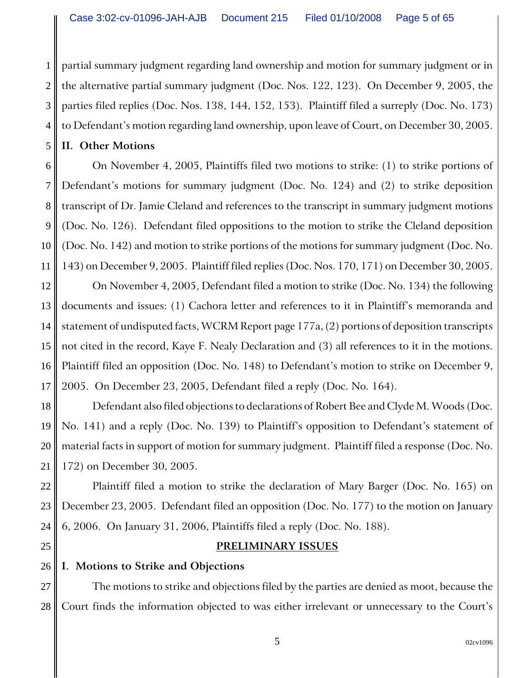2 3 4 partial summary judgment regarding land ownership and motion for summary judgment or in the alternative partial summary judgment (Doc. Nos. 122, 123). On December 9, 2005, the parties filed replies (Doc. Nos. 138, 144, 152, 153). Plaintiff filed a surreply (Doc. No. 173) to Defendant's motion regarding land ownership, upon leave of Court, on December 30, 2005.

**II. Other Motions**

1

5

6

7

8

9

10

11

22

23

24

25

On November 4, 2005, Plaintiffs filed two motions to strike: (1) to strike portions of Defendant's motions for summary judgment (Doc. No. 124) and (2) to strike deposition transcript of Dr. Jamie Cleland and references to the transcript in summary judgment motions (Doc. No. 126). Defendant filed oppositions to the motion to strike the Cleland deposition (Doc. No. 142) and motion to strike portions of the motions for summary judgment (Doc. No. 143) on December 9, 2005. Plaintiff filed replies (Doc. Nos. 170, 171) on December 30, 2005.

12 13 14 15 16 17 On November 4, 2005, Defendant filed a motion to strike (Doc. No. 134) the following documents and issues: (1) Cachora letter and references to it in Plaintiff's memoranda and statement of undisputed facts, WCRM Report page 177a, (2) portions of deposition transcripts not cited in the record, Kaye F. Nealy Declaration and (3) all references to it in the motions. Plaintiff filed an opposition (Doc. No. 148) to Defendant's motion to strike on December 9, 2005. On December 23, 2005, Defendant filed a reply (Doc. No. 164).

18 19 20 21 Defendant also filed objections to declarations of Robert Bee and Clyde M. Woods (Doc. No. 141) and a reply (Doc. No. 139) to Plaintiff's opposition to Defendant's statement of material facts in support of motion for summary judgment. Plaintiff filed a response (Doc. No. 172) on December 30, 2005.

Plaintiff filed a motion to strike the declaration of Mary Barger (Doc. No. 165) on December 23, 2005. Defendant filed an opposition (Doc. No. 177) to the motion on January 6, 2006. On January 31, 2006, Plaintiffs filed a reply (Doc. No. 188).

# **PRELIMINARY ISSUES**

#### 26 **I. Motions to Strike and Objections**

27 28 The motions to strike and objections filed by the parties are denied as moot, because the Court finds the information objected to was either irrelevant or unnecessary to the Court's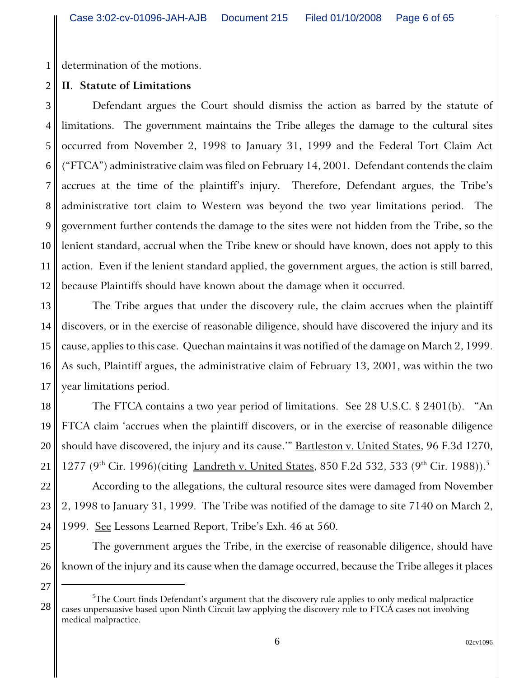1 determination of the motions.

#### 2 **II. Statute of Limitations**

3 4 5 6 7 8 9 10 11 12 Defendant argues the Court should dismiss the action as barred by the statute of limitations. The government maintains the Tribe alleges the damage to the cultural sites occurred from November 2, 1998 to January 31, 1999 and the Federal Tort Claim Act ("FTCA") administrative claim was filed on February 14, 2001. Defendant contends the claim accrues at the time of the plaintiff's injury. Therefore, Defendant argues, the Tribe's administrative tort claim to Western was beyond the two year limitations period. The government further contends the damage to the sites were not hidden from the Tribe, so the lenient standard, accrual when the Tribe knew or should have known, does not apply to this action. Even if the lenient standard applied, the government argues, the action is still barred, because Plaintiffs should have known about the damage when it occurred.

13 14 15 16 17 The Tribe argues that under the discovery rule, the claim accrues when the plaintiff discovers, or in the exercise of reasonable diligence, should have discovered the injury and its cause, applies to this case. Quechan maintains it was notified of the damage on March 2, 1999. As such, Plaintiff argues, the administrative claim of February 13, 2001, was within the two year limitations period.

18 19 20 21 The FTCA contains a two year period of limitations. See 28 U.S.C. § 2401(b). "An FTCA claim 'accrues when the plaintiff discovers, or in the exercise of reasonable diligence should have discovered, the injury and its cause." **Bartleston v. United States**, 96 F.3d 1270, 1277 (9<sup>th</sup> Cir. 1996)(citing <u>Landreth v. United States</u>, 850 F.2d 532, 533 (9<sup>th</sup> Cir. 1988)).<sup>5</sup>

22 23 24 According to the allegations, the cultural resource sites were damaged from November 2, 1998 to January 31, 1999. The Tribe was notified of the damage to site 7140 on March 2, 1999. See Lessons Learned Report, Tribe's Exh. 46 at 560.

26 The government argues the Tribe, in the exercise of reasonable diligence, should have known of the injury and its cause when the damage occurred, because the Tribe alleges it places

27

28

 ${\rm ^5The}$  Court finds Defendant's argument that the discovery rule applies to only medical malpractice cases unpersuasive based upon Ninth Circuit law applying the discovery rule to FTCA cases not involving medical malpractice.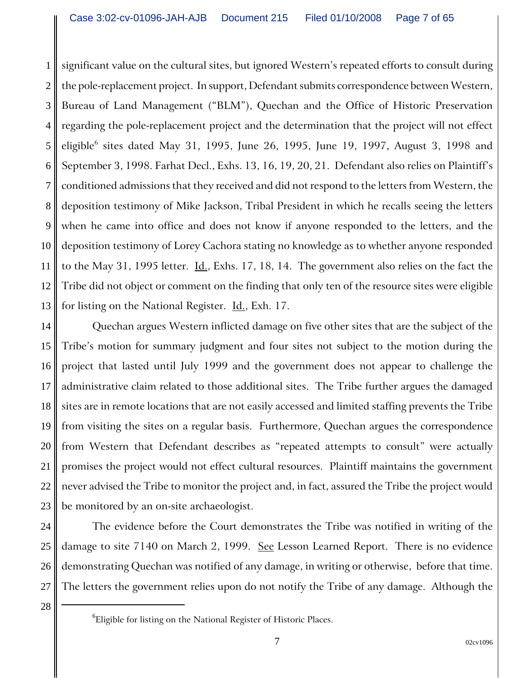1 2 3 4 5 6 7 8 9 10 11 12 13 significant value on the cultural sites, but ignored Western's repeated efforts to consult during the pole-replacement project. In support, Defendant submits correspondence between Western, Bureau of Land Management ("BLM"), Quechan and the Office of Historic Preservation regarding the pole-replacement project and the determination that the project will not effect eligible<sup>6</sup> sites dated May 31, 1995, June 26, 1995, June 19, 1997, August 3, 1998 and September 3, 1998. Farhat Decl., Exhs. 13, 16, 19, 20, 21. Defendant also relies on Plaintiff's conditioned admissions that they received and did not respond to the letters from Western, the deposition testimony of Mike Jackson, Tribal President in which he recalls seeing the letters when he came into office and does not know if anyone responded to the letters, and the deposition testimony of Lorey Cachora stating no knowledge as to whether anyone responded to the May 31, 1995 letter.  $\underline{\text{Id}}$ ., Exhs. 17, 18, 14. The government also relies on the fact the Tribe did not object or comment on the finding that only ten of the resource sites were eligible for listing on the National Register. Id., Exh. 17.

14 15 16 17 18 19 20 21 22 23 Quechan argues Western inflicted damage on five other sites that are the subject of the Tribe's motion for summary judgment and four sites not subject to the motion during the project that lasted until July 1999 and the government does not appear to challenge the administrative claim related to those additional sites. The Tribe further argues the damaged sites are in remote locations that are not easily accessed and limited staffing prevents the Tribe from visiting the sites on a regular basis. Furthermore, Quechan argues the correspondence from Western that Defendant describes as "repeated attempts to consult" were actually promises the project would not effect cultural resources. Plaintiff maintains the government never advised the Tribe to monitor the project and, in fact, assured the Tribe the project would be monitored by an on-site archaeologist.

24 25 26 27 The evidence before the Court demonstrates the Tribe was notified in writing of the damage to site 7140 on March 2, 1999. See Lesson Learned Report. There is no evidence demonstrating Quechan was notified of any damage, in writing or otherwise, before that time. The letters the government relies upon do not notify the Tribe of any damage. Although the

 $^6$ Eligible for listing on the National Register of Historic Places.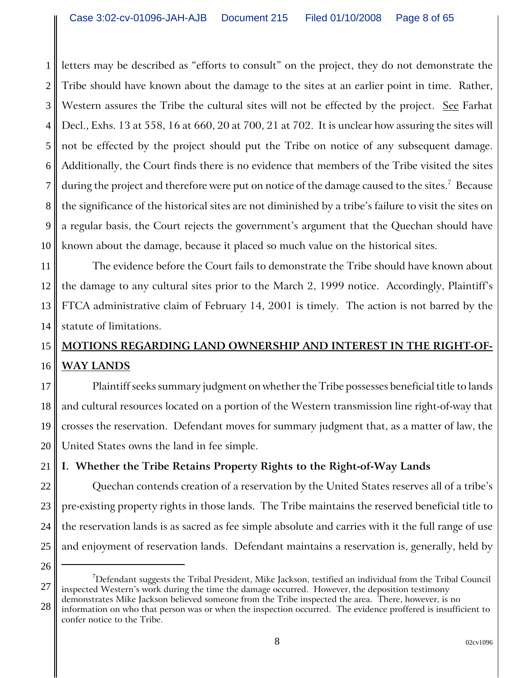1 2 3 4 5 6 7 8 9 10 letters may be described as "efforts to consult" on the project, they do not demonstrate the Tribe should have known about the damage to the sites at an earlier point in time. Rather, Western assures the Tribe the cultural sites will not be effected by the project. See Farhat Decl., Exhs. 13 at 558, 16 at 660, 20 at 700, 21 at 702. It is unclear how assuring the sites will not be effected by the project should put the Tribe on notice of any subsequent damage. Additionally, the Court finds there is no evidence that members of the Tribe visited the sites during the project and therefore were put on notice of the damage caused to the sites. $^7\,$  Because the significance of the historical sites are not diminished by a tribe's failure to visit the sites on a regular basis, the Court rejects the government's argument that the Quechan should have known about the damage, because it placed so much value on the historical sites.

11 12 13 14 The evidence before the Court fails to demonstrate the Tribe should have known about the damage to any cultural sites prior to the March 2, 1999 notice. Accordingly, Plaintiff's FTCA administrative claim of February 14, 2001 is timely. The action is not barred by the statute of limitations.

### 15 16 **MOTIONS REGARDING LAND OWNERSHIP AND INTEREST IN THE RIGHT-OF-WAY LANDS**

17 18 19 20 Plaintiff seeks summary judgment on whether the Tribe possesses beneficial title to lands and cultural resources located on a portion of the Western transmission line right-of-way that crosses the reservation. Defendant moves for summary judgment that, as a matter of law, the United States owns the land in fee simple.

**I. Whether the Tribe Retains Property Rights to the Right-of-Way Lands**

Quechan contends creation of a reservation by the United States reserves all of a tribe's pre-existing property rights in those lands. The Tribe maintains the reserved beneficial title to the reservation lands is as sacred as fee simple absolute and carries with it the full range of use and enjoyment of reservation lands. Defendant maintains a reservation is, generally, held by

25 26

21

22

23

<sup>27</sup>  $^7$ Defendant suggests the Tribal President, Mike Jackson, testified an individual from the Tribal Council inspected Western's work during the time the damage occurred. However, the deposition testimony demonstrates Mike Jackson believed someone from the Tribe inspected the area. There, however, is no

<sup>28</sup> information on who that person was or when the inspection occurred. The evidence proffered is insufficient to confer notice to the Tribe.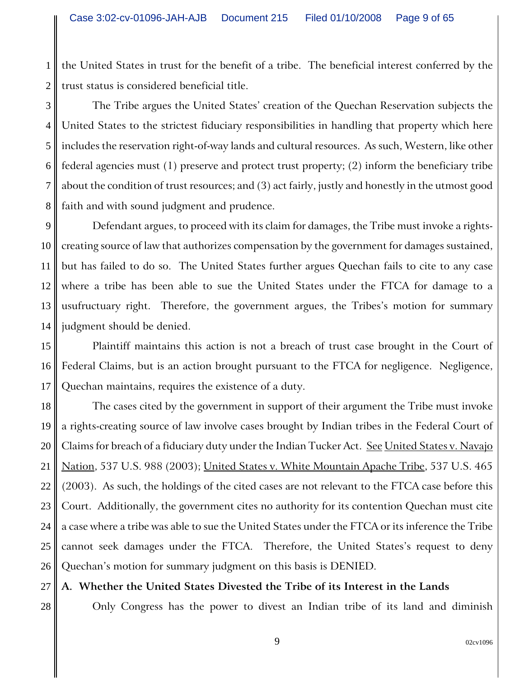1 2 the United States in trust for the benefit of a tribe. The beneficial interest conferred by the trust status is considered beneficial title.

3 4 5 6 7 8 The Tribe argues the United States' creation of the Quechan Reservation subjects the United States to the strictest fiduciary responsibilities in handling that property which here includes the reservation right-of-way lands and cultural resources. As such, Western, like other federal agencies must (1) preserve and protect trust property; (2) inform the beneficiary tribe about the condition of trust resources; and (3) act fairly, justly and honestly in the utmost good faith and with sound judgment and prudence.

9 10 11 12 13 14 Defendant argues, to proceed with its claim for damages, the Tribe must invoke a rightscreating source of law that authorizes compensation by the government for damages sustained, but has failed to do so. The United States further argues Quechan fails to cite to any case where a tribe has been able to sue the United States under the FTCA for damage to a usufructuary right. Therefore, the government argues, the Tribes's motion for summary judgment should be denied.

15 16 17 Plaintiff maintains this action is not a breach of trust case brought in the Court of Federal Claims, but is an action brought pursuant to the FTCA for negligence. Negligence, Quechan maintains, requires the existence of a duty.

18 19 20 21 22 23 24 25 26 The cases cited by the government in support of their argument the Tribe must invoke a rights-creating source of law involve cases brought by Indian tribes in the Federal Court of Claims for breach of a fiduciary duty under the Indian Tucker Act. See United States v. Navajo Nation, 537 U.S. 988 (2003); United States v. White Mountain Apache Tribe, 537 U.S. 465 (2003). As such, the holdings of the cited cases are not relevant to the FTCA case before this Court. Additionally, the government cites no authority for its contention Quechan must cite a case where a tribe was able to sue the United States under the FTCA or its inference the Tribe cannot seek damages under the FTCA. Therefore, the United States's request to deny Quechan's motion for summary judgment on this basis is DENIED.

27 **A. Whether the United States Divested the Tribe of its Interest in the Lands**

28

Only Congress has the power to divest an Indian tribe of its land and diminish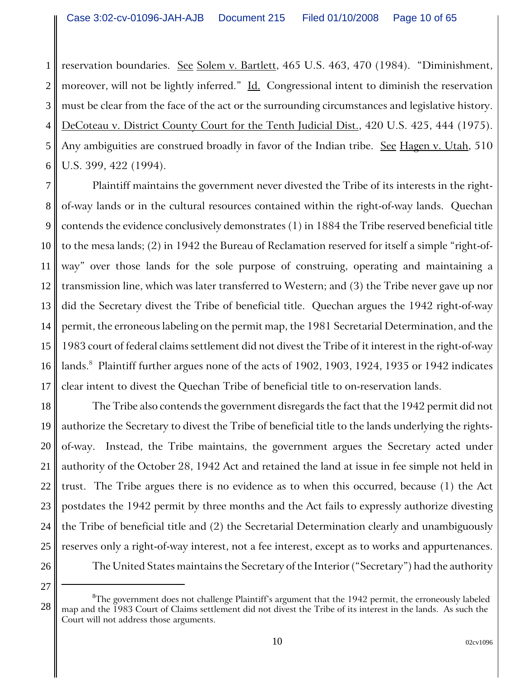1 2 3 4 5 6 reservation boundaries. See Solem v. Bartlett, 465 U.S. 463, 470 (1984). "Diminishment, moreover, will not be lightly inferred." Id. Congressional intent to diminish the reservation must be clear from the face of the act or the surrounding circumstances and legislative history. DeCoteau v. District County Court for the Tenth Judicial Dist., 420 U.S. 425, 444 (1975). Any ambiguities are construed broadly in favor of the Indian tribe. See Hagen v. Utah, 510 U.S. 399, 422 (1994).

7 8 9 10 11 12 13 14 15 16 17 Plaintiff maintains the government never divested the Tribe of its interests in the rightof-way lands or in the cultural resources contained within the right-of-way lands. Quechan contends the evidence conclusively demonstrates (1) in 1884 the Tribe reserved beneficial title to the mesa lands; (2) in 1942 the Bureau of Reclamation reserved for itself a simple "right-ofway" over those lands for the sole purpose of construing, operating and maintaining a transmission line, which was later transferred to Western; and (3) the Tribe never gave up nor did the Secretary divest the Tribe of beneficial title. Quechan argues the 1942 right-of-way permit, the erroneous labeling on the permit map, the 1981 Secretarial Determination, and the 1983 court of federal claims settlement did not divest the Tribe of it interest in the right-of-way lands. $^8\,$  Plaintiff further argues none of the acts of 1902, 1903, 1924, 1935 or 1942 indicates clear intent to divest the Quechan Tribe of beneficial title to on-reservation lands.

18 19 20 21 22 23 24 25 26 The Tribe also contends the government disregards the fact that the 1942 permit did not authorize the Secretary to divest the Tribe of beneficial title to the lands underlying the rightsof-way. Instead, the Tribe maintains, the government argues the Secretary acted under authority of the October 28, 1942 Act and retained the land at issue in fee simple not held in trust. The Tribe argues there is no evidence as to when this occurred, because (1) the Act postdates the 1942 permit by three months and the Act fails to expressly authorize divesting the Tribe of beneficial title and (2) the Secretarial Determination clearly and unambiguously reserves only a right-of-way interest, not a fee interest, except as to works and appurtenances. The United States maintains the Secretary of the Interior ("Secretary") had the authority

27

 $\rm{^8Th}$ e government does not challenge Plaintiff's argument that the 1942 permit, the erroneously labeled map and the 1983 Court of Claims settlement did not divest the Tribe of its interest in the lands. As such the Court will not address those arguments.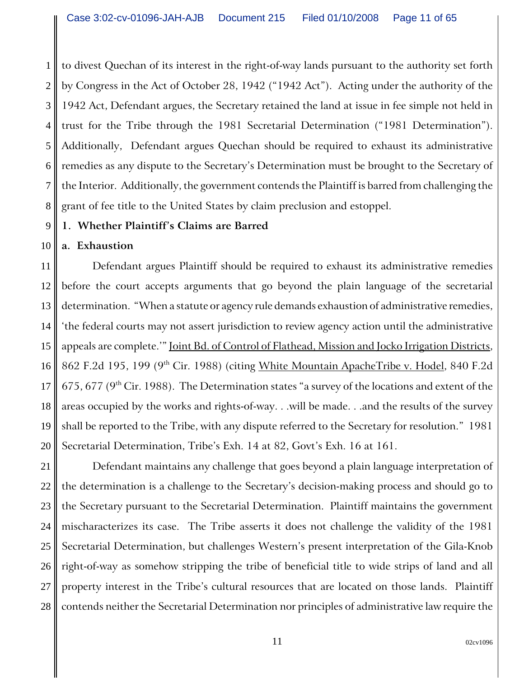1 2 3 4 5 6 7 8 to divest Quechan of its interest in the right-of-way lands pursuant to the authority set forth by Congress in the Act of October 28, 1942 ("1942 Act"). Acting under the authority of the 1942 Act, Defendant argues, the Secretary retained the land at issue in fee simple not held in trust for the Tribe through the 1981 Secretarial Determination ("1981 Determination"). Additionally, Defendant argues Quechan should be required to exhaust its administrative remedies as any dispute to the Secretary's Determination must be brought to the Secretary of the Interior. Additionally, the government contends the Plaintiff is barred from challenging the grant of fee title to the United States by claim preclusion and estoppel.

#### 9 **1. Whether Plaintiff's Claims are Barred**

#### 10 **a. Exhaustion**

11 12 13 14 15 16 17 18 19 20 Defendant argues Plaintiff should be required to exhaust its administrative remedies before the court accepts arguments that go beyond the plain language of the secretarial determination. "When a statute or agency rule demands exhaustion of administrative remedies, 'the federal courts may not assert jurisdiction to review agency action until the administrative appeals are complete.'" Joint Bd. of Control of Flathead, Mission and Jocko Irrigation Districts, 862 F.2d 195, 199 (9<sup>th</sup> Cir. 1988) (citing White Mountain ApacheTribe v. Hodel, 840 F.2d 675, 677 ( $9<sup>th</sup>$  Cir. 1988). The Determination states "a survey of the locations and extent of the areas occupied by the works and rights-of-way. . .will be made. . .and the results of the survey shall be reported to the Tribe, with any dispute referred to the Secretary for resolution." 1981 Secretarial Determination, Tribe's Exh. 14 at 82, Govt's Exh. 16 at 161.

21 22 23 24 25 26 27 28 Defendant maintains any challenge that goes beyond a plain language interpretation of the determination is a challenge to the Secretary's decision-making process and should go to the Secretary pursuant to the Secretarial Determination. Plaintiff maintains the government mischaracterizes its case. The Tribe asserts it does not challenge the validity of the 1981 Secretarial Determination, but challenges Western's present interpretation of the Gila-Knob right-of-way as somehow stripping the tribe of beneficial title to wide strips of land and all property interest in the Tribe's cultural resources that are located on those lands. Plaintiff contends neither the Secretarial Determination nor principles of administrative law require the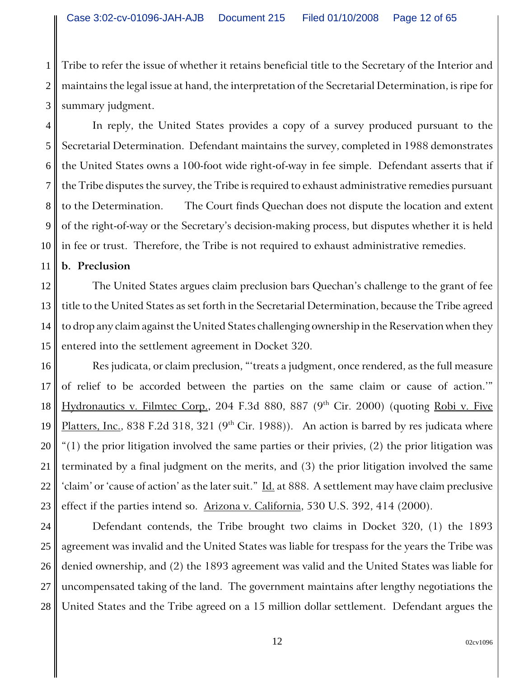1 2 3 Tribe to refer the issue of whether it retains beneficial title to the Secretary of the Interior and maintains the legal issue at hand, the interpretation of the Secretarial Determination, is ripe for summary judgment.

4 5 6 7 8 9 10 In reply, the United States provides a copy of a survey produced pursuant to the Secretarial Determination. Defendant maintains the survey, completed in 1988 demonstrates the United States owns a 100-foot wide right-of-way in fee simple. Defendant asserts that if the Tribe disputes the survey, the Tribe is required to exhaust administrative remedies pursuant to the Determination. The Court finds Quechan does not dispute the location and extent of the right-of-way or the Secretary's decision-making process, but disputes whether it is held in fee or trust. Therefore, the Tribe is not required to exhaust administrative remedies.

### **b. Preclusion**

11

12 13 14 15 The United States argues claim preclusion bars Quechan's challenge to the grant of fee title to the United States as set forth in the Secretarial Determination, because the Tribe agreed to drop any claim against the United States challenging ownership in the Reservation when they entered into the settlement agreement in Docket 320.

16 17 18 19 20 21 22 23 Res judicata, or claim preclusion, "'treats a judgment, once rendered, as the full measure of relief to be accorded between the parties on the same claim or cause of action.'" Hydronautics v. Filmtec Corp., 204 F.3d 880, 887 (9<sup>th</sup> Cir. 2000) (quoting Robi v. Five Platters, Inc., 838 F.2d 318, 321 ( $9<sup>th</sup>$  Cir. 1988)). An action is barred by res judicata where "(1) the prior litigation involved the same parties or their privies,  $(2)$  the prior litigation was terminated by a final judgment on the merits, and (3) the prior litigation involved the same 'claim' or 'cause of action' as the later suit." Id. at 888. A settlement may have claim preclusive effect if the parties intend so.  $\Delta$ rizona v. California, 530 U.S. 392, 414 (2000).

24 25 26 27 28 Defendant contends, the Tribe brought two claims in Docket 320, (1) the 1893 agreement was invalid and the United States was liable for trespass for the years the Tribe was denied ownership, and (2) the 1893 agreement was valid and the United States was liable for uncompensated taking of the land. The government maintains after lengthy negotiations the United States and the Tribe agreed on a 15 million dollar settlement. Defendant argues the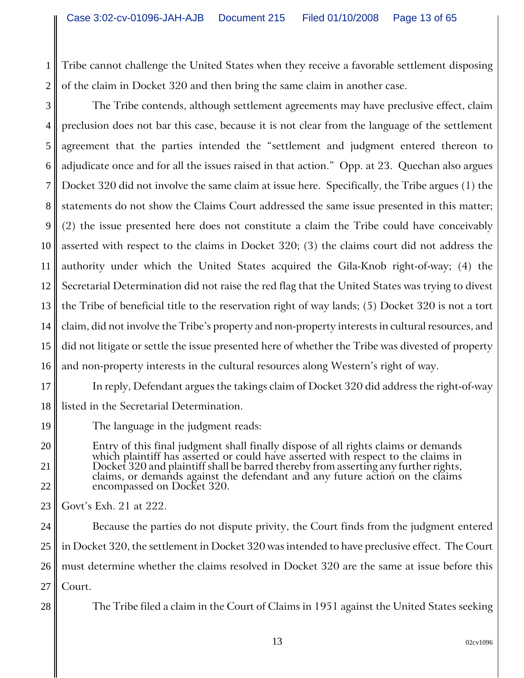1 2 Tribe cannot challenge the United States when they receive a favorable settlement disposing of the claim in Docket 320 and then bring the same claim in another case.

3 4 5 6 7 8 9 10 11 12 13 14 15 16 The Tribe contends, although settlement agreements may have preclusive effect, claim preclusion does not bar this case, because it is not clear from the language of the settlement agreement that the parties intended the "settlement and judgment entered thereon to adjudicate once and for all the issues raised in that action." Opp. at 23. Quechan also argues Docket 320 did not involve the same claim at issue here. Specifically, the Tribe argues (1) the statements do not show the Claims Court addressed the same issue presented in this matter; (2) the issue presented here does not constitute a claim the Tribe could have conceivably asserted with respect to the claims in Docket 320; (3) the claims court did not address the authority under which the United States acquired the Gila-Knob right-of-way; (4) the Secretarial Determination did not raise the red flag that the United States was trying to divest the Tribe of beneficial title to the reservation right of way lands; (5) Docket 320 is not a tort claim, did not involve the Tribe's property and non-property interests in cultural resources, and did not litigate or settle the issue presented here of whether the Tribe was divested of property and non-property interests in the cultural resources along Western's right of way.

17 18 In reply, Defendant argues the takings claim of Docket 320 did address the right-of-way listed in the Secretarial Determination.

The language in the judgment reads:

Entry of this final judgment shall finally dispose of all rights claims or demands Docket 320 and plaintiff shall be barred thereby from asserting any further rights, claims, or demands against the defendant and any future action on the claims encompassed on Docket 320.

23 Govt's Exh. 21 at 222.

19

20

21

22

28

24 25 26 27 Because the parties do not dispute privity, the Court finds from the judgment entered in Docket 320, the settlement in Docket 320 was intended to have preclusive effect. The Court must determine whether the claims resolved in Docket 320 are the same at issue before this Court.

The Tribe filed a claim in the Court of Claims in 1951 against the United States seeking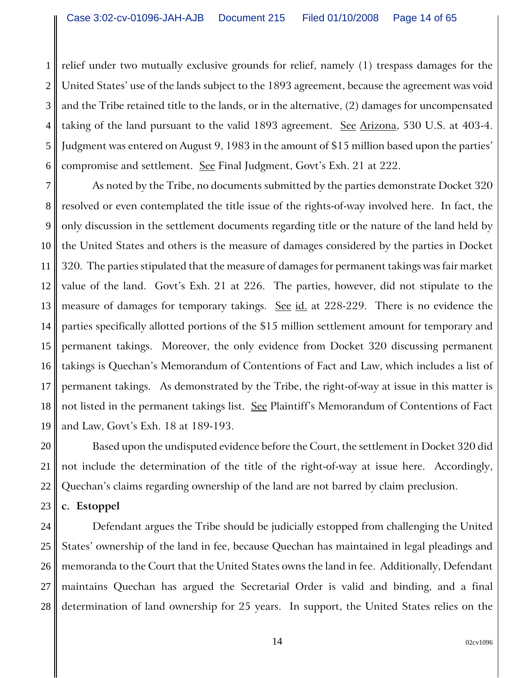1 2 3 4 5 6 relief under two mutually exclusive grounds for relief, namely (1) trespass damages for the United States' use of the lands subject to the 1893 agreement, because the agreement was void and the Tribe retained title to the lands, or in the alternative, (2) damages for uncompensated taking of the land pursuant to the valid 1893 agreement. See Arizona, 530 U.S. at 403-4. Judgment was entered on August 9, 1983 in the amount of \$15 million based upon the parties' compromise and settlement. See Final Judgment, Govt's Exh. 21 at 222.

7 8 9 10 11 12 13 14 15 16 17 18 19 As noted by the Tribe, no documents submitted by the parties demonstrate Docket 320 resolved or even contemplated the title issue of the rights-of-way involved here. In fact, the only discussion in the settlement documents regarding title or the nature of the land held by the United States and others is the measure of damages considered by the parties in Docket 320. The parties stipulated that the measure of damages for permanent takings was fair market value of the land. Govt's Exh. 21 at 226. The parties, however, did not stipulate to the measure of damages for temporary takings. See id. at 228-229. There is no evidence the parties specifically allotted portions of the \$15 million settlement amount for temporary and permanent takings. Moreover, the only evidence from Docket 320 discussing permanent takings is Quechan's Memorandum of Contentions of Fact and Law, which includes a list of permanent takings. As demonstrated by the Tribe, the right-of-way at issue in this matter is not listed in the permanent takings list. See Plaintiff's Memorandum of Contentions of Fact and Law, Govt's Exh. 18 at 189-193.

20 21 22 Based upon the undisputed evidence before the Court, the settlement in Docket 320 did not include the determination of the title of the right-of-way at issue here. Accordingly, Quechan's claims regarding ownership of the land are not barred by claim preclusion.

#### 23 **c. Estoppel**

24 25 26 27 28 Defendant argues the Tribe should be judicially estopped from challenging the United States' ownership of the land in fee, because Quechan has maintained in legal pleadings and memoranda to the Court that the United States owns the land in fee. Additionally, Defendant maintains Quechan has argued the Secretarial Order is valid and binding, and a final determination of land ownership for 25 years. In support, the United States relies on the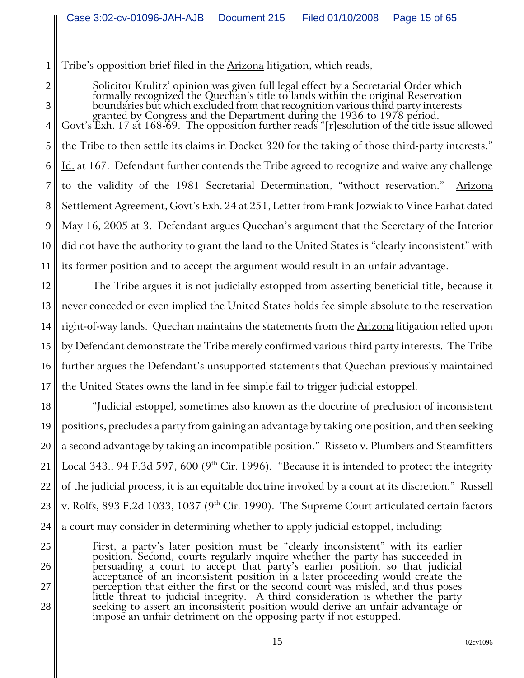1 Tribe's opposition brief filed in the **Arizona** litigation, which reads,

2

3

25

26

27

28

Solicitor Krulitz' opinion was given full legal effect by a Secretarial Order which<br>formally recognized the Quechan's title to lands within the original Reservation<br>boundaries but which excluded from that recognition vario

4 5 6 7 8 9 10 11 the Tribe to then settle its claims in Docket 320 for the taking of those third-party interests." Id. at 167. Defendant further contends the Tribe agreed to recognize and waive any challenge to the validity of the 1981 Secretarial Determination, "without reservation." Arizona Settlement Agreement, Govt's Exh. 24 at 251, Letter from Frank Jozwiak to Vince Farhat dated May 16, 2005 at 3. Defendant argues Quechan's argument that the Secretary of the Interior did not have the authority to grant the land to the United States is "clearly inconsistent" with its former position and to accept the argument would result in an unfair advantage.

12 13 14 15 16 17 The Tribe argues it is not judicially estopped from asserting beneficial title, because it never conceded or even implied the United States holds fee simple absolute to the reservation right-of-way lands. Quechan maintains the statements from the Arizona litigation relied upon by Defendant demonstrate the Tribe merely confirmed various third party interests. The Tribe further argues the Defendant's unsupported statements that Quechan previously maintained the United States owns the land in fee simple fail to trigger judicial estoppel.

18 19 20 21 22 23 24 "Judicial estoppel, sometimes also known as the doctrine of preclusion of inconsistent positions, precludes a party from gaining an advantage by taking one position, and then seeking a second advantage by taking an incompatible position." Risseto v. Plumbers and Steamfitters Local 343., 94 F.3d 597, 600 (9<sup>th</sup> Cir. 1996). "Because it is intended to protect the integrity of the judicial process, it is an equitable doctrine invoked by a court at its discretion." Russell v. Rolfs, 893 F.2d 1033, 1037 (9<sup>th</sup> Cir. 1990). The Supreme Court articulated certain factors a court may consider in determining whether to apply judicial estoppel, including:

First, a party's later position must be "clearly inconsistent" with its earlier position. Second, courts regularly inquire whether the party has succeeded in persuading a court to accept that party's earlier position, so t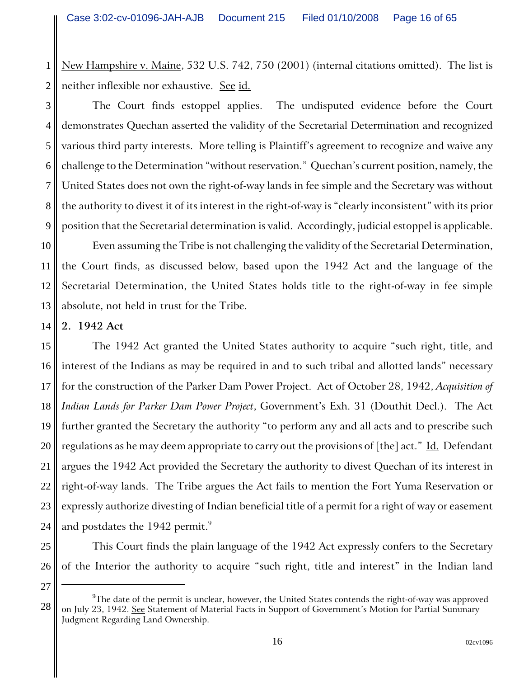1 2 New Hampshire v. Maine, 532 U.S. 742, 750 (2001) (internal citations omitted). The list is neither inflexible nor exhaustive. See id.

3 4 5 6 7 8 9 The Court finds estoppel applies. The undisputed evidence before the Court demonstrates Quechan asserted the validity of the Secretarial Determination and recognized various third party interests. More telling is Plaintiff's agreement to recognize and waive any challenge to the Determination "without reservation." Quechan's current position, namely, the United States does not own the right-of-way lands in fee simple and the Secretary was without the authority to divest it of its interest in the right-of-way is "clearly inconsistent" with its prior position that the Secretarial determination is valid. Accordingly, judicial estoppel is applicable.

10 11 12 13 Even assuming the Tribe is not challenging the validity of the Secretarial Determination, the Court finds, as discussed below, based upon the 1942 Act and the language of the Secretarial Determination, the United States holds title to the right-of-way in fee simple absolute, not held in trust for the Tribe.

14 **2. 1942 Act**

15 16 17 18 19 20 21 22 23 24 The 1942 Act granted the United States authority to acquire "such right, title, and interest of the Indians as may be required in and to such tribal and allotted lands" necessary for the construction of the Parker Dam Power Project. Act of October 28, 1942, *Acquisition of Indian Lands for Parker Dam Power Project*, Government's Exh. 31 (Douthit Decl.). The Act further granted the Secretary the authority "to perform any and all acts and to prescribe such regulations as he may deem appropriate to carry out the provisions of [the] act." Id. Defendant argues the 1942 Act provided the Secretary the authority to divest Quechan of its interest in right-of-way lands. The Tribe argues the Act fails to mention the Fort Yuma Reservation or expressly authorize divesting of Indian beneficial title of a permit for a right of way or easement and postdates the 1942 permit. $\degree$ 

This Court finds the plain language of the 1942 Act expressly confers to the Secretary of the Interior the authority to acquire "such right, title and interest" in the Indian land

27

28

25

 $^9$ The date of the permit is unclear, however, the United States contends the right-of-way was approved on July 23, 1942. See Statement of Material Facts in Support of Government's Motion for Partial Summary Judgment Regarding Land Ownership.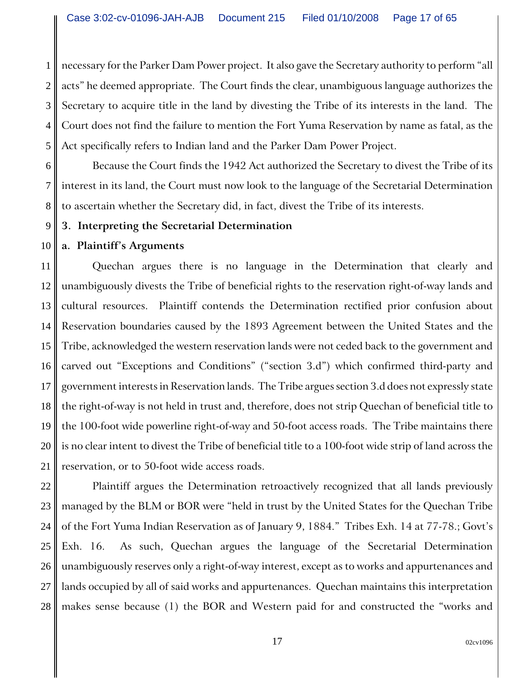1 2 3 4 5 necessary for the Parker Dam Power project. It also gave the Secretary authority to perform "all acts" he deemed appropriate. The Court finds the clear, unambiguous language authorizes the Secretary to acquire title in the land by divesting the Tribe of its interests in the land. The Court does not find the failure to mention the Fort Yuma Reservation by name as fatal, as the Act specifically refers to Indian land and the Parker Dam Power Project.

6 7 8 Because the Court finds the 1942 Act authorized the Secretary to divest the Tribe of its interest in its land, the Court must now look to the language of the Secretarial Determination to ascertain whether the Secretary did, in fact, divest the Tribe of its interests.

9 **3. Interpreting the Secretarial Determination**

#### 10 **a. Plaintiff's Arguments**

11 12 13 14 15 16 17 18 19 20 21 Quechan argues there is no language in the Determination that clearly and unambiguously divests the Tribe of beneficial rights to the reservation right-of-way lands and cultural resources. Plaintiff contends the Determination rectified prior confusion about Reservation boundaries caused by the 1893 Agreement between the United States and the Tribe, acknowledged the western reservation lands were not ceded back to the government and carved out "Exceptions and Conditions" ("section 3.d") which confirmed third-party and government interests in Reservation lands. The Tribe argues section 3.d does not expressly state the right-of-way is not held in trust and, therefore, does not strip Quechan of beneficial title to the 100-foot wide powerline right-of-way and 50-foot access roads. The Tribe maintains there is no clear intent to divest the Tribe of beneficial title to a 100-foot wide strip of land across the reservation, or to 50-foot wide access roads.

22 23 24 25 26 27 28 Plaintiff argues the Determination retroactively recognized that all lands previously managed by the BLM or BOR were "held in trust by the United States for the Quechan Tribe of the Fort Yuma Indian Reservation as of January 9, 1884." Tribes Exh. 14 at 77-78.; Govt's Exh. 16. As such, Quechan argues the language of the Secretarial Determination unambiguously reserves only a right-of-way interest, except as to works and appurtenances and lands occupied by all of said works and appurtenances. Quechan maintains this interpretation makes sense because (1) the BOR and Western paid for and constructed the "works and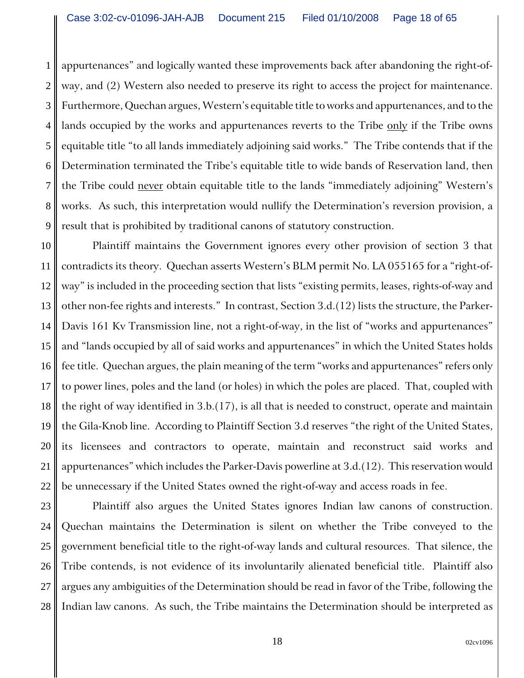1 2 3 4 5 6 7 8 9 appurtenances" and logically wanted these improvements back after abandoning the right-ofway, and (2) Western also needed to preserve its right to access the project for maintenance. Furthermore, Quechan argues, Western's equitable title to works and appurtenances, and to the lands occupied by the works and appurtenances reverts to the Tribe only if the Tribe owns equitable title "to all lands immediately adjoining said works." The Tribe contends that if the Determination terminated the Tribe's equitable title to wide bands of Reservation land, then the Tribe could never obtain equitable title to the lands "immediately adjoining" Western's works. As such, this interpretation would nullify the Determination's reversion provision, a result that is prohibited by traditional canons of statutory construction.

10 11 12 13 14 15 16 17 18 19 20 21 22 Plaintiff maintains the Government ignores every other provision of section 3 that contradicts its theory. Quechan asserts Western's BLM permit No. LA 055165 for a "right-ofway" is included in the proceeding section that lists "existing permits, leases, rights-of-way and other non-fee rights and interests." In contrast, Section 3.d.(12) lists the structure, the Parker-Davis 161 Kv Transmission line, not a right-of-way, in the list of "works and appurtenances" and "lands occupied by all of said works and appurtenances" in which the United States holds fee title. Quechan argues, the plain meaning of the term "works and appurtenances" refers only to power lines, poles and the land (or holes) in which the poles are placed. That, coupled with the right of way identified in 3.b.(17), is all that is needed to construct, operate and maintain the Gila-Knob line. According to Plaintiff Section 3.d reserves "the right of the United States, its licensees and contractors to operate, maintain and reconstruct said works and appurtenances" which includes the Parker-Davis powerline at 3.d.(12). This reservation would be unnecessary if the United States owned the right-of-way and access roads in fee.

23 24 25 26 27 28 Plaintiff also argues the United States ignores Indian law canons of construction. Quechan maintains the Determination is silent on whether the Tribe conveyed to the government beneficial title to the right-of-way lands and cultural resources. That silence, the Tribe contends, is not evidence of its involuntarily alienated beneficial title. Plaintiff also argues any ambiguities of the Determination should be read in favor of the Tribe, following the Indian law canons. As such, the Tribe maintains the Determination should be interpreted as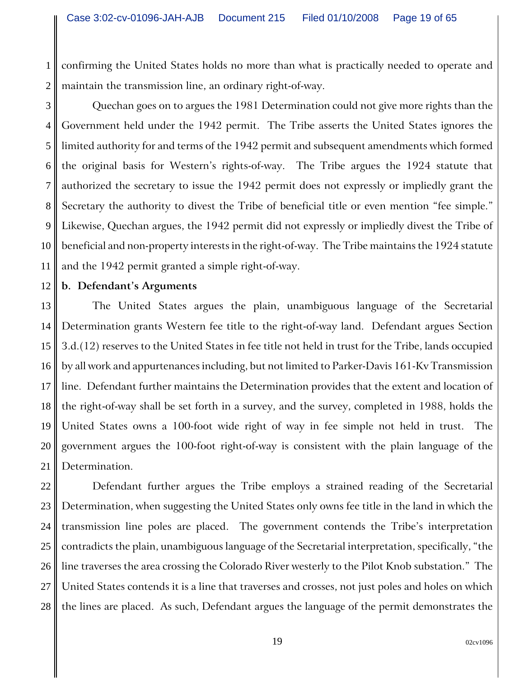1 2 confirming the United States holds no more than what is practically needed to operate and maintain the transmission line, an ordinary right-of-way.

3 4 5 6 7 8 9 10 11 Quechan goes on to argues the 1981 Determination could not give more rights than the Government held under the 1942 permit. The Tribe asserts the United States ignores the limited authority for and terms of the 1942 permit and subsequent amendments which formed the original basis for Western's rights-of-way. The Tribe argues the 1924 statute that authorized the secretary to issue the 1942 permit does not expressly or impliedly grant the Secretary the authority to divest the Tribe of beneficial title or even mention "fee simple." Likewise, Quechan argues, the 1942 permit did not expressly or impliedly divest the Tribe of beneficial and non-property interests in the right-of-way. The Tribe maintains the 1924 statute and the 1942 permit granted a simple right-of-way.

#### 12 **b. Defendant's Arguments**

13 14 15 16 17 18 19 20 21 The United States argues the plain, unambiguous language of the Secretarial Determination grants Western fee title to the right-of-way land. Defendant argues Section 3.d.(12) reserves to the United States in fee title not held in trust for the Tribe, lands occupied by all work and appurtenances including, but not limited to Parker-Davis 161-Kv Transmission line. Defendant further maintains the Determination provides that the extent and location of the right-of-way shall be set forth in a survey, and the survey, completed in 1988, holds the United States owns a 100-foot wide right of way in fee simple not held in trust. The government argues the 100-foot right-of-way is consistent with the plain language of the Determination.

22 23 24 25 26 27 28 Defendant further argues the Tribe employs a strained reading of the Secretarial Determination, when suggesting the United States only owns fee title in the land in which the transmission line poles are placed. The government contends the Tribe's interpretation contradicts the plain, unambiguous language of the Secretarial interpretation, specifically, "the line traverses the area crossing the Colorado River westerly to the Pilot Knob substation." The United States contends it is a line that traverses and crosses, not just poles and holes on which the lines are placed. As such, Defendant argues the language of the permit demonstrates the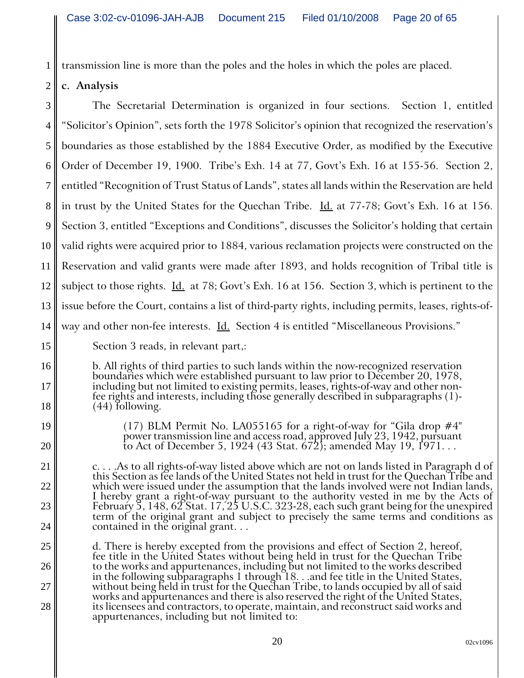transmission line is more than the poles and the holes in which the poles are placed.

#### 2 **c. Analysis**

1

3 4 5 6 7 8 9 10 11 12 13 14 The Secretarial Determination is organized in four sections. Section 1, entitled "Solicitor's Opinion", sets forth the 1978 Solicitor's opinion that recognized the reservation's boundaries as those established by the 1884 Executive Order, as modified by the Executive Order of December 19, 1900. Tribe's Exh. 14 at 77, Govt's Exh. 16 at 155-56. Section 2, entitled "Recognition of Trust Status of Lands", states all lands within the Reservation are held in trust by the United States for the Quechan Tribe. Id. at 77-78; Govt's Exh. 16 at 156. Section 3, entitled "Exceptions and Conditions", discusses the Solicitor's holding that certain valid rights were acquired prior to 1884, various reclamation projects were constructed on the Reservation and valid grants were made after 1893, and holds recognition of Tribal title is subject to those rights. Id. at 78; Govt's Exh. 16 at 156. Section 3, which is pertinent to the issue before the Court, contains a list of third-party rights, including permits, leases, rights-ofway and other non-fee interests. Id. Section 4 is entitled "Miscellaneous Provisions."

### Section 3 reads, in relevant part,:

b. All rights of third parties to such lands within the now-recognized reservation<br>boundaries which were established pursuant to law prior to December 20, 1978,<br>including but not limited to existing permits, leases, rights

19 20

21

22

23

24

25

26

27

28

15

16

17

18

(17) BLM Permit No. LA055165 for a right-of-way for "Gila drop  $\#4$ " power transmission line and access road, approved July 23, 1942, pursuant to Act of December 5, 1924 (43 Stat. 672); amended May 19, 1971. . .

c. . . .As to all rights-of-way listed above which are not on lands listed in Paragraph d of<br>this Section as fee lands of the United States not held in trust for the Quechan Tribe and which were issued under the assumption that the lands involved were not Indian lands, I hereby grant a right-of-way pursuant to the authority vested in me by the Acts of February 5, 148, 62 Stat. 17, 25 U.S.C. 323-28, each such grant being for the unexpired term of the original grant and subject to precisel

d. There is hereby excepted from the provisions and effect of Section 2, hereof, fee title in the United States without being held in trust for the Quechan Tribe to the works and appurtenances, including but not limited to the works described<br>in the following subparagraphs 1 through 18...and fee title in the United States, without being held in trust for the Quechan Tribe, to lands occupied by all of said<br>works and appurtenances and there is also reserved the right of the United States,<br>its licensees and contractors, to operate, maintain, an appurtenances, including but not limited to: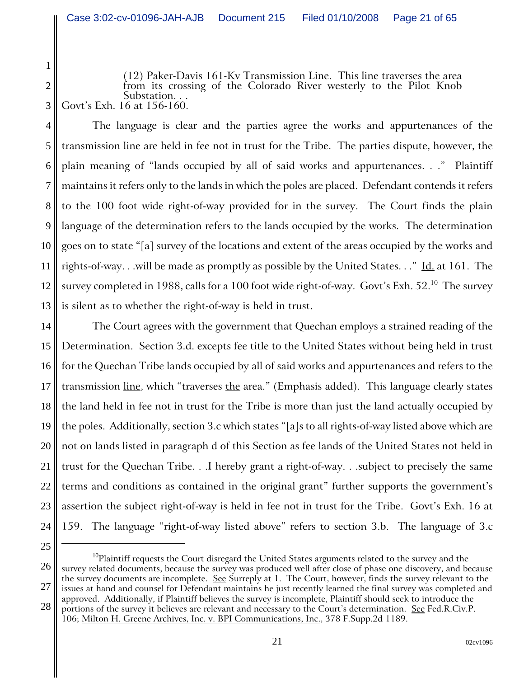(12) Paker-Davis 161-Kv Transmission Line. This line traverses the area from its crossing of the Colorado River westerly to the Pilot Knob Substation. . . Govt's Exh. 16 at 156-160.

4 5 6 7 8 9 10 11 12 13 The language is clear and the parties agree the works and appurtenances of the transmission line are held in fee not in trust for the Tribe. The parties dispute, however, the plain meaning of "lands occupied by all of said works and appurtenances. . ." Plaintiff maintains it refers only to the lands in which the poles are placed. Defendant contends it refers to the 100 foot wide right-of-way provided for in the survey. The Court finds the plain language of the determination refers to the lands occupied by the works. The determination goes on to state "[a] survey of the locations and extent of the areas occupied by the works and rights-of-way. . .will be made as promptly as possible by the United States. . ." Id. at 161. The survey completed in 1988, calls for a 100 foot wide right-of-way. Govt's Exh.  $52.^{10}$  The survey is silent as to whether the right-of-way is held in trust.

14 15 16 17 18 19 20 21 22 23 24 The Court agrees with the government that Quechan employs a strained reading of the Determination. Section 3.d. excepts fee title to the United States without being held in trust for the Quechan Tribe lands occupied by all of said works and appurtenances and refers to the transmission <u>line</u>, which "traverses the area." (Emphasis added). This language clearly states the land held in fee not in trust for the Tribe is more than just the land actually occupied by the poles. Additionally, section 3.c which states "[a]s to all rights-of-way listed above which are not on lands listed in paragraph d of this Section as fee lands of the United States not held in trust for the Quechan Tribe. . .I hereby grant a right-of-way. . .subject to precisely the same terms and conditions as contained in the original grant" further supports the government's assertion the subject right-of-way is held in fee not in trust for the Tribe. Govt's Exh. 16 at 159. The language "right-of-way listed above" refers to section 3.b. The language of 3.c

26

1

2

<sup>25</sup>

 $^{10}$ Plaintiff requests the Court disregard the United States arguments related to the survey and the survey related documents, because the survey was produced well after close of phase one discovery, and because

<sup>27</sup> 28 the survey documents are incomplete. See Surreply at 1. The Court, however, finds the survey relevant to the issues at hand and counsel for Defendant maintains he just recently learned the final survey was completed and approved. Additionally, if Plaintiff believes the survey is incomplete, Plaintiff should seek to introduce the portions of the survey it believes are relevant and necessary to the Court's determination. See Fed.R.Civ.P. 106; Milton H. Greene Archives, Inc. v. BPI Communications, Inc., 378 F.Supp.2d 1189.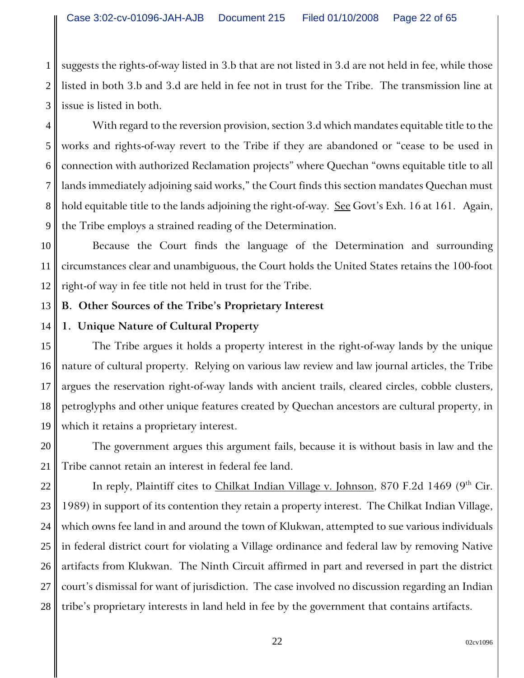1 2 3 suggests the rights-of-way listed in 3.b that are not listed in 3.d are not held in fee, while those listed in both 3.b and 3.d are held in fee not in trust for the Tribe. The transmission line at issue is listed in both.

4 5 6 7 8 9 With regard to the reversion provision, section 3.d which mandates equitable title to the works and rights-of-way revert to the Tribe if they are abandoned or "cease to be used in connection with authorized Reclamation projects" where Quechan "owns equitable title to all lands immediately adjoining said works," the Court finds this section mandates Quechan must hold equitable title to the lands adjoining the right-of-way. See Govt's Exh. 16 at 161. Again, the Tribe employs a strained reading of the Determination.

10 11 12 Because the Court finds the language of the Determination and surrounding circumstances clear and unambiguous, the Court holds the United States retains the 100-foot right-of way in fee title not held in trust for the Tribe.

#### 13 **B. Other Sources of the Tribe's Proprietary Interest**

#### 14 **1. Unique Nature of Cultural Property**

15 16 17 18 19 The Tribe argues it holds a property interest in the right-of-way lands by the unique nature of cultural property. Relying on various law review and law journal articles, the Tribe argues the reservation right-of-way lands with ancient trails, cleared circles, cobble clusters, petroglyphs and other unique features created by Quechan ancestors are cultural property, in which it retains a proprietary interest.

20 21 The government argues this argument fails, because it is without basis in law and the Tribe cannot retain an interest in federal fee land.

22 23 24 25 26 27 28 In reply, Plaintiff cites to *Chilkat Indian Village v. Johnson*, 870 F.2d 1469 (9<sup>th</sup> Cir. 1989) in support of its contention they retain a property interest. The Chilkat Indian Village, which owns fee land in and around the town of Klukwan, attempted to sue various individuals in federal district court for violating a Village ordinance and federal law by removing Native artifacts from Klukwan. The Ninth Circuit affirmed in part and reversed in part the district court's dismissal for want of jurisdiction. The case involved no discussion regarding an Indian tribe's proprietary interests in land held in fee by the government that contains artifacts.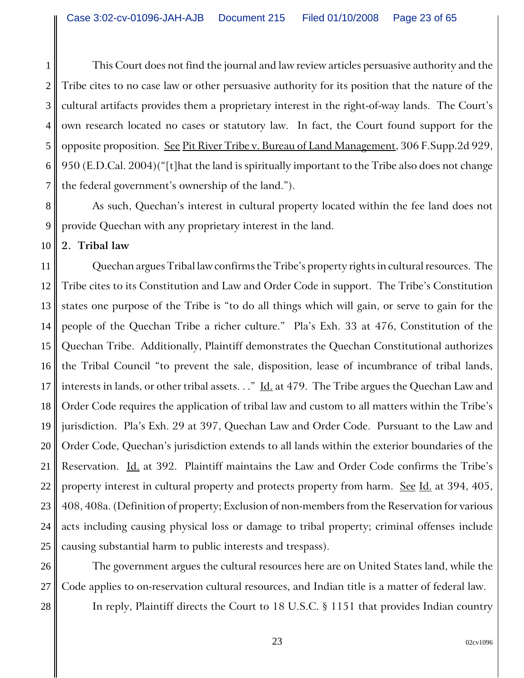1 2 3 4 5 6 7 This Court does not find the journal and law review articles persuasive authority and the Tribe cites to no case law or other persuasive authority for its position that the nature of the cultural artifacts provides them a proprietary interest in the right-of-way lands. The Court's own research located no cases or statutory law. In fact, the Court found support for the opposite proposition. See Pit River Tribe v. Bureau of Land Management, 306 F.Supp.2d 929, 950 (E.D.Cal. 2004)("[t]hat the land is spiritually important to the Tribe also does not change the federal government's ownership of the land.").

8 9 As such, Quechan's interest in cultural property located within the fee land does not provide Quechan with any proprietary interest in the land.

10 **2. Tribal law**

11 12 13 14 15 16 17 18 19 20 21 22 23 24 25 Quechan argues Tribal law confirms the Tribe's property rights in cultural resources. The Tribe cites to its Constitution and Law and Order Code in support. The Tribe's Constitution states one purpose of the Tribe is "to do all things which will gain, or serve to gain for the people of the Quechan Tribe a richer culture." Pla's Exh. 33 at 476, Constitution of the Quechan Tribe. Additionally, Plaintiff demonstrates the Quechan Constitutional authorizes the Tribal Council "to prevent the sale, disposition, lease of incumbrance of tribal lands, interests in lands, or other tribal assets. . ." Id. at 479. The Tribe argues the Quechan Law and Order Code requires the application of tribal law and custom to all matters within the Tribe's jurisdiction. Pla's Exh. 29 at 397, Quechan Law and Order Code. Pursuant to the Law and Order Code, Quechan's jurisdiction extends to all lands within the exterior boundaries of the Reservation. Id. at 392. Plaintiff maintains the Law and Order Code confirms the Tribe's property interest in cultural property and protects property from harm. See Id. at 394, 405, 408, 408a. (Definition of property; Exclusion of non-members from the Reservation for various acts including causing physical loss or damage to tribal property; criminal offenses include causing substantial harm to public interests and trespass).

26 27 28 The government argues the cultural resources here are on United States land, while the Code applies to on-reservation cultural resources, and Indian title is a matter of federal law. In reply, Plaintiff directs the Court to 18 U.S.C. § 1151 that provides Indian country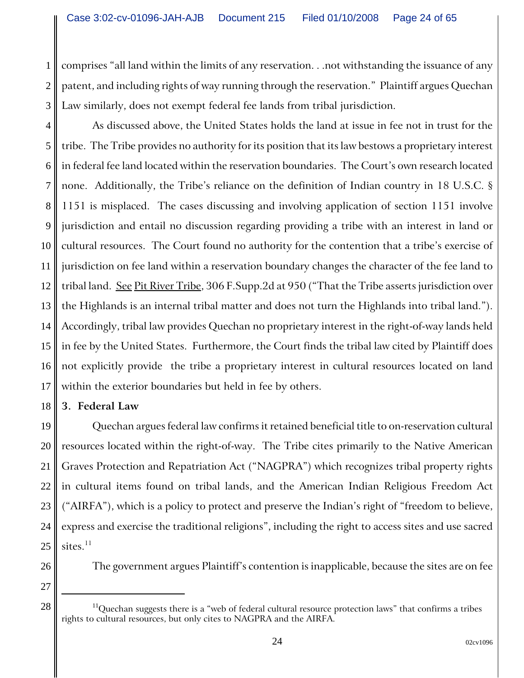1 2 3 comprises "all land within the limits of any reservation. . .not withstanding the issuance of any patent, and including rights of way running through the reservation." Plaintiff argues Quechan Law similarly, does not exempt federal fee lands from tribal jurisdiction.

4 5 6 7 8 9 10 11 12 13 14 15 16 17 As discussed above, the United States holds the land at issue in fee not in trust for the tribe. The Tribe provides no authority for its position that its law bestows a proprietary interest in federal fee land located within the reservation boundaries. The Court's own research located none. Additionally, the Tribe's reliance on the definition of Indian country in 18 U.S.C. § 1151 is misplaced. The cases discussing and involving application of section 1151 involve jurisdiction and entail no discussion regarding providing a tribe with an interest in land or cultural resources. The Court found no authority for the contention that a tribe's exercise of jurisdiction on fee land within a reservation boundary changes the character of the fee land to tribal land. See Pit River Tribe, 306 F. Supp. 2d at 950 ("That the Tribe asserts jurisdiction over the Highlands is an internal tribal matter and does not turn the Highlands into tribal land."). Accordingly, tribal law provides Quechan no proprietary interest in the right-of-way lands held in fee by the United States. Furthermore, the Court finds the tribal law cited by Plaintiff does not explicitly provide the tribe a proprietary interest in cultural resources located on land within the exterior boundaries but held in fee by others.

#### 18 **3. Federal Law**

19 20 21 22 23 24 25 Quechan argues federal law confirms it retained beneficial title to on-reservation cultural resources located within the right-of-way. The Tribe cites primarily to the Native American Graves Protection and Repatriation Act ("NAGPRA") which recognizes tribal property rights in cultural items found on tribal lands, and the American Indian Religious Freedom Act ("AIRFA"), which is a policy to protect and preserve the Indian's right of "freedom to believe, express and exercise the traditional religions", including the right to access sites and use sacred sites. $11$ 

The government argues Plaintiff's contention is inapplicable, because the sites are on fee

27

 $28 \parallel$  <sup>11</sup>Quechan suggests there is a "web of federal cultural resource protection laws" that confirms a tribes rights to cultural resources, but only cites to NAGPRA and the AIRFA.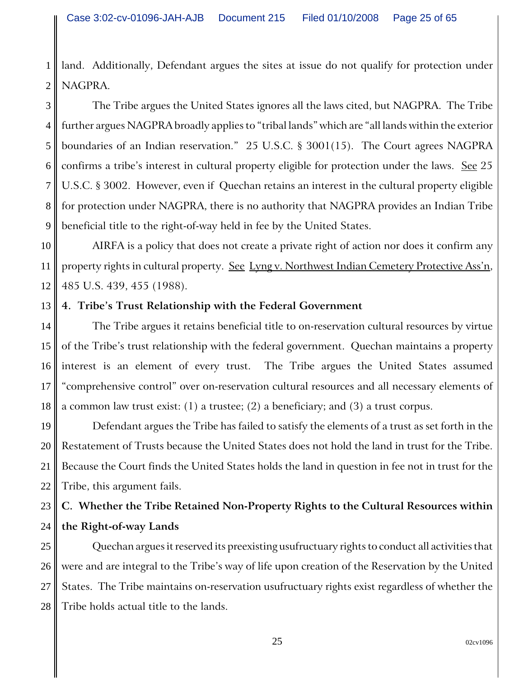1 2 land. Additionally, Defendant argues the sites at issue do not qualify for protection under NAGPRA.

3 4 5 6 7 8 9 The Tribe argues the United States ignores all the laws cited, but NAGPRA. The Tribe further argues NAGPRA broadly applies to "tribal lands" which are "all lands within the exterior boundaries of an Indian reservation." 25 U.S.C. § 3001(15). The Court agrees NAGPRA confirms a tribe's interest in cultural property eligible for protection under the laws. See 25 U.S.C. § 3002. However, even if Quechan retains an interest in the cultural property eligible for protection under NAGPRA, there is no authority that NAGPRA provides an Indian Tribe beneficial title to the right-of-way held in fee by the United States.

10 11 12 AIRFA is a policy that does not create a private right of action nor does it confirm any property rights in cultural property. See Lyng v. Northwest Indian Cemetery Protective Ass'n, 485 U.S. 439, 455 (1988).

#### 13 **4. Tribe's Trust Relationship with the Federal Government**

14 15 16 17 18 The Tribe argues it retains beneficial title to on-reservation cultural resources by virtue of the Tribe's trust relationship with the federal government. Quechan maintains a property interest is an element of every trust. The Tribe argues the United States assumed "comprehensive control" over on-reservation cultural resources and all necessary elements of a common law trust exist: (1) a trustee; (2) a beneficiary; and (3) a trust corpus.

19 20 21 22 Defendant argues the Tribe has failed to satisfy the elements of a trust as set forth in the Restatement of Trusts because the United States does not hold the land in trust for the Tribe. Because the Court finds the United States holds the land in question in fee not in trust for the Tribe, this argument fails.

### 23 24 **C. Whether the Tribe Retained Non-Property Rights to the Cultural Resources within the Right-of-way Lands**

25 26 27 28 Quechan argues it reserved its preexisting usufructuary rights to conduct all activities that were and are integral to the Tribe's way of life upon creation of the Reservation by the United States. The Tribe maintains on-reservation usufructuary rights exist regardless of whether the Tribe holds actual title to the lands.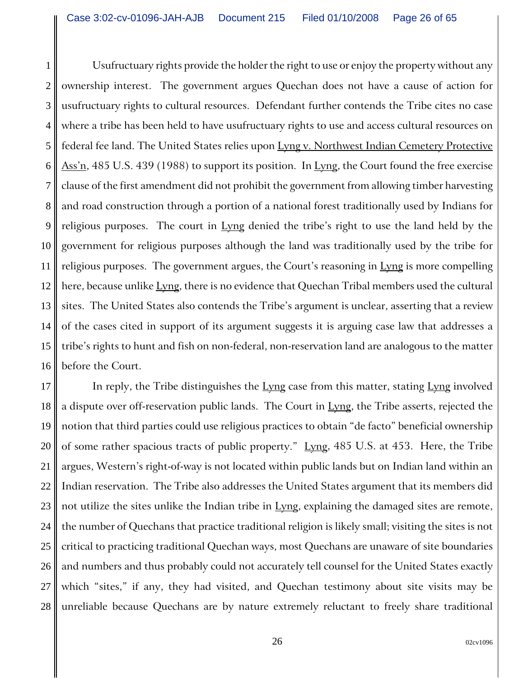1 2 3 4 5 6 7 8 9 10 11 12 13 14 15 16 Usufructuary rights provide the holder the right to use or enjoy the property without any ownership interest. The government argues Quechan does not have a cause of action for usufructuary rights to cultural resources. Defendant further contends the Tribe cites no case where a tribe has been held to have usufructuary rights to use and access cultural resources on federal fee land. The United States relies upon Lyng v. Northwest Indian Cemetery Protective  $\Delta$ ss'n, 485 U.S. 439 (1988) to support its position. In Lyng, the Court found the free exercise clause of the first amendment did not prohibit the government from allowing timber harvesting and road construction through a portion of a national forest traditionally used by Indians for religious purposes. The court in Lyng denied the tribe's right to use the land held by the government for religious purposes although the land was traditionally used by the tribe for religious purposes. The government argues, the Court's reasoning in Lyng is more compelling here, because unlike Lyng, there is no evidence that Quechan Tribal members used the cultural sites. The United States also contends the Tribe's argument is unclear, asserting that a review of the cases cited in support of its argument suggests it is arguing case law that addresses a tribe's rights to hunt and fish on non-federal, non-reservation land are analogous to the matter before the Court.

17 18 19 20 21 22 23 24 25 26 27 28 In reply, the Tribe distinguishes the Lyng case from this matter, stating Lyng involved a dispute over off-reservation public lands. The Court in  $Lyng$ , the Tribe asserts, rejected the notion that third parties could use religious practices to obtain "de facto" beneficial ownership of some rather spacious tracts of public property."  $Lvng$ , 485 U.S. at 453. Here, the Tribe argues, Western's right-of-way is not located within public lands but on Indian land within an Indian reservation. The Tribe also addresses the United States argument that its members did not utilize the sites unlike the Indian tribe in Lyng, explaining the damaged sites are remote, the number of Quechans that practice traditional religion is likely small; visiting the sites is not critical to practicing traditional Quechan ways, most Quechans are unaware of site boundaries and numbers and thus probably could not accurately tell counsel for the United States exactly which "sites," if any, they had visited, and Quechan testimony about site visits may be unreliable because Quechans are by nature extremely reluctant to freely share traditional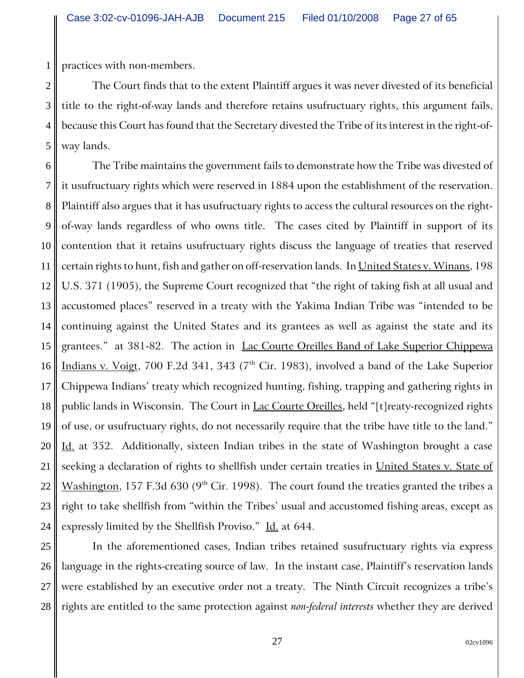1 practices with non-members.

2 3 4 5 The Court finds that to the extent Plaintiff argues it was never divested of its beneficial title to the right-of-way lands and therefore retains usufructuary rights, this argument fails, because this Court has found that the Secretary divested the Tribe of its interest in the right-ofway lands.

6 7 8 9 10 11 12 13 14 15 16 17 18 19 20 21 22 23 24 The Tribe maintains the government fails to demonstrate how the Tribe was divested of it usufructuary rights which were reserved in 1884 upon the establishment of the reservation. Plaintiff also argues that it has usufructuary rights to access the cultural resources on the rightof-way lands regardless of who owns title. The cases cited by Plaintiff in support of its contention that it retains usufructuary rights discuss the language of treaties that reserved certain rights to hunt, fish and gather on off-reservation lands. In United States v. Winans, 198 U.S. 371 (1905), the Supreme Court recognized that "the right of taking fish at all usual and accustomed places" reserved in a treaty with the Yakima Indian Tribe was "intended to be continuing against the United States and its grantees as well as against the state and its grantees." at 381-82. The action in Lac Courte Oreilles Band of Lake Superior Chippewa Indians v. Voigt, 700 F.2d 341, 343 ( $7<sup>th</sup>$  Cir. 1983), involved a band of the Lake Superior Chippewa Indians' treaty which recognized hunting, fishing, trapping and gathering rights in public lands in Wisconsin. The Court in Lac Courte Oreilles, held "[t] reaty-recognized rights of use, or usufructuary rights, do not necessarily require that the tribe have title to the land." Id. at 352. Additionally, sixteen Indian tribes in the state of Washington brought a case seeking a declaration of rights to shellfish under certain treaties in United States v. State of Washington, 157 F.3d 630 ( $9<sup>th</sup>$  Cir. 1998). The court found the treaties granted the tribes a right to take shellfish from "within the Tribes' usual and accustomed fishing areas, except as expressly limited by the Shellfish Proviso." Id. at 644.

25 26 27 28 In the aforementioned cases, Indian tribes retained susufructuary rights via express language in the rights-creating source of law. In the instant case, Plaintiff's reservation lands were established by an executive order not a treaty. The Ninth Circuit recognizes a tribe's rights are entitled to the same protection against *non-federal interests* whether they are derived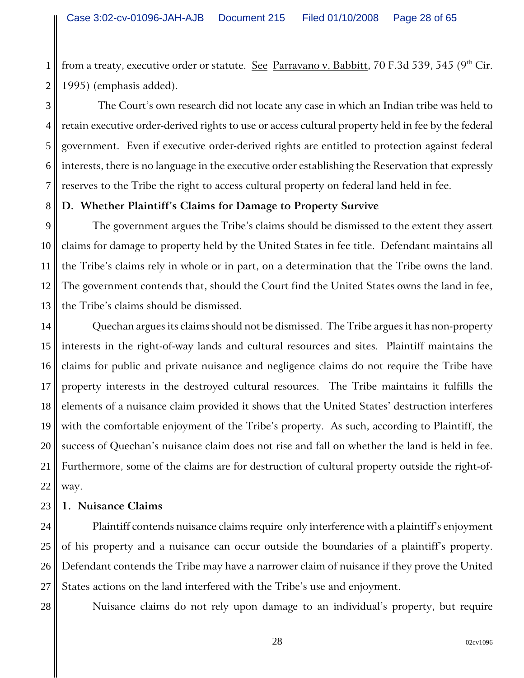2 from a treaty, executive order or statute. See Parravano v. Babbitt, 70 F.3d 539, 545 (9<sup>th</sup> Cir. 1995) (emphasis added).

3 4 5 6 7 The Court's own research did not locate any case in which an Indian tribe was held to retain executive order-derived rights to use or access cultural property held in fee by the federal government. Even if executive order-derived rights are entitled to protection against federal interests, there is no language in the executive order establishing the Reservation that expressly reserves to the Tribe the right to access cultural property on federal land held in fee.

### **D. Whether Plaintiff's Claims for Damage to Property Survive**

9 10 11 12 13 The government argues the Tribe's claims should be dismissed to the extent they assert claims for damage to property held by the United States in fee title. Defendant maintains all the Tribe's claims rely in whole or in part, on a determination that the Tribe owns the land. The government contends that, should the Court find the United States owns the land in fee, the Tribe's claims should be dismissed.

14 15 16 17 18 19 20 21 22 Quechan argues its claims should not be dismissed. The Tribe argues it has non-property interests in the right-of-way lands and cultural resources and sites. Plaintiff maintains the claims for public and private nuisance and negligence claims do not require the Tribe have property interests in the destroyed cultural resources. The Tribe maintains it fulfills the elements of a nuisance claim provided it shows that the United States' destruction interferes with the comfortable enjoyment of the Tribe's property. As such, according to Plaintiff, the success of Quechan's nuisance claim does not rise and fall on whether the land is held in fee. Furthermore, some of the claims are for destruction of cultural property outside the right-ofway.

#### 23 **1. Nuisance Claims**

1

8

28

24 25 26 27 Plaintiff contends nuisance claims require only interference with a plaintiff's enjoyment of his property and a nuisance can occur outside the boundaries of a plaintiff's property. Defendant contends the Tribe may have a narrower claim of nuisance if they prove the United States actions on the land interfered with the Tribe's use and enjoyment.

Nuisance claims do not rely upon damage to an individual's property, but require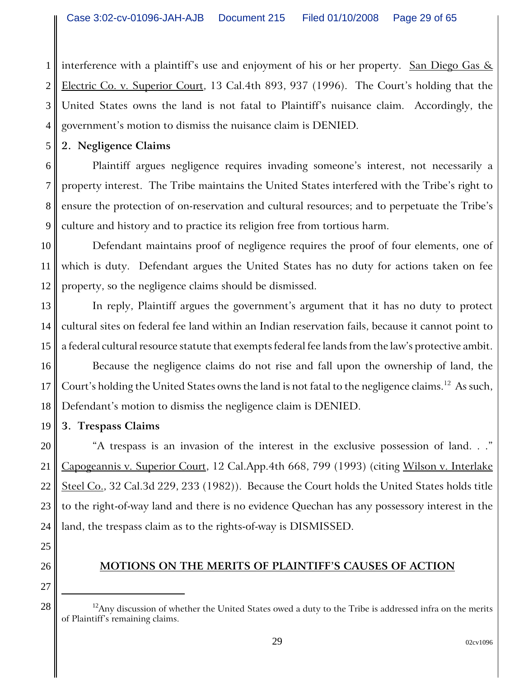1 2 3 4 interference with a plaintiff's use and enjoyment of his or her property. San Diego Gas  $\&$ Electric Co. v. Superior Court, 13 Cal.4th 893, 937 (1996). The Court's holding that the United States owns the land is not fatal to Plaintiff's nuisance claim. Accordingly, the government's motion to dismiss the nuisance claim is DENIED.

**2. Negligence Claims**

5

6 7 8 9 Plaintiff argues negligence requires invading someone's interest, not necessarily a property interest. The Tribe maintains the United States interfered with the Tribe's right to ensure the protection of on-reservation and cultural resources; and to perpetuate the Tribe's culture and history and to practice its religion free from tortious harm.

10 11 12 Defendant maintains proof of negligence requires the proof of four elements, one of which is duty. Defendant argues the United States has no duty for actions taken on fee property, so the negligence claims should be dismissed.

13 14 15 In reply, Plaintiff argues the government's argument that it has no duty to protect cultural sites on federal fee land within an Indian reservation fails, because it cannot point to a federal cultural resource statute that exempts federal fee lands from the law's protective ambit.

16 17 18 Because the negligence claims do not rise and fall upon the ownership of land, the Court's holding the United States owns the land is not fatal to the negligence claims.<sup>12</sup> As such, Defendant's motion to dismiss the negligence claim is DENIED.

19 **3. Trespass Claims**

20 21 22 23 24 "A trespass is an invasion of the interest in the exclusive possession of land. . ." Capogeannis v. Superior Court, 12 Cal.App.4th 668, 799 (1993) (citing Wilson v. Interlake Steel Co., 32 Cal.3d 229, 233 (1982)). Because the Court holds the United States holds title to the right-of-way land and there is no evidence Quechan has any possessory interest in the land, the trespass claim as to the rights-of-way is DISMISSED.

26 27

25

# **MOTIONS ON THE MERITS OF PLAINTIFF'S CAUSES OF ACTION**

 $28 \parallel$  <sup>12</sup>Any discussion of whether the United States owed a duty to the Tribe is addressed infra on the merits of Plaintiff's remaining claims.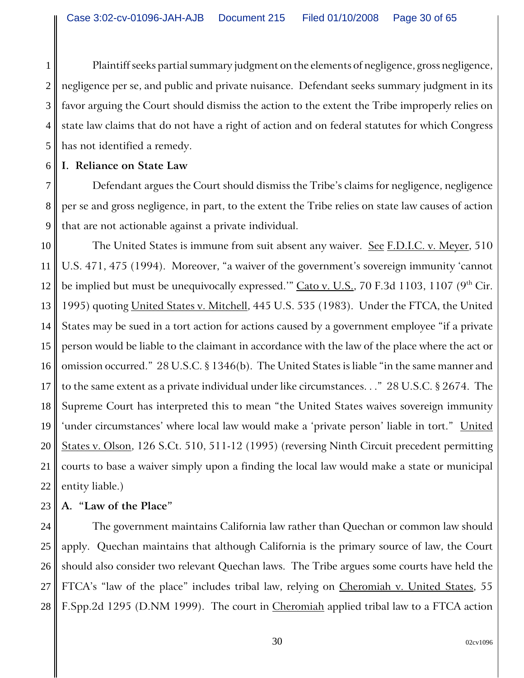1 2 3 4 5 Plaintiff seeks partial summary judgment on the elements of negligence, gross negligence, negligence per se, and public and private nuisance. Defendant seeks summary judgment in its favor arguing the Court should dismiss the action to the extent the Tribe improperly relies on state law claims that do not have a right of action and on federal statutes for which Congress has not identified a remedy.

## **I. Reliance on State Law**

6

7

8 9 Defendant argues the Court should dismiss the Tribe's claims for negligence, negligence per se and gross negligence, in part, to the extent the Tribe relies on state law causes of action that are not actionable against a private individual.

10 11 12 13 14 15 16 17 18 19 20 21 22 The United States is immune from suit absent any waiver. See F.D.I.C. v. Meyer, 510 U.S. 471, 475 (1994). Moreover, "a waiver of the government's sovereign immunity 'cannot be implied but must be unequivocally expressed."  $\overline{Cat}$   $\overline{v}$ . U.S., 70 F.3d 1103, 1107 (9<sup>th</sup> Cir. 1995) quoting United States v. Mitchell, 445 U.S. 535 (1983). Under the FTCA, the United States may be sued in a tort action for actions caused by a government employee "if a private person would be liable to the claimant in accordance with the law of the place where the act or omission occurred." 28 U.S.C. § 1346(b). The United States is liable "in the same manner and to the same extent as a private individual under like circumstances. . ." 28 U.S.C. § 2674. The Supreme Court has interpreted this to mean "the United States waives sovereign immunity 'under circumstances' where local law would make a 'private person' liable in tort." United States v. Olson, 126 S.Ct. 510, 511-12 (1995) (reversing Ninth Circuit precedent permitting courts to base a waiver simply upon a finding the local law would make a state or municipal entity liable.)

#### 23 **A. "Law of the Place"**

24 25 26 27 28 The government maintains California law rather than Quechan or common law should apply. Quechan maintains that although California is the primary source of law, the Court should also consider two relevant Quechan laws. The Tribe argues some courts have held the FTCA's "law of the place" includes tribal law, relying on Cheromiah v. United States, 55 F.Spp.2d 1295 (D.NM 1999). The court in Cheromiah applied tribal law to a FTCA action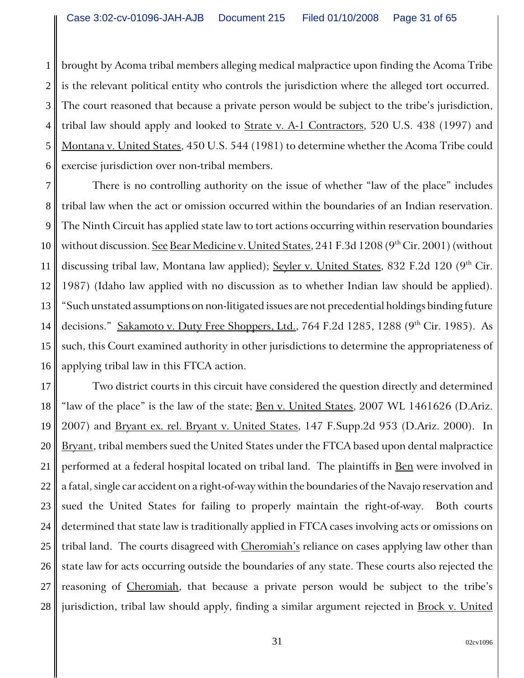1 2 3 4 5 6 brought by Acoma tribal members alleging medical malpractice upon finding the Acoma Tribe is the relevant political entity who controls the jurisdiction where the alleged tort occurred. The court reasoned that because a private person would be subject to the tribe's jurisdiction, tribal law should apply and looked to **Strate v. A-1 Contractors**, 520 U.S. 438 (1997) and Montana v. United States, 450 U.S. 544 (1981) to determine whether the Acoma Tribe could exercise jurisdiction over non-tribal members.

7 8 9 10 11 12 13 14 15 16 There is no controlling authority on the issue of whether "law of the place" includes tribal law when the act or omission occurred within the boundaries of an Indian reservation. The Ninth Circuit has applied state law to tort actions occurring within reservation boundaries without discussion. See Bear Medicine v. United States, 241 F.3d 1208 (9<sup>th</sup> Cir. 2001) (without discussing tribal law, Montana law applied); Seyler v. United States, 832 F.2d 120 (9<sup>th</sup> Cir. 1987) (Idaho law applied with no discussion as to whether Indian law should be applied). "Such unstated assumptions on non-litigated issues are not precedential holdings binding future decisions." Sakamoto v. Duty Free Shoppers, Ltd., 764 F.2d 1285, 1288 (9<sup>th</sup> Cir. 1985). As such, this Court examined authority in other jurisdictions to determine the appropriateness of applying tribal law in this FTCA action.

17 18 19 20 21 22 23 24 25 26 27 28 Two district courts in this circuit have considered the question directly and determined "law of the place" is the law of the state; <u>Ben v. United States</u>, 2007 WL 1461626 (D.Ariz. 2007) and Bryant ex. rel. Bryant v. United States, 147 F. Supp. 2d 953 (D. Ariz. 2000). In Bryant, tribal members sued the United States under the FTCA based upon dental malpractice performed at a federal hospital located on tribal land. The plaintiffs in <u>Ben</u> were involved in a fatal, single car accident on a right-of-way within the boundaries of the Navajo reservation and sued the United States for failing to properly maintain the right-of-way. Both courts determined that state law is traditionally applied in FTCA cases involving acts or omissions on tribal land. The courts disagreed with Cheromiah's reliance on cases applying law other than state law for acts occurring outside the boundaries of any state. These courts also rejected the reasoning of Cheromiah, that because a private person would be subject to the tribe's jurisdiction, tribal law should apply, finding a similar argument rejected in **Brock v. United**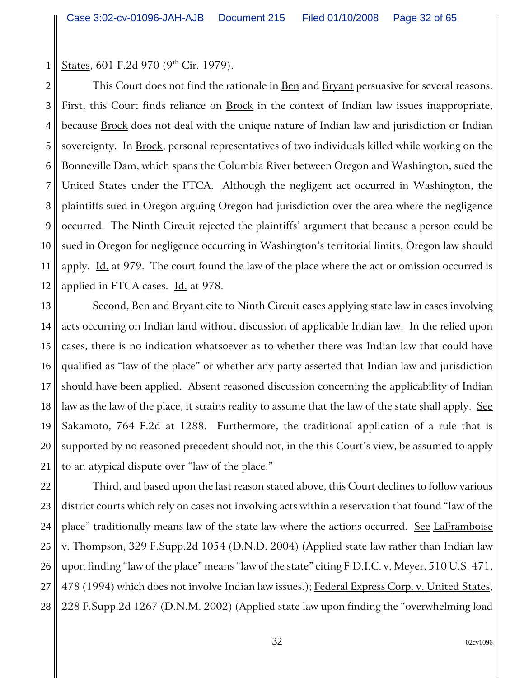1 States, 601 F.2d 970 (9<sup>th</sup> Cir. 1979).

2 3 4 5 6 7 8 9 10 11 12 This Court does not find the rationale in Ben and Bryant persuasive for several reasons. First, this Court finds reliance on **Brock** in the context of Indian law issues inappropriate, because **Brock** does not deal with the unique nature of Indian law and jurisdiction or Indian sovereignty. In Brock, personal representatives of two individuals killed while working on the Bonneville Dam, which spans the Columbia River between Oregon and Washington, sued the United States under the FTCA. Although the negligent act occurred in Washington, the plaintiffs sued in Oregon arguing Oregon had jurisdiction over the area where the negligence occurred. The Ninth Circuit rejected the plaintiffs' argument that because a person could be sued in Oregon for negligence occurring in Washington's territorial limits, Oregon law should apply. <u>Id.</u> at 979. The court found the law of the place where the act or omission occurred is applied in FTCA cases. Id. at 978.

13 14 15 16 17 18 19 20 21 Second, <u>Ben</u> and **Bryant** cite to Ninth Circuit cases applying state law in cases involving acts occurring on Indian land without discussion of applicable Indian law. In the relied upon cases, there is no indication whatsoever as to whether there was Indian law that could have qualified as "law of the place" or whether any party asserted that Indian law and jurisdiction should have been applied. Absent reasoned discussion concerning the applicability of Indian law as the law of the place, it strains reality to assume that the law of the state shall apply. See Sakamoto, 764 F.2d at 1288. Furthermore, the traditional application of a rule that is supported by no reasoned precedent should not, in the this Court's view, be assumed to apply to an atypical dispute over "law of the place."

22 23 24 25 26 27 28 Third, and based upon the last reason stated above, this Court declines to follow various district courts which rely on cases not involving acts within a reservation that found "law of the place" traditionally means law of the state law where the actions occurred. See LaFramboise v. Thompson, 329 F.Supp.2d 1054 (D.N.D. 2004) (Applied state law rather than Indian law upon finding "law of the place" means "law of the state" citing  $F.D.I.C. v. Meyer, 510 U.S. 471,$ 478 (1994) which does not involve Indian law issues.); Federal Express Corp. v. United States, 228 F.Supp.2d 1267 (D.N.M. 2002) (Applied state law upon finding the "overwhelming load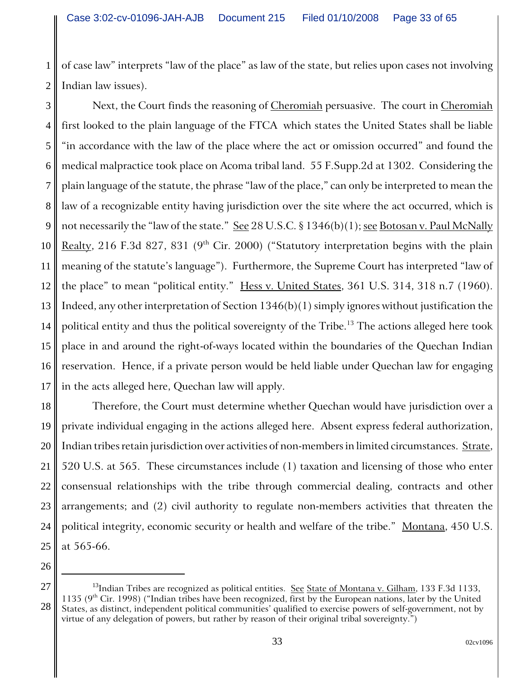1 2 of case law" interprets "law of the place" as law of the state, but relies upon cases not involving Indian law issues).

3 4 5 6 7 8 9 10 11 12 13 14 15 16 17 Next, the Court finds the reasoning of Cheromiah persuasive. The court in Cheromiah first looked to the plain language of the FTCA which states the United States shall be liable "in accordance with the law of the place where the act or omission occurred" and found the medical malpractice took place on Acoma tribal land. 55 F.Supp.2d at 1302. Considering the plain language of the statute, the phrase "law of the place," can only be interpreted to mean the law of a recognizable entity having jurisdiction over the site where the act occurred, which is not necessarily the "law of the state." See 28 U.S.C. § 1346(b)(1); see Botosan v. Paul McNally Realty, 216 F.3d 827, 831 ( $9<sup>th</sup>$  Cir. 2000) ("Statutory interpretation begins with the plain meaning of the statute's language"). Furthermore, the Supreme Court has interpreted "law of the place" to mean "political entity." Hess v. United States, 361 U.S. 314, 318 n.7 (1960). Indeed, any other interpretation of Section 1346(b)(1) simply ignores without justification the political entity and thus the political sovereignty of the Tribe.<sup>13</sup> The actions alleged here took place in and around the right-of-ways located within the boundaries of the Quechan Indian reservation. Hence, if a private person would be held liable under Quechan law for engaging in the acts alleged here, Quechan law will apply.

18 19 20 21 22 23 24 25 Therefore, the Court must determine whether Quechan would have jurisdiction over a private individual engaging in the actions alleged here. Absent express federal authorization, Indian tribes retain jurisdiction over activities of non-members in limited circumstances. Strate, 520 U.S. at 565. These circumstances include (1) taxation and licensing of those who enter consensual relationships with the tribe through commercial dealing, contracts and other arrangements; and (2) civil authority to regulate non-members activities that threaten the political integrity, economic security or health and welfare of the tribe." Montana, 450 U.S. at 565-66.

<sup>26</sup> 27 28

<sup>&</sup>lt;sup>13</sup>Indian Tribes are recognized as political entities. See State of Montana v. Gilham, 133 F.3d 1133, 1135 (9th Cir. 1998) ("Indian tribes have been recognized, first by the European nations, later by the United States, as distinct, independent political communities' qualified to exercise powers of self-government, not by virtue of any delegation of powers, but rather by reason of their original tribal sovereignty.")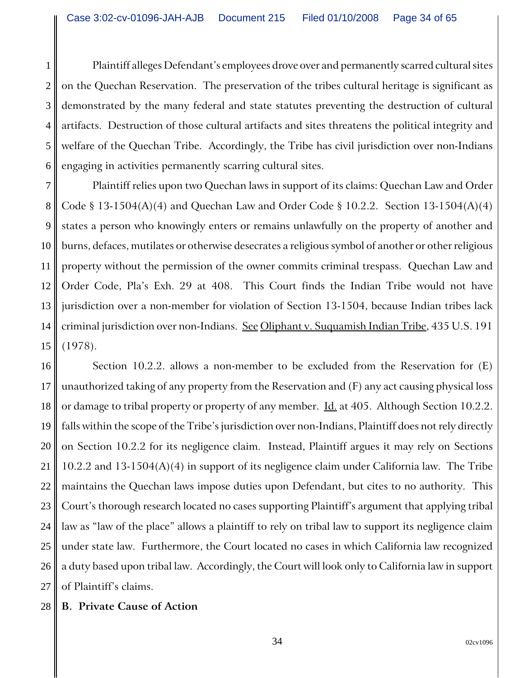2 3 4 5 6 Plaintiff alleges Defendant's employees drove over and permanently scarred cultural sites on the Quechan Reservation. The preservation of the tribes cultural heritage is significant as demonstrated by the many federal and state statutes preventing the destruction of cultural artifacts. Destruction of those cultural artifacts and sites threatens the political integrity and welfare of the Quechan Tribe. Accordingly, the Tribe has civil jurisdiction over non-Indians engaging in activities permanently scarring cultural sites.

7 8 9 10 11 12 13 14 15 Plaintiff relies upon two Quechan laws in support of its claims: Quechan Law and Order Code § 13-1504(A)(4) and Quechan Law and Order Code § 10.2.2. Section 13-1504(A)(4) states a person who knowingly enters or remains unlawfully on the property of another and burns, defaces, mutilates or otherwise desecrates a religious symbol of another or other religious property without the permission of the owner commits criminal trespass. Quechan Law and Order Code, Pla's Exh. 29 at 408. This Court finds the Indian Tribe would not have jurisdiction over a non-member for violation of Section 13-1504, because Indian tribes lack criminal jurisdiction over non-Indians. See Oliphant v. Suquamish Indian Tribe, 435 U.S. 191 (1978).

16 17 18 19 20 21 22 23 24 25 26 27 Section 10.2.2. allows a non-member to be excluded from the Reservation for (E) unauthorized taking of any property from the Reservation and (F) any act causing physical loss or damage to tribal property or property of any member. **Id.** at 405. Although Section 10.2.2. falls within the scope of the Tribe's jurisdiction over non-Indians, Plaintiff does not rely directly on Section 10.2.2 for its negligence claim. Instead, Plaintiff argues it may rely on Sections 10.2.2 and 13-1504(A)(4) in support of its negligence claim under California law. The Tribe maintains the Quechan laws impose duties upon Defendant, but cites to no authority. This Court's thorough research located no cases supporting Plaintiff's argument that applying tribal law as "law of the place" allows a plaintiff to rely on tribal law to support its negligence claim under state law. Furthermore, the Court located no cases in which California law recognized a duty based upon tribal law. Accordingly, the Court will look only to California law in support of Plaintiff's claims.

#### 28 **B. Private Cause of Action**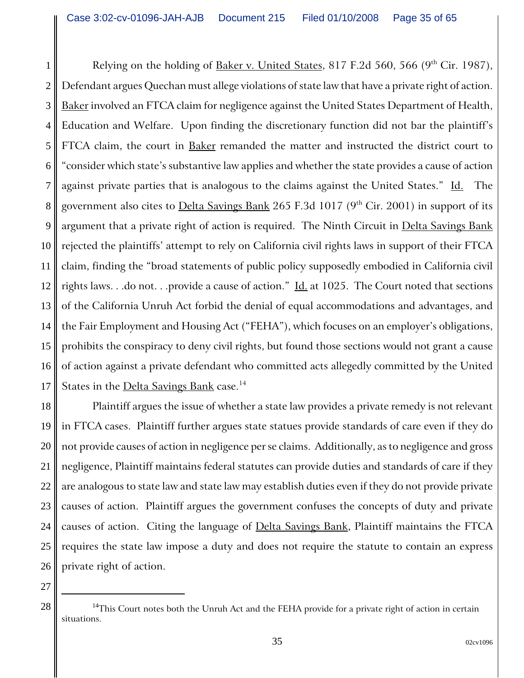1 2 3 4 5 6 7 8 9 10 11 12 13 14 15 16 17 Relying on the holding of Baker v. United States, 817 F.2d 560, 566 ( $9<sup>th</sup>$  Cir. 1987), Defendant argues Quechan must allege violations of state law that have a private right of action. Baker involved an FTCA claim for negligence against the United States Department of Health, Education and Welfare. Upon finding the discretionary function did not bar the plaintiff's FTCA claim, the court in Baker remanded the matter and instructed the district court to "consider which state's substantive law applies and whether the state provides a cause of action against private parties that is analogous to the claims against the United States." Id. The government also cites to **Delta Savings Bank** 265 F.3d 1017 (9<sup>th</sup> Cir. 2001) in support of its argument that a private right of action is required. The Ninth Circuit in Delta Savings Bank rejected the plaintiffs' attempt to rely on California civil rights laws in support of their FTCA claim, finding the "broad statements of public policy supposedly embodied in California civil rights laws. . .do not. . .provide a cause of action."  $\underline{Id}$  at 1025. The Court noted that sections of the California Unruh Act forbid the denial of equal accommodations and advantages, and the Fair Employment and Housing Act ("FEHA"), which focuses on an employer's obligations, prohibits the conspiracy to deny civil rights, but found those sections would not grant a cause of action against a private defendant who committed acts allegedly committed by the United States in the Delta Savings Bank case.<sup>14</sup>

18 19 20 21 22 23 24 25 26 Plaintiff argues the issue of whether a state law provides a private remedy is not relevant in FTCA cases. Plaintiff further argues state statues provide standards of care even if they do not provide causes of action in negligence per se claims. Additionally, as to negligence and gross negligence, Plaintiff maintains federal statutes can provide duties and standards of care if they are analogous to state law and state law may establish duties even if they do not provide private causes of action. Plaintiff argues the government confuses the concepts of duty and private causes of action. Citing the language of Delta Savings Bank, Plaintiff maintains the FTCA requires the state law impose a duty and does not require the statute to contain an express private right of action.

 $28 \parallel$  <sup>14</sup>This Court notes both the Unruh Act and the FEHA provide for a private right of action in certain situations.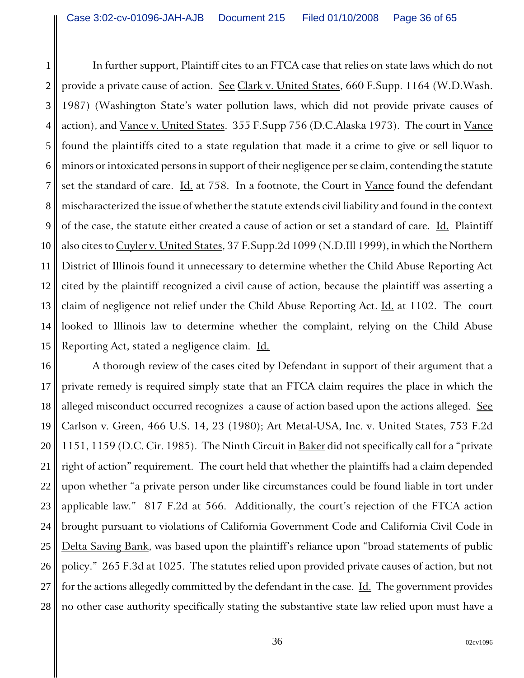1 2 3 4 5 6 7 8 9 10 11 12 13 14 15 In further support, Plaintiff cites to an FTCA case that relies on state laws which do not provide a private cause of action. See Clark v. United States, 660 F. Supp. 1164 (W.D. Wash. 1987) (Washington State's water pollution laws, which did not provide private causes of action), and Vance v. United States. 355 F. Supp 756 (D.C. Alaska 1973). The court in Vance found the plaintiffs cited to a state regulation that made it a crime to give or sell liquor to minors or intoxicated persons in support of their negligence per se claim, contending the statute set the standard of care. Id. at 758. In a footnote, the Court in Vance found the defendant mischaracterized the issue of whether the statute extends civil liability and found in the context of the case, the statute either created a cause of action or set a standard of care. Id. Plaintiff also cites to Cuyler v. United States, 37 F.Supp.2d 1099 (N.D.Ill 1999), in which the Northern District of Illinois found it unnecessary to determine whether the Child Abuse Reporting Act cited by the plaintiff recognized a civil cause of action, because the plaintiff was asserting a claim of negligence not relief under the Child Abuse Reporting Act. Id. at 1102. The court looked to Illinois law to determine whether the complaint, relying on the Child Abuse Reporting Act, stated a negligence claim. Id.

16 17 18 19 20 21 22 23 24 25 26 27 28 A thorough review of the cases cited by Defendant in support of their argument that a private remedy is required simply state that an FTCA claim requires the place in which the alleged misconduct occurred recognizes a cause of action based upon the actions alleged. See Carlson v. Green, 466 U.S. 14, 23 (1980); Art Metal-USA, Inc. v. United States, 753 F.2d 1151, 1159 (D.C. Cir. 1985). The Ninth Circuit in **Baker** did not specifically call for a "private" right of action" requirement. The court held that whether the plaintiffs had a claim depended upon whether "a private person under like circumstances could be found liable in tort under applicable law." 817 F.2d at 566. Additionally, the court's rejection of the FTCA action brought pursuant to violations of California Government Code and California Civil Code in Delta Saving Bank, was based upon the plaintiff's reliance upon "broad statements of public policy." 265 F.3d at 1025. The statutes relied upon provided private causes of action, but not for the actions allegedly committed by the defendant in the case. Id. The government provides no other case authority specifically stating the substantive state law relied upon must have a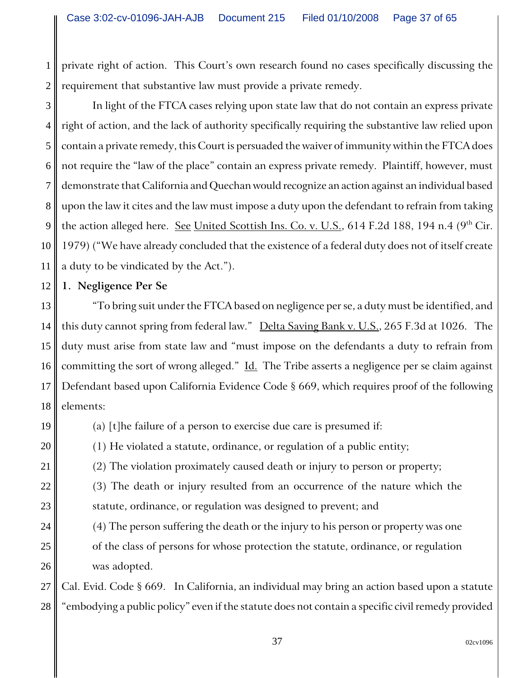1 2 private right of action. This Court's own research found no cases specifically discussing the requirement that substantive law must provide a private remedy.

3 4 5 6 7 8 9 10 11 In light of the FTCA cases relying upon state law that do not contain an express private right of action, and the lack of authority specifically requiring the substantive law relied upon contain a private remedy, this Court is persuaded the waiver of immunity within the FTCA does not require the "law of the place" contain an express private remedy. Plaintiff, however, must demonstrate that California and Quechan would recognize an action against an individual based upon the law it cites and the law must impose a duty upon the defendant to refrain from taking the action alleged here. See United Scottish Ins. Co. v. U.S., 614 F.2d 188, 194 n.4 ( $9<sup>th</sup>$  Cir. 1979) ("We have already concluded that the existence of a federal duty does not of itself create a duty to be vindicated by the Act.").

### **1. Negligence Per Se**

13 14 15 16 17 18 "To bring suit under the FTCA based on negligence per se, a duty must be identified, and this duty cannot spring from federal law." Delta Saving Bank v. U.S., 265 F.3d at 1026. The duty must arise from state law and "must impose on the defendants a duty to refrain from committing the sort of wrong alleged." Id. The Tribe asserts a negligence per se claim against Defendant based upon California Evidence Code § 669, which requires proof of the following elements:

19

20

21

22

23

24

25

26

12

(a) [t]he failure of a person to exercise due care is presumed if:

(1) He violated a statute, ordinance, or regulation of a public entity;

(2) The violation proximately caused death or injury to person or property;

(3) The death or injury resulted from an occurrence of the nature which the statute, ordinance, or regulation was designed to prevent; and

(4) The person suffering the death or the injury to his person or property was one of the class of persons for whose protection the statute, ordinance, or regulation was adopted.

27 28 Cal. Evid. Code § 669. In California, an individual may bring an action based upon a statute "embodying a public policy" even if the statute does not contain a specific civil remedy provided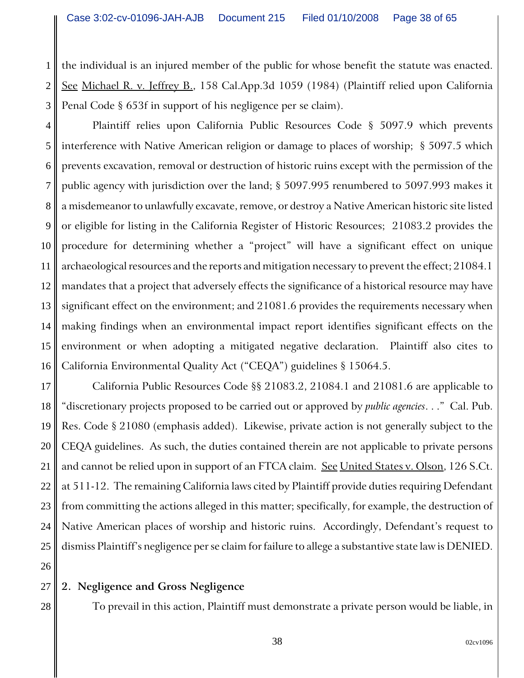1 2 3 the individual is an injured member of the public for whose benefit the statute was enacted. See Michael R. v. Jeffrey B., 158 Cal.App.3d 1059 (1984) (Plaintiff relied upon California Penal Code § 653f in support of his negligence per se claim).

4 5 6 7 8 9 10 11 12 13 14 15 16 Plaintiff relies upon California Public Resources Code § 5097.9 which prevents interference with Native American religion or damage to places of worship; § 5097.5 which prevents excavation, removal or destruction of historic ruins except with the permission of the public agency with jurisdiction over the land; § 5097.995 renumbered to 5097.993 makes it a misdemeanor to unlawfully excavate, remove, or destroy a Native American historic site listed or eligible for listing in the California Register of Historic Resources; 21083.2 provides the procedure for determining whether a "project" will have a significant effect on unique archaeological resources and the reports and mitigation necessary to prevent the effect; 21084.1 mandates that a project that adversely effects the significance of a historical resource may have significant effect on the environment; and 21081.6 provides the requirements necessary when making findings when an environmental impact report identifies significant effects on the environment or when adopting a mitigated negative declaration. Plaintiff also cites to California Environmental Quality Act ("CEQA") guidelines § 15064.5.

17 18 19 20 21 22 23 24 25 California Public Resources Code §§ 21083.2, 21084.1 and 21081.6 are applicable to "discretionary projects proposed to be carried out or approved by *public agencies*. . ." Cal. Pub. Res. Code § 21080 (emphasis added). Likewise, private action is not generally subject to the CEQA guidelines. As such, the duties contained therein are not applicable to private persons and cannot be relied upon in support of an FTCA claim. <u>See United States v. Olson</u>, 126 S.Ct. at 511-12. The remaining California laws cited by Plaintiff provide duties requiring Defendant from committing the actions alleged in this matter; specifically, for example, the destruction of Native American places of worship and historic ruins. Accordingly, Defendant's request to dismiss Plaintiff's negligence per se claim for failure to allege a substantive state law is DENIED.

27 **2. Negligence and Gross Negligence**

26

28

To prevail in this action, Plaintiff must demonstrate a private person would be liable, in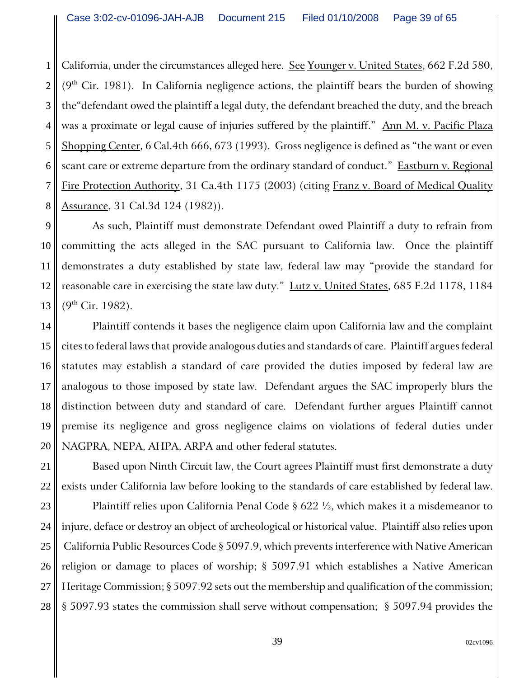1 2 3 4 5 6 7 8 California, under the circumstances alleged here. See Younger v. United States, 662 F.2d 580,  $(9<sup>th</sup> Cir. 1981)$ . In California negligence actions, the plaintiff bears the burden of showing the"defendant owed the plaintiff a legal duty, the defendant breached the duty, and the breach was a proximate or legal cause of injuries suffered by the plaintiff." Ann M. v. Pacific Plaza Shopping Center, 6 Cal.4th 666, 673 (1993). Gross negligence is defined as "the want or even scant care or extreme departure from the ordinary standard of conduct." Eastburn v. Regional Fire Protection Authority, 31 Ca.4th 1175 (2003) (citing Franz v. Board of Medical Quality Assurance, 31 Cal.3d 124 (1982)).

9 10 11 12 13 As such, Plaintiff must demonstrate Defendant owed Plaintiff a duty to refrain from committing the acts alleged in the SAC pursuant to California law. Once the plaintiff demonstrates a duty established by state law, federal law may "provide the standard for reasonable care in exercising the state law duty." Lutz v. United States, 685 F.2d 1178, 1184  $(9^{th}$  Cir. 1982).

14 15 16 17 18 19 20 Plaintiff contends it bases the negligence claim upon California law and the complaint cites to federal laws that provide analogous duties and standards of care. Plaintiff argues federal statutes may establish a standard of care provided the duties imposed by federal law are analogous to those imposed by state law. Defendant argues the SAC improperly blurs the distinction between duty and standard of care. Defendant further argues Plaintiff cannot premise its negligence and gross negligence claims on violations of federal duties under NAGPRA, NEPA, AHPA, ARPA and other federal statutes.

21 22 Based upon Ninth Circuit law, the Court agrees Plaintiff must first demonstrate a duty exists under California law before looking to the standards of care established by federal law.

23 24 25 26 27 28 Plaintiff relies upon California Penal Code  $\S 622 \frac{1}{2}$ , which makes it a misdemeanor to injure, deface or destroy an object of archeological or historical value. Plaintiff also relies upon California Public Resources Code § 5097.9, which prevents interference with Native American religion or damage to places of worship; § 5097.91 which establishes a Native American Heritage Commission; § 5097.92 sets out the membership and qualification of the commission; § 5097.93 states the commission shall serve without compensation; § 5097.94 provides the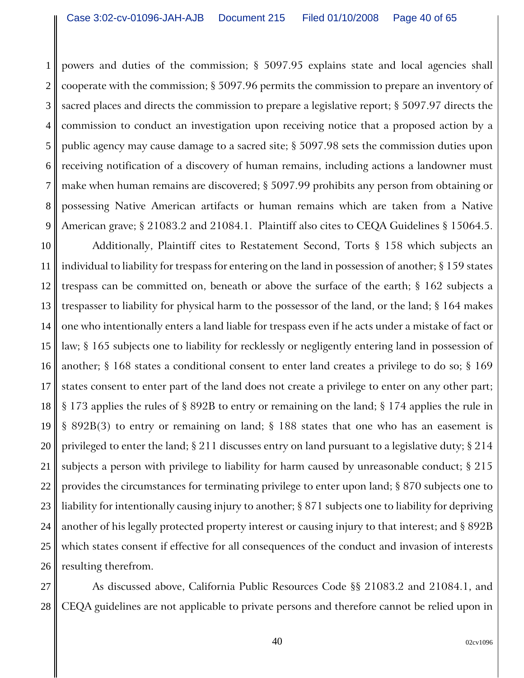1

2

3

4

5

6

7

8

9

powers and duties of the commission; § 5097.95 explains state and local agencies shall cooperate with the commission; § 5097.96 permits the commission to prepare an inventory of sacred places and directs the commission to prepare a legislative report; § 5097.97 directs the commission to conduct an investigation upon receiving notice that a proposed action by a public agency may cause damage to a sacred site; § 5097.98 sets the commission duties upon receiving notification of a discovery of human remains, including actions a landowner must make when human remains are discovered; § 5097.99 prohibits any person from obtaining or possessing Native American artifacts or human remains which are taken from a Native American grave; § 21083.2 and 21084.1. Plaintiff also cites to CEQA Guidelines § 15064.5.

10 11 12 13 14 15 16 17 18 19 20 21 22 23 24 25 26 Additionally, Plaintiff cites to Restatement Second, Torts § 158 which subjects an individual to liability for trespass for entering on the land in possession of another; § 159 states trespass can be committed on, beneath or above the surface of the earth; § 162 subjects a trespasser to liability for physical harm to the possessor of the land, or the land; § 164 makes one who intentionally enters a land liable for trespass even if he acts under a mistake of fact or law; § 165 subjects one to liability for recklessly or negligently entering land in possession of another; § 168 states a conditional consent to enter land creates a privilege to do so; § 169 states consent to enter part of the land does not create a privilege to enter on any other part; § 173 applies the rules of § 892B to entry or remaining on the land; § 174 applies the rule in § 892B(3) to entry or remaining on land; § 188 states that one who has an easement is privileged to enter the land; § 211 discusses entry on land pursuant to a legislative duty; § 214 subjects a person with privilege to liability for harm caused by unreasonable conduct; § 215 provides the circumstances for terminating privilege to enter upon land; § 870 subjects one to liability for intentionally causing injury to another; § 871 subjects one to liability for depriving another of his legally protected property interest or causing injury to that interest; and § 892B which states consent if effective for all consequences of the conduct and invasion of interests resulting therefrom.

27 28 As discussed above, California Public Resources Code §§ 21083.2 and 21084.1, and CEQA guidelines are not applicable to private persons and therefore cannot be relied upon in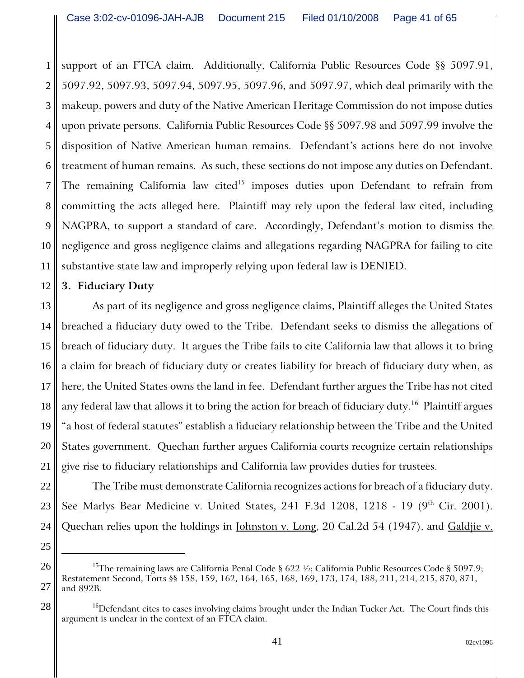1 2 3 4 5 6 7 8 9 10 11 support of an FTCA claim. Additionally, California Public Resources Code §§ 5097.91, 5097.92, 5097.93, 5097.94, 5097.95, 5097.96, and 5097.97, which deal primarily with the makeup, powers and duty of the Native American Heritage Commission do not impose duties upon private persons. California Public Resources Code §§ 5097.98 and 5097.99 involve the disposition of Native American human remains. Defendant's actions here do not involve treatment of human remains. As such, these sections do not impose any duties on Defendant. The remaining California law cited<sup>15</sup> imposes duties upon Defendant to refrain from committing the acts alleged here. Plaintiff may rely upon the federal law cited, including NAGPRA, to support a standard of care. Accordingly, Defendant's motion to dismiss the negligence and gross negligence claims and allegations regarding NAGPRA for failing to cite substantive state law and improperly relying upon federal law is DENIED.

#### 12 **3. Fiduciary Duty**

22

23

24

25

28

13 14 15 16 17 18 19 20 21 As part of its negligence and gross negligence claims, Plaintiff alleges the United States breached a fiduciary duty owed to the Tribe. Defendant seeks to dismiss the allegations of breach of fiduciary duty. It argues the Tribe fails to cite California law that allows it to bring a claim for breach of fiduciary duty or creates liability for breach of fiduciary duty when, as here, the United States owns the land in fee. Defendant further argues the Tribe has not cited any federal law that allows it to bring the action for breach of fiduciary duty.<sup>16</sup> Plaintiff argues "a host of federal statutes" establish a fiduciary relationship between the Tribe and the United States government. Quechan further argues California courts recognize certain relationships give rise to fiduciary relationships and California law provides duties for trustees.

The Tribe must demonstrate California recognizes actions for breach of a fiduciary duty. See Marlys Bear Medicine v. United States, 241 F.3d 1208, 1218 - 19  $(9<sup>th</sup>$  Cir. 2001). Quechan relies upon the holdings in Johnston v. Long, 20 Cal.2d 54 (1947), and Galdjie v.

26 27 <sup>15</sup>The remaining laws are California Penal Code  $\S 622 \frac{1}{2}$ ; California Public Resources Code  $\S 5097.9$ ; Restatement Second, Torts §§ 158, 159, 162, 164, 165, 168, 169, 173, 174, 188, 211, 214, 215, 870, 871, and 892B.

<sup>&</sup>lt;sup>16</sup>Defendant cites to cases involving claims brought under the Indian Tucker Act. The Court finds this argument is unclear in the context of an FTCA claim.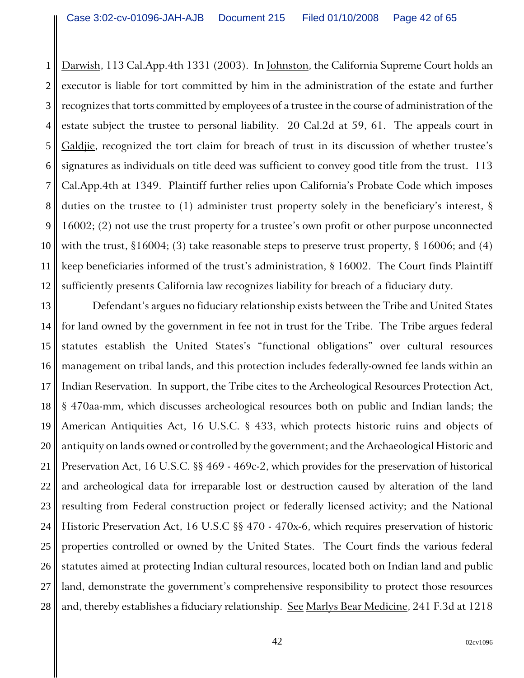1 2 3 4 5 6 7 8 9 10 11 12 Darwish, 113 Cal.App.4th 1331 (2003). In Johnston, the California Supreme Court holds an executor is liable for tort committed by him in the administration of the estate and further recognizes that torts committed by employees of a trustee in the course of administration of the estate subject the trustee to personal liability. 20 Cal.2d at 59, 61. The appeals court in Galdjie, recognized the tort claim for breach of trust in its discussion of whether trustee's signatures as individuals on title deed was sufficient to convey good title from the trust. 113 Cal.App.4th at 1349. Plaintiff further relies upon California's Probate Code which imposes duties on the trustee to (1) administer trust property solely in the beneficiary's interest, § 16002; (2) not use the trust property for a trustee's own profit or other purpose unconnected with the trust,  $\S16004$ ; (3) take reasonable steps to preserve trust property,  $\S16006$ ; and (4) keep beneficiaries informed of the trust's administration, § 16002. The Court finds Plaintiff sufficiently presents California law recognizes liability for breach of a fiduciary duty.

13 14 15 16 17 18 19 20 21 22 23 24 25 26 27 28 Defendant's argues no fiduciary relationship exists between the Tribe and United States for land owned by the government in fee not in trust for the Tribe. The Tribe argues federal statutes establish the United States's "functional obligations" over cultural resources management on tribal lands, and this protection includes federally-owned fee lands within an Indian Reservation. In support, the Tribe cites to the Archeological Resources Protection Act, § 470aa-mm, which discusses archeological resources both on public and Indian lands; the American Antiquities Act, 16 U.S.C. § 433, which protects historic ruins and objects of antiquity on lands owned or controlled by the government; and the Archaeological Historic and Preservation Act, 16 U.S.C. §§ 469 - 469c-2, which provides for the preservation of historical and archeological data for irreparable lost or destruction caused by alteration of the land resulting from Federal construction project or federally licensed activity; and the National Historic Preservation Act, 16 U.S.C §§ 470 - 470x-6, which requires preservation of historic properties controlled or owned by the United States. The Court finds the various federal statutes aimed at protecting Indian cultural resources, located both on Indian land and public land, demonstrate the government's comprehensive responsibility to protect those resources and, thereby establishes a fiduciary relationship. See Marlys Bear Medicine, 241 F.3d at 1218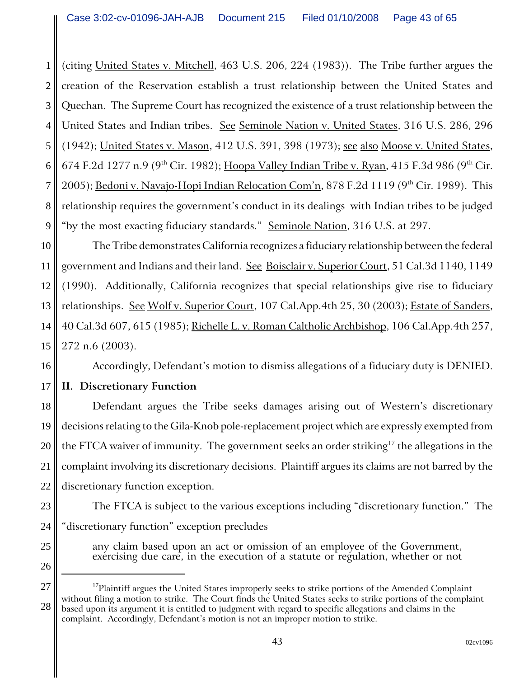1 2 3 4 5 6 7 8 9 (citing United States v. Mitchell, 463 U.S. 206, 224 (1983)). The Tribe further argues the creation of the Reservation establish a trust relationship between the United States and Quechan. The Supreme Court has recognized the existence of a trust relationship between the United States and Indian tribes. See Seminole Nation v. United States, 316 U.S. 286, 296 (1942); United States v. Mason, 412 U.S. 391, 398 (1973); see also Moose v. United States, 674 F.2d 1277 n.9 (9<sup>th</sup> Cir. 1982); Hoopa Valley Indian Tribe v. Ryan, 415 F.3d 986 (9<sup>th</sup> Cir. 2005); Bedoni v. Navajo-Hopi Indian Relocation Com'n, 878 F.2d 1119 (9<sup>th</sup> Cir. 1989). This relationship requires the government's conduct in its dealings with Indian tribes to be judged "by the most exacting fiduciary standards." Seminole Nation, 316 U.S. at 297.

10 11 12 13 14 15 The Tribe demonstrates California recognizes a fiduciary relationship between the federal government and Indians and their land. See Boisclair v. Superior Court, 51 Cal.3d 1140, 1149 (1990). Additionally, California recognizes that special relationships give rise to fiduciary relationships. See Wolf v. Superior Court, 107 Cal.App.4th 25, 30 (2003); Estate of Sanders, 40 Cal.3d 607, 615 (1985); Richelle L. v. Roman Caltholic Archbishop, 106 Cal.App.4th 257, 272 n.6 (2003).

Accordingly, Defendant's motion to dismiss allegations of a fiduciary duty is DENIED.

16 17

# **II. Discretionary Function**

18 19 20 21 22 Defendant argues the Tribe seeks damages arising out of Western's discretionary decisions relating to the Gila-Knob pole-replacement project which are expressly exempted from the FTCA waiver of immunity. The government seeks an order striking<sup>17</sup> the allegations in the complaint involving its discretionary decisions. Plaintiff argues its claims are not barred by the discretionary function exception.

The FTCA is subject to the various exceptions including "discretionary function." The "discretionary function" exception precludes

any claim based upon an act or omission of an employee of the Government, exercising due care, in the execution of a statute or regulation, whether or not

23

24

<sup>26</sup> 27

<sup>28</sup> <sup>17</sup>Plaintiff argues the United States improperly seeks to strike portions of the Amended Complaint without filing a motion to strike. The Court finds the United States seeks to strike portions of the complaint based upon its argument it is entitled to judgment with regard to specific allegations and claims in the complaint. Accordingly, Defendant's motion is not an improper motion to strike.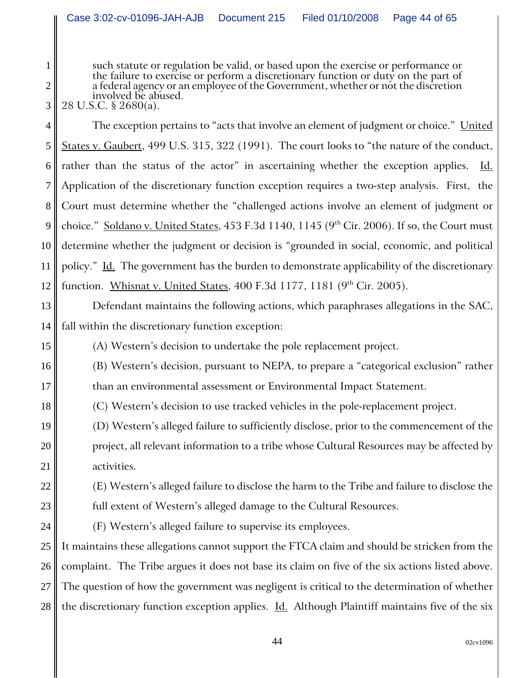such statute or regulation be valid, or based upon the exercise or performance or the failure to exercise or perform a discretionary function or duty on the part of a federal agency or an employee of the Government, whethe involved be abused.

28 U.S.C. § 2680(a).

1

2

3

15

16

17

18

19

20

21

22

23

24

4 5 6 7 8 9 10 11 12 The exception pertains to "acts that involve an element of judgment or choice." United States v. Gaubert, 499 U.S. 315, 322 (1991). The court looks to "the nature of the conduct, rather than the status of the actor" in ascertaining whether the exception applies.  $\underline{Id}$ . Application of the discretionary function exception requires a two-step analysis. First, the Court must determine whether the "challenged actions involve an element of judgment or choice." Soldano v. United States, 453 F.3d 1140, 1145 ( $9<sup>th</sup> Cir. 2006$ ). If so, the Court must determine whether the judgment or decision is "grounded in social, economic, and political policy." Id. The government has the burden to demonstrate applicability of the discretionary function. Whisnat v. United States, 400 F.3d 1177, 1181  $(9<sup>th</sup> Cir. 2005)$ .

13 14 Defendant maintains the following actions, which paraphrases allegations in the SAC, fall within the discretionary function exception:

(A) Western's decision to undertake the pole replacement project.

(B) Western's decision, pursuant to NEPA, to prepare a "categorical exclusion" rather than an environmental assessment or Environmental Impact Statement.

(C) Western's decision to use tracked vehicles in the pole-replacement project.

(D) Western's alleged failure to sufficiently disclose, prior to the commencement of the project, all relevant information to a tribe whose Cultural Resources may be affected by activities.

(E) Western's alleged failure to disclose the harm to the Tribe and failure to disclose the full extent of Western's alleged damage to the Cultural Resources.

(F) Western's alleged failure to supervise its employees.

25 26 27 28 It maintains these allegations cannot support the FTCA claim and should be stricken from the complaint. The Tribe argues it does not base its claim on five of the six actions listed above. The question of how the government was negligent is critical to the determination of whether the discretionary function exception applies. *Id.* Although Plaintiff maintains five of the six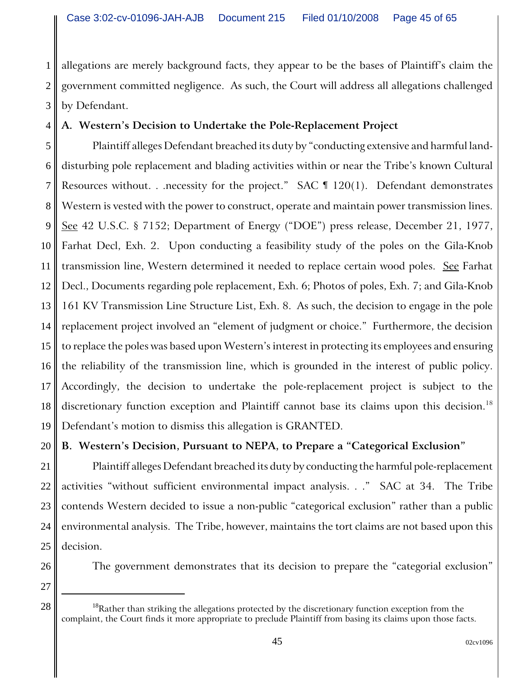1 2 3 allegations are merely background facts, they appear to be the bases of Plaintiff's claim the government committed negligence. As such, the Court will address all allegations challenged by Defendant.

# **A. Western's Decision to Undertake the Pole-Replacement Project**

5 6 7 8 9 10 11 12 13 14 15 16 17 18 19 Plaintiff alleges Defendant breached its duty by "conducting extensive and harmful landdisturbing pole replacement and blading activities within or near the Tribe's known Cultural Resources without. . .necessity for the project."  $SAC \text{ } \text{T}$  120(1). Defendant demonstrates Western is vested with the power to construct, operate and maintain power transmission lines. See 42 U.S.C. § 7152; Department of Energy ("DOE") press release, December 21, 1977, Farhat Decl, Exh. 2. Upon conducting a feasibility study of the poles on the Gila-Knob transmission line, Western determined it needed to replace certain wood poles. See Farhat Decl., Documents regarding pole replacement, Exh. 6; Photos of poles, Exh. 7; and Gila-Knob 161 KV Transmission Line Structure List, Exh. 8. As such, the decision to engage in the pole replacement project involved an "element of judgment or choice." Furthermore, the decision to replace the poles was based upon Western's interest in protecting its employees and ensuring the reliability of the transmission line, which is grounded in the interest of public policy. Accordingly, the decision to undertake the pole-replacement project is subject to the discretionary function exception and Plaintiff cannot base its claims upon this decision.<sup>18</sup> Defendant's motion to dismiss this allegation is GRANTED.

20 **B. Western's Decision, Pursuant to NEPA, to Prepare a "Categorical Exclusion"** 

21 22 23 24 25 Plaintiff alleges Defendant breached its duty by conducting the harmful pole-replacement activities "without sufficient environmental impact analysis. . ." SAC at 34. The Tribe contends Western decided to issue a non-public "categorical exclusion" rather than a public environmental analysis. The Tribe, however, maintains the tort claims are not based upon this decision.

26 27

4

The government demonstrates that its decision to prepare the "categorial exclusion"

 $28 \parallel$  <sup>18</sup>Rather than striking the allegations protected by the discretionary function exception from the complaint, the Court finds it more appropriate to preclude Plaintiff from basing its claims upon those facts.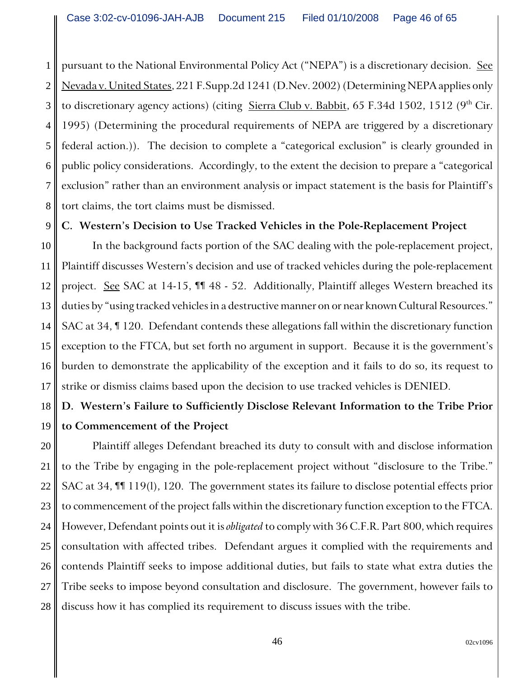1 2 3 4 5 6 7 8 pursuant to the National Environmental Policy Act ("NEPA") is a discretionary decision. See Nevada v. United States, 221 F.Supp.2d 1241 (D.Nev. 2002) (Determining NEPA applies only to discretionary agency actions) (citing  $Sierra Club v. Babbit$ , 65 F.34d 1502, 1512 (9<sup>th</sup> Cir. 1995) (Determining the procedural requirements of NEPA are triggered by a discretionary federal action.)). The decision to complete a "categorical exclusion" is clearly grounded in public policy considerations. Accordingly, to the extent the decision to prepare a "categorical exclusion" rather than an environment analysis or impact statement is the basis for Plaintiff's tort claims, the tort claims must be dismissed.

**C. Western's Decision to Use Tracked Vehicles in the Pole-Replacement Project**

9

10 11 12 13 14 15 16 17 In the background facts portion of the SAC dealing with the pole-replacement project, Plaintiff discusses Western's decision and use of tracked vehicles during the pole-replacement project. See SAC at 14-15, III 48 - 52. Additionally, Plaintiff alleges Western breached its duties by "using tracked vehicles in a destructive manner on or near known Cultural Resources." SAC at 34, ¶ 120. Defendant contends these allegations fall within the discretionary function exception to the FTCA, but set forth no argument in support. Because it is the government's burden to demonstrate the applicability of the exception and it fails to do so, its request to strike or dismiss claims based upon the decision to use tracked vehicles is DENIED.

### 18 19 **D. Western's Failure to Sufficiently Disclose Relevant Information to the Tribe Prior to Commencement of the Project**

20 21 22 23 24 25 26 27 28 Plaintiff alleges Defendant breached its duty to consult with and disclose information to the Tribe by engaging in the pole-replacement project without "disclosure to the Tribe." SAC at 34, ¶¶ 119(l), 120. The government states its failure to disclose potential effects prior to commencement of the project falls within the discretionary function exception to the FTCA. However, Defendant points out it is *obligated* to comply with 36 C.F.R. Part 800, which requires consultation with affected tribes. Defendant argues it complied with the requirements and contends Plaintiff seeks to impose additional duties, but fails to state what extra duties the Tribe seeks to impose beyond consultation and disclosure. The government, however fails to discuss how it has complied its requirement to discuss issues with the tribe.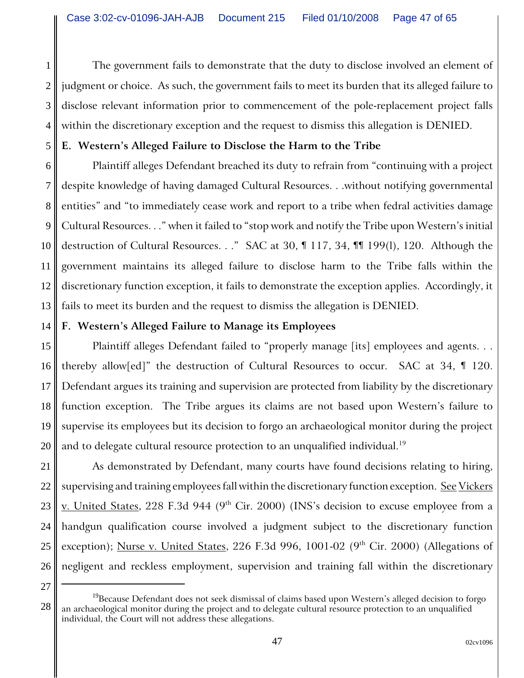The government fails to demonstrate that the duty to disclose involved an element of judgment or choice. As such, the government fails to meet its burden that its alleged failure to disclose relevant information prior to commencement of the pole-replacement project falls within the discretionary exception and the request to dismiss this allegation is DENIED.

# **E. Western's Alleged Failure to Disclose the Harm to the Tribe**

6 7 8 9 10 11 12 13 Plaintiff alleges Defendant breached its duty to refrain from "continuing with a project despite knowledge of having damaged Cultural Resources. . .without notifying governmental entities" and "to immediately cease work and report to a tribe when fedral activities damage Cultural Resources. . ." when it failed to "stop work and notify the Tribe upon Western's initial destruction of Cultural Resources. . ." SAC at 30, ¶ 117, 34, ¶¶ 199(l), 120. Although the government maintains its alleged failure to disclose harm to the Tribe falls within the discretionary function exception, it fails to demonstrate the exception applies. Accordingly, it fails to meet its burden and the request to dismiss the allegation is DENIED.

# **F. Western's Alleged Failure to Manage its Employees**

15 16 17 18 19 20 Plaintiff alleges Defendant failed to "properly manage [its] employees and agents. . . thereby allow[ed]" the destruction of Cultural Resources to occur. SAC at 34, ¶ 120. Defendant argues its training and supervision are protected from liability by the discretionary function exception. The Tribe argues its claims are not based upon Western's failure to supervise its employees but its decision to forgo an archaeological monitor during the project and to delegate cultural resource protection to an unqualified individual.<sup>19</sup>

21 22 23 24 25 26 As demonstrated by Defendant, many courts have found decisions relating to hiring, supervising and training employees fall within the discretionary function exception. See Vickers v. United States, 228 F.3d 944 (9<sup>th</sup> Cir. 2000) (INS's decision to excuse employee from a handgun qualification course involved a judgment subject to the discretionary function exception); Nurse v. United States, 226 F.3d 996, 1001-02 (9<sup>th</sup> Cir. 2000) (Allegations of negligent and reckless employment, supervision and training fall within the discretionary

27

1

2

3

4

5

<sup>28</sup>  $^{19}$ Because Defendant does not seek dismissal of claims based upon Western's alleged decision to forgo an archaeological monitor during the project and to delegate cultural resource protection to an unqualified individual, the Court will not address these allegations.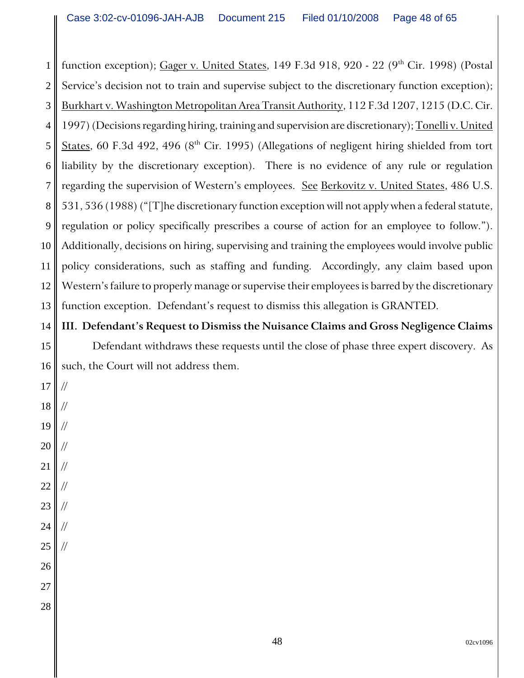1 2 3 4 5 6 7 8 9 10 11 12 13 function exception); Gager v. United States, 149 F.3d 918, 920 - 22 (9<sup>th</sup> Cir. 1998) (Postal Service's decision not to train and supervise subject to the discretionary function exception); Burkhart v. Washington Metropolitan Area Transit Authority, 112 F.3d 1207, 1215 (D.C. Cir. 1997) (Decisions regarding hiring, training and supervision are discretionary); Tonelli v. United States, 60 F.3d 492, 496 ( $8<sup>th</sup>$  Cir. 1995) (Allegations of negligent hiring shielded from tort liability by the discretionary exception). There is no evidence of any rule or regulation regarding the supervision of Western's employees. See Berkovitz v. United States, 486 U.S. 531, 536 (1988) ("[T]he discretionary function exception will not apply when a federal statute, regulation or policy specifically prescribes a course of action for an employee to follow."). Additionally, decisions on hiring, supervising and training the employees would involve public policy considerations, such as staffing and funding. Accordingly, any claim based upon Western's failure to properly manage or supervise their employees is barred by the discretionary function exception. Defendant's request to dismiss this allegation is GRANTED.

14 **III. Defendant's Request to Dismiss the Nuisance Claims and Gross Negligence Claims**

15 16 Defendant withdraws these requests until the close of phase three expert discovery. As such, the Court will not address them.

- 17 18 19 20 // // // //
- 21 //
- 22 //
- 23 //
- 24 //
- 25 //
- 26
- 27
- 28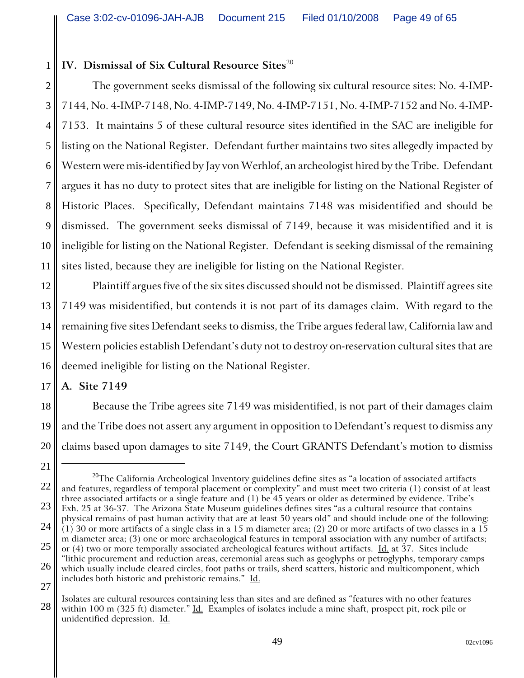# **IV. Dismissal of Six Cultural Resource Sites**<sup>20</sup>

2 3 4 5 6 7 8 9 10 11 The government seeks dismissal of the following six cultural resource sites: No. 4-IMP-7144, No. 4-IMP-7148, No. 4-IMP-7149, No. 4-IMP-7151, No. 4-IMP-7152 and No. 4-IMP-7153. It maintains 5 of these cultural resource sites identified in the SAC are ineligible for listing on the National Register. Defendant further maintains two sites allegedly impacted by Western were mis-identified by Jay von Werhlof, an archeologist hired by the Tribe. Defendant argues it has no duty to protect sites that are ineligible for listing on the National Register of Historic Places. Specifically, Defendant maintains 7148 was misidentified and should be dismissed. The government seeks dismissal of 7149, because it was misidentified and it is ineligible for listing on the National Register. Defendant is seeking dismissal of the remaining sites listed, because they are ineligible for listing on the National Register.

12 13 14 15 16 Plaintiff argues five of the six sites discussed should not be dismissed. Plaintiff agrees site 7149 was misidentified, but contends it is not part of its damages claim. With regard to the remaining five sites Defendant seeks to dismiss, the Tribe argues federal law, California law and Western policies establish Defendant's duty not to destroy on-reservation cultural sites that are deemed ineligible for listing on the National Register.

**A. Site 7149**

17

21

1

18 19 20 Because the Tribe agrees site 7149 was misidentified, is not part of their damages claim and the Tribe does not assert any argument in opposition to Defendant's request to dismiss any claims based upon damages to site 7149, the Court GRANTS Defendant's motion to dismiss

<sup>22</sup> 23 24 25 26 27  $^{20}$ The California Archeological Inventory guidelines define sites as "a location of associated artifacts and features, regardless of temporal placement or complexity" and must meet two criteria (1) consist of at least three associated artifacts or a single feature and (1) be 45 years or older as determined by evidence. Tribe's Exh. 25 at 36-37. The Arizona State Museum guidelines defines sites "as a cultural resource that contains physical remains of past human activity that are at least 50 years old" and should include one of the following:  $(1)$  30 or more artifacts of a single class in a 15 m diameter area; (2) 20 or more artifacts of two classes in a 15 m diameter area; (3) one or more archaeological features in temporal association with any number of artifacts; or  $(4)$  two or more temporally associated archeological features without artifacts. Id. at 37. Sites include "lithic procurement and reduction areas, ceremonial areas such as geoglyphs or petroglyphs, temporary camps which usually include cleared circles, foot paths or trails, sherd scatters, historic and multicomponent, which includes both historic and prehistoric remains." Id.

<sup>28</sup> Isolates are cultural resources containing less than sites and are defined as "features with no other features within 100 m (325 ft) diameter."  $\underline{Id}$ . Examples of isolates include a mine shaft, prospect pit, rock pile or unidentified depression. Id.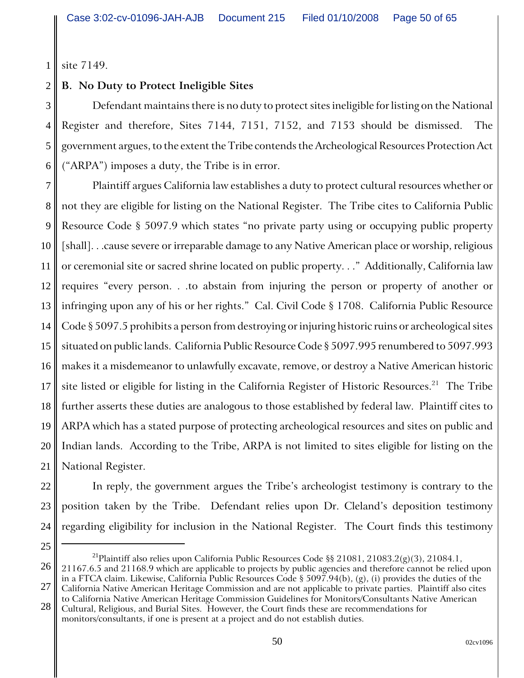1 site 7149.

4

25

#### 2 **B. No Duty to Protect Ineligible Sites**

3 5 6 Defendant maintains there is no duty to protect sites ineligible for listing on the National Register and therefore, Sites 7144, 7151, 7152, and 7153 should be dismissed. The government argues, to the extent the Tribe contends the Archeological Resources Protection Act ("ARPA") imposes a duty, the Tribe is in error.

7 8 9 10 11 12 13 14 15 16 17 18 19 20 21 Plaintiff argues California law establishes a duty to protect cultural resources whether or not they are eligible for listing on the National Register. The Tribe cites to California Public Resource Code § 5097.9 which states "no private party using or occupying public property [shall]. . .cause severe or irreparable damage to any Native American place or worship, religious or ceremonial site or sacred shrine located on public property. . ." Additionally, California law requires "every person. . .to abstain from injuring the person or property of another or infringing upon any of his or her rights." Cal. Civil Code § 1708. California Public Resource Code § 5097.5 prohibits a person from destroying or injuring historic ruins or archeological sites situated on public lands. California Public Resource Code § 5097.995 renumbered to 5097.993 makes it a misdemeanor to unlawfully excavate, remove, or destroy a Native American historic site listed or eligible for listing in the California Register of Historic Resources.<sup>21</sup> The Tribe further asserts these duties are analogous to those established by federal law. Plaintiff cites to ARPA which has a stated purpose of protecting archeological resources and sites on public and Indian lands. According to the Tribe, ARPA is not limited to sites eligible for listing on the National Register.

22 23 24 In reply, the government argues the Tribe's archeologist testimony is contrary to the position taken by the Tribe. Defendant relies upon Dr. Cleland's deposition testimony regarding eligibility for inclusion in the National Register. The Court finds this testimony

<sup>&</sup>lt;sup>21</sup>Plaintiff also relies upon California Public Resources Code §§ 21081, 21083.2(g)(3), 21084.1,

<sup>26</sup> 27 21167.6.5 and 21168.9 which are applicable to projects by public agencies and therefore cannot be relied upon in a FTCA claim. Likewise, California Public Resources Code § 5097.94(b), (g), (i) provides the duties of the California Native American Heritage Commission and are not applicable to private parties. Plaintiff also cites to California Native American Heritage Commission Guidelines for Monitors/Consultants Native American

<sup>28</sup> Cultural, Religious, and Burial Sites. However, the Court finds these are recommendations for monitors/consultants, if one is present at a project and do not establish duties.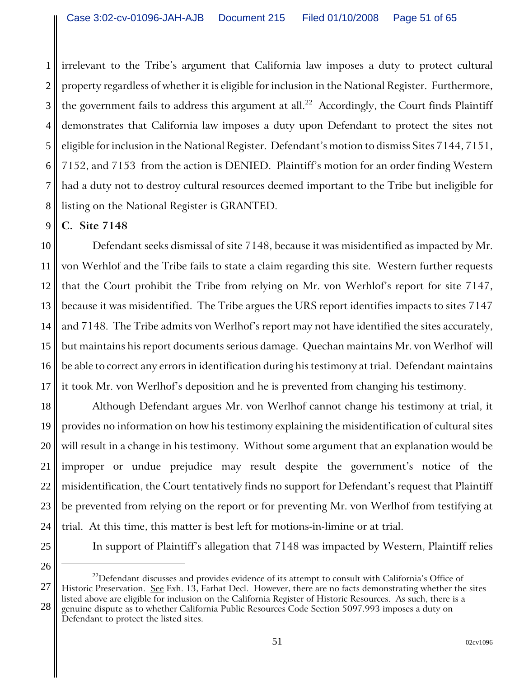1 2 3 4 5 6 7 8 irrelevant to the Tribe's argument that California law imposes a duty to protect cultural property regardless of whether it is eligible for inclusion in the National Register. Furthermore, the government fails to address this argument at all.<sup>22</sup> Accordingly, the Court finds Plaintiff demonstrates that California law imposes a duty upon Defendant to protect the sites not eligible for inclusion in the National Register. Defendant's motion to dismiss Sites 7144, 7151, 7152, and 7153 from the action is DENIED. Plaintiff's motion for an order finding Western had a duty not to destroy cultural resources deemed important to the Tribe but ineligible for listing on the National Register is GRANTED.

9 **C. Site 7148**

10 11 12 13 14 15 16 17 Defendant seeks dismissal of site 7148, because it was misidentified as impacted by Mr. von Werhlof and the Tribe fails to state a claim regarding this site. Western further requests that the Court prohibit the Tribe from relying on Mr. von Werhlof's report for site 7147, because it was misidentified. The Tribe argues the URS report identifies impacts to sites 7147 and 7148. The Tribe admits von Werlhof's report may not have identified the sites accurately, but maintains his report documents serious damage. Quechan maintains Mr. von Werlhof will be able to correct any errors in identification during his testimony at trial. Defendant maintains it took Mr. von Werlhof's deposition and he is prevented from changing his testimony.

18 19 20 21 22 23 24 Although Defendant argues Mr. von Werlhof cannot change his testimony at trial, it provides no information on how his testimony explaining the misidentification of cultural sites will result in a change in his testimony. Without some argument that an explanation would be improper or undue prejudice may result despite the government's notice of the misidentification, the Court tentatively finds no support for Defendant's request that Plaintiff be prevented from relying on the report or for preventing Mr. von Werlhof from testifying at trial. At this time, this matter is best left for motions-in-limine or at trial.

25

In support of Plaintiff's allegation that 7148 was impacted by Western, Plaintiff relies

28

 $^{22}$ Defendant discusses and provides evidence of its attempt to consult with California's Office of Historic Preservation. See Exh. 13, Farhat Decl. However, there are no facts demonstrating whether the sites listed above are eligible for inclusion on the California Register of Historic Resources. As such, there is a genuine dispute as to whether California Public Resources Code Section 5097.993 imposes a duty on

<sup>26</sup> 27

Defendant to protect the listed sites.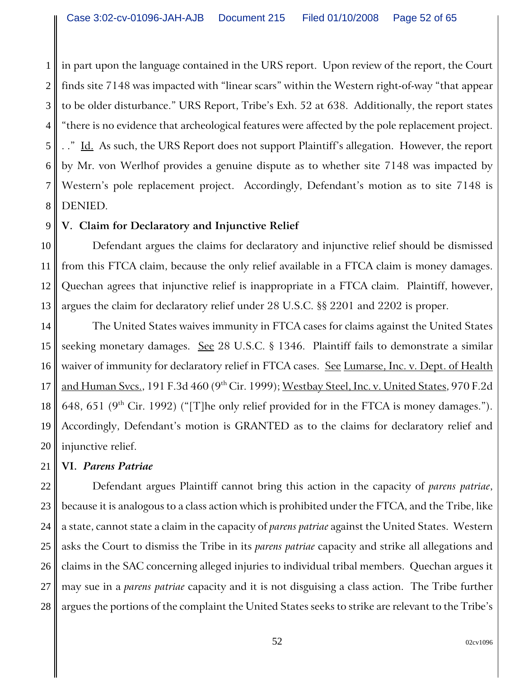1 2 3 4 5 6 7 8 in part upon the language contained in the URS report. Upon review of the report, the Court finds site 7148 was impacted with "linear scars" within the Western right-of-way "that appear to be older disturbance." URS Report, Tribe's Exh. 52 at 638. Additionally, the report states "there is no evidence that archeological features were affected by the pole replacement project. . ." Id. As such, the URS Report does not support Plaintiff's allegation. However, the report by Mr. von Werlhof provides a genuine dispute as to whether site 7148 was impacted by Western's pole replacement project. Accordingly, Defendant's motion as to site 7148 is DENIED.

# **V. Claim for Declaratory and Injunctive Relief**

10 11 12 13 Defendant argues the claims for declaratory and injunctive relief should be dismissed from this FTCA claim, because the only relief available in a FTCA claim is money damages. Quechan agrees that injunctive relief is inappropriate in a FTCA claim. Plaintiff, however, argues the claim for declaratory relief under 28 U.S.C. §§ 2201 and 2202 is proper.

14 15 16 17 18 19 20 The United States waives immunity in FTCA cases for claims against the United States seeking monetary damages. See 28 U.S.C. § 1346. Plaintiff fails to demonstrate a similar waiver of immunity for declaratory relief in FTCA cases. See Lumarse, Inc. v. Dept. of Health and Human Svcs., 191 F.3d 460 (9<sup>th</sup> Cir. 1999); Westbay Steel, Inc. v. United States, 970 F.2d 648, 651 (9<sup>th</sup> Cir. 1992) ("[T]he only relief provided for in the FTCA is money damages."). Accordingly, Defendant's motion is GRANTED as to the claims for declaratory relief and injunctive relief.

#### 21 **VI.** *Parens Patriae*

9

22 23 24 25 26 27 28 Defendant argues Plaintiff cannot bring this action in the capacity of *parens patriae*, because it is analogous to a class action which is prohibited under the FTCA, and the Tribe, like a state, cannot state a claim in the capacity of *parens patriae* against the United States. Western asks the Court to dismiss the Tribe in its *parens patriae* capacity and strike all allegations and claims in the SAC concerning alleged injuries to individual tribal members. Quechan argues it may sue in a *parens patriae* capacity and it is not disguising a class action. The Tribe further argues the portions of the complaint the United States seeks to strike are relevant to the Tribe's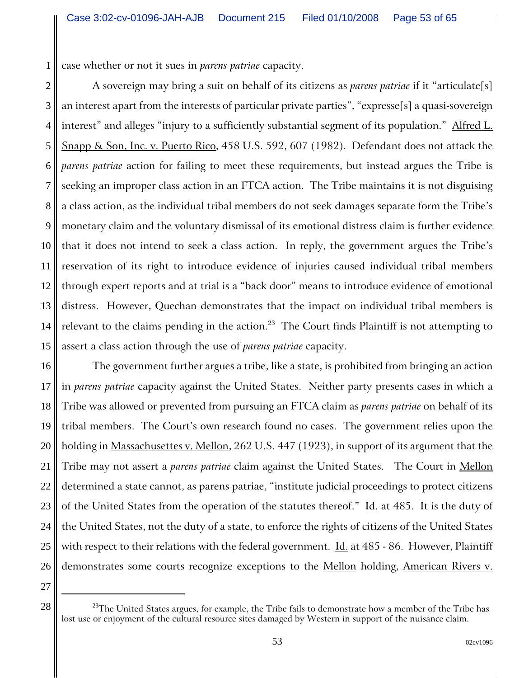1 case whether or not it sues in *parens patriae* capacity.

2 3 4 5 6 7 8 9 10 11 12 13 14 15 A sovereign may bring a suit on behalf of its citizens as *parens patriae* if it "articulate[s] an interest apart from the interests of particular private parties", "expresse[s] a quasi-sovereign interest" and alleges "injury to a sufficiently substantial segment of its population." Alfred L. Snapp & Son, Inc. v. Puerto Rico, 458 U.S. 592, 607 (1982). Defendant does not attack the *parens patriae* action for failing to meet these requirements, but instead argues the Tribe is seeking an improper class action in an FTCA action. The Tribe maintains it is not disguising a class action, as the individual tribal members do not seek damages separate form the Tribe's monetary claim and the voluntary dismissal of its emotional distress claim is further evidence that it does not intend to seek a class action. In reply, the government argues the Tribe's reservation of its right to introduce evidence of injuries caused individual tribal members through expert reports and at trial is a "back door" means to introduce evidence of emotional distress. However, Quechan demonstrates that the impact on individual tribal members is relevant to the claims pending in the action.<sup>23</sup> The Court finds Plaintiff is not attempting to assert a class action through the use of *parens patriae* capacity.

16 17 18 19 20 21 22 23 24 25 26 The government further argues a tribe, like a state, is prohibited from bringing an action in *parens patriae* capacity against the United States. Neither party presents cases in which a Tribe was allowed or prevented from pursuing an FTCA claim as *parens patriae* on behalf of its tribal members. The Court's own research found no cases. The government relies upon the holding in Massachusettes v. Mellon, 262 U.S. 447 (1923), in support of its argument that the Tribe may not assert a *parens patriae* claim against the United States. The Court in Mellon determined a state cannot, as parens patriae, "institute judicial proceedings to protect citizens of the United States from the operation of the statutes thereof." Id. at 485. It is the duty of the United States, not the duty of a state, to enforce the rights of citizens of the United States with respect to their relations with the federal government. Id. at 485 - 86. However, Plaintiff demonstrates some courts recognize exceptions to the Mellon holding, American Rivers v.

 $28 \parallel$  <sup>23</sup>The United States argues, for example, the Tribe fails to demonstrate how a member of the Tribe has lost use or enjoyment of the cultural resource sites damaged by Western in support of the nuisance claim.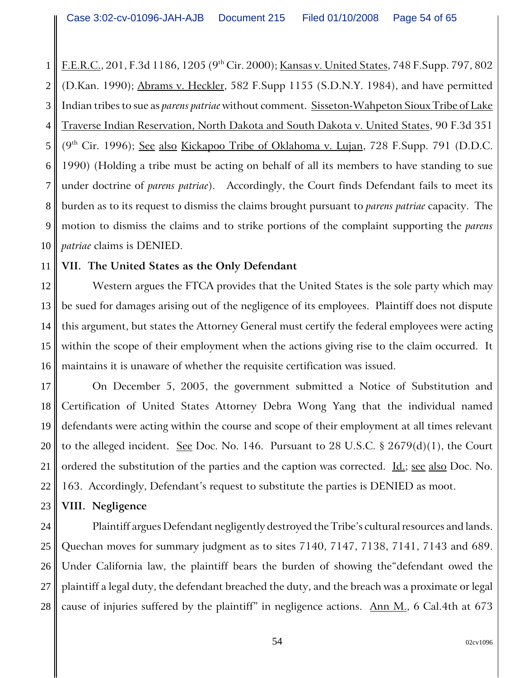1 2 3 4 5 6 7 8 9 10 F.E.R.C., 201, F.3d 1186, 1205 (9th Cir. 2000); Kansas v. United States, 748 F.Supp. 797, 802 (D.Kan. 1990); Abrams v. Heckler, 582 F.Supp 1155 (S.D.N.Y. 1984), and have permitted Indian tribes to sue as *parens patriae* without comment. Sisseton-Wahpeton Sioux Tribe of Lake Traverse Indian Reservation, North Dakota and South Dakota v. United States, 90 F.3d 351 (9<sup>th</sup> Cir. 1996); See also Kickapoo Tribe of Oklahoma v. Lujan, 728 F.Supp. 791 (D.D.C. 1990) (Holding a tribe must be acting on behalf of all its members to have standing to sue under doctrine of *parens patriae*). Accordingly, the Court finds Defendant fails to meet its burden as to its request to dismiss the claims brought pursuant to *parens patriae* capacity. The motion to dismiss the claims and to strike portions of the complaint supporting the *parens patriae* claims is DENIED.

#### 11 **VII. The United States as the Only Defendant**

12 13 14 15 16 Western argues the FTCA provides that the United States is the sole party which may be sued for damages arising out of the negligence of its employees. Plaintiff does not dispute this argument, but states the Attorney General must certify the federal employees were acting within the scope of their employment when the actions giving rise to the claim occurred. It maintains it is unaware of whether the requisite certification was issued.

17 18 19 20 21 22 On December 5, 2005, the government submitted a Notice of Substitution and Certification of United States Attorney Debra Wong Yang that the individual named defendants were acting within the course and scope of their employment at all times relevant to the alleged incident. See Doc. No. 146. Pursuant to 28 U.S.C.  $\S$  2679(d)(1), the Court ordered the substitution of the parties and the caption was corrected. <u>Id.; see also</u> Doc. No. 163. Accordingly, Defendant's request to substitute the parties is DENIED as moot.

#### 23 **VIII. Negligence**

24 25 26 27 28 Plaintiff argues Defendant negligently destroyed the Tribe's cultural resources and lands. Quechan moves for summary judgment as to sites 7140, 7147, 7138, 7141, 7143 and 689. Under California law, the plaintiff bears the burden of showing the"defendant owed the plaintiff a legal duty, the defendant breached the duty, and the breach was a proximate or legal cause of injuries suffered by the plaintiff" in negligence actions.  $\Delta$ nn M., 6 Cal.4th at 673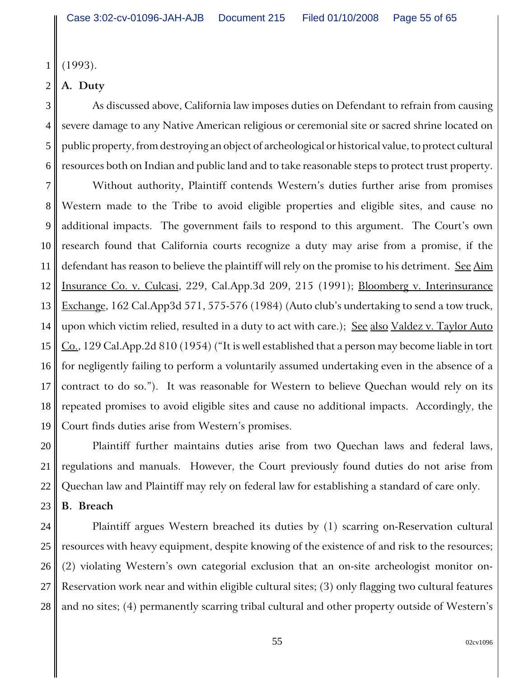1 (1993).

#### 2 **A. Duty**

3

4

5

6

As discussed above, California law imposes duties on Defendant to refrain from causing severe damage to any Native American religious or ceremonial site or sacred shrine located on public property, from destroying an object of archeological or historical value, to protect cultural resources both on Indian and public land and to take reasonable steps to protect trust property.

7 8 9 10 11 12 13 14 15 16 17 18 19 Without authority, Plaintiff contends Western's duties further arise from promises Western made to the Tribe to avoid eligible properties and eligible sites, and cause no additional impacts. The government fails to respond to this argument. The Court's own research found that California courts recognize a duty may arise from a promise, if the defendant has reason to believe the plaintiff will rely on the promise to his detriment. See Aim Insurance Co. v. Culcasi, 229, Cal.App.3d 209, 215 (1991); Bloomberg v. Interinsurance Exchange, 162 Cal.App3d 571, 575-576 (1984) (Auto club's undertaking to send a tow truck, upon which victim relied, resulted in a duty to act with care.); See also Valdez v. Taylor Auto  $Co.$ , 129 Cal.App.2d 810 (1954) ("It is well established that a person may become liable in tort for negligently failing to perform a voluntarily assumed undertaking even in the absence of a contract to do so."). It was reasonable for Western to believe Quechan would rely on its repeated promises to avoid eligible sites and cause no additional impacts. Accordingly, the Court finds duties arise from Western's promises.

20 21 22 Plaintiff further maintains duties arise from two Quechan laws and federal laws, regulations and manuals. However, the Court previously found duties do not arise from Quechan law and Plaintiff may rely on federal law for establishing a standard of care only.

#### 23 **B. Breach**

24 25 26 27 28 Plaintiff argues Western breached its duties by (1) scarring on-Reservation cultural resources with heavy equipment, despite knowing of the existence of and risk to the resources; (2) violating Western's own categorial exclusion that an on-site archeologist monitor on-Reservation work near and within eligible cultural sites; (3) only flagging two cultural features and no sites; (4) permanently scarring tribal cultural and other property outside of Western's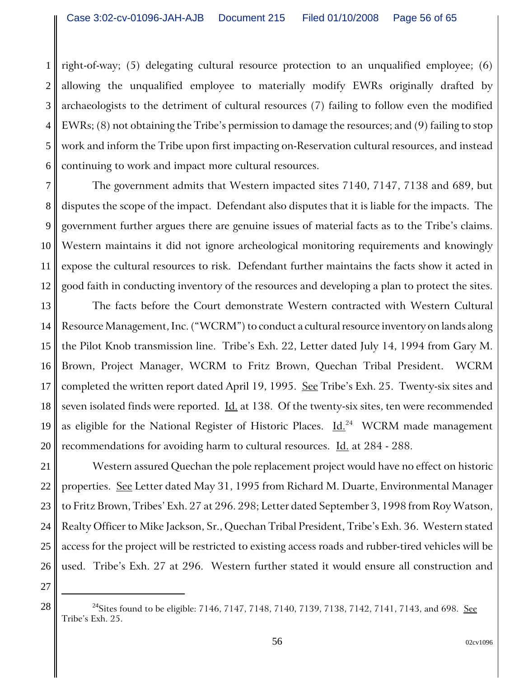1 2 3 4 5 6 right-of-way; (5) delegating cultural resource protection to an unqualified employee; (6) allowing the unqualified employee to materially modify EWRs originally drafted by archaeologists to the detriment of cultural resources (7) failing to follow even the modified EWRs; (8) not obtaining the Tribe's permission to damage the resources; and (9) failing to stop work and inform the Tribe upon first impacting on-Reservation cultural resources, and instead continuing to work and impact more cultural resources.

7 8 9 10 11 12 The government admits that Western impacted sites 7140, 7147, 7138 and 689, but disputes the scope of the impact. Defendant also disputes that it is liable for the impacts. The government further argues there are genuine issues of material facts as to the Tribe's claims. Western maintains it did not ignore archeological monitoring requirements and knowingly expose the cultural resources to risk. Defendant further maintains the facts show it acted in good faith in conducting inventory of the resources and developing a plan to protect the sites.

13 14 15 16 17 18 19 20 The facts before the Court demonstrate Western contracted with Western Cultural Resource Management, Inc. ("WCRM") to conduct a cultural resource inventory on lands along the Pilot Knob transmission line. Tribe's Exh. 22, Letter dated July 14, 1994 from Gary M. Brown, Project Manager, WCRM to Fritz Brown, Quechan Tribal President. WCRM completed the written report dated April 19, 1995. See Tribe's Exh. 25. Twenty-six sites and seven isolated finds were reported. <u>Id.</u> at 138. Of the twenty-six sites, ten were recommended as eligible for the National Register of Historic Places.  $\underline{Id}^{24}$  WCRM made management recommendations for avoiding harm to cultural resources. Id. at 284 - 288.

22 23 24 25 26 Western assured Quechan the pole replacement project would have no effect on historic properties. See Letter dated May 31, 1995 from Richard M. Duarte, Environmental Manager to Fritz Brown, Tribes' Exh. 27 at 296. 298; Letter dated September 3, 1998 from Roy Watson, Realty Officer to Mike Jackson, Sr., Quechan Tribal President, Tribe's Exh. 36. Western stated access for the project will be restricted to existing access roads and rubber-tired vehicles will be used. Tribe's Exh. 27 at 296. Western further stated it would ensure all construction and

27

<sup>28</sup>  $\parallel$  <sup>24</sup>Sites found to be eligible: 7146, 7147, 7148, 7140, 7139, 7138, 7142, 7141, 7143, and 698. <u>See</u> Tribe's Exh. 25.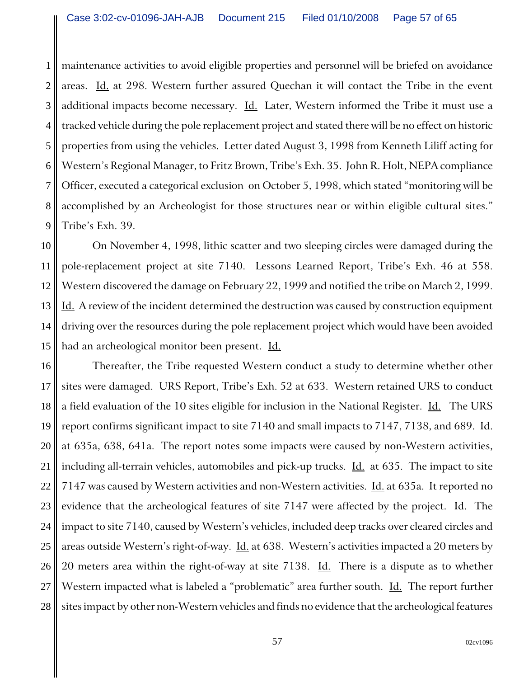1 2 3 4 5 6 7 8 9 maintenance activities to avoid eligible properties and personnel will be briefed on avoidance areas. Id. at 298. Western further assured Quechan it will contact the Tribe in the event additional impacts become necessary.  $\underline{Id}$ . Later, Western informed the Tribe it must use a tracked vehicle during the pole replacement project and stated there will be no effect on historic properties from using the vehicles. Letter dated August 3, 1998 from Kenneth Liliff acting for Western's Regional Manager, to Fritz Brown, Tribe's Exh. 35. John R. Holt, NEPA compliance Officer, executed a categorical exclusion on October 5, 1998, which stated "monitoring will be accomplished by an Archeologist for those structures near or within eligible cultural sites." Tribe's Exh. 39.

10 11 12 13 14 15 On November 4, 1998, lithic scatter and two sleeping circles were damaged during the pole-replacement project at site 7140. Lessons Learned Report, Tribe's Exh. 46 at 558. Western discovered the damage on February 22, 1999 and notified the tribe on March 2, 1999. Id. A review of the incident determined the destruction was caused by construction equipment driving over the resources during the pole replacement project which would have been avoided had an archeological monitor been present. Id.

16 17 18 19 20 21 22 23 24 25 26 27 28 Thereafter, the Tribe requested Western conduct a study to determine whether other sites were damaged. URS Report, Tribe's Exh. 52 at 633. Western retained URS to conduct a field evaluation of the 10 sites eligible for inclusion in the National Register. Id. The URS report confirms significant impact to site 7140 and small impacts to 7147, 7138, and 689. Id. at 635a, 638, 641a. The report notes some impacts were caused by non-Western activities, including all-terrain vehicles, automobiles and pick-up trucks.  $\underline{Id}$  at 635. The impact to site 7147 was caused by Western activities and non-Western activities. Id. at 635a. It reported no evidence that the archeological features of site 7147 were affected by the project. *Id.* The impact to site 7140, caused by Western's vehicles, included deep tracks over cleared circles and areas outside Western's right-of-way. Id. at 638. Western's activities impacted a 20 meters by 20 meters area within the right-of-way at site 7138. Id. There is a dispute as to whether Western impacted what is labeled a "problematic" area further south. Id. The report further sites impact by other non-Western vehicles and finds no evidence that the archeological features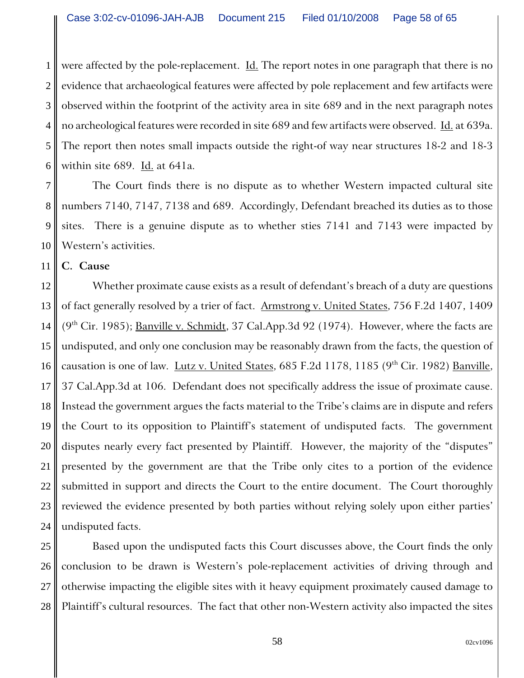1 2 3 4 5 6 were affected by the pole-replacement. <u>Id.</u> The report notes in one paragraph that there is no evidence that archaeological features were affected by pole replacement and few artifacts were observed within the footprint of the activity area in site 689 and in the next paragraph notes no archeological features were recorded in site 689 and few artifacts were observed. Id. at 639a. The report then notes small impacts outside the right-of way near structures 18-2 and 18-3 within site 689. Id. at 641a.

7 8 9 10 The Court finds there is no dispute as to whether Western impacted cultural site numbers 7140, 7147, 7138 and 689. Accordingly, Defendant breached its duties as to those sites. There is a genuine dispute as to whether sties 7141 and 7143 were impacted by Western's activities.

11 **C. Cause**

12 13 14 15 16 17 18 19 20 21 22 23 24 Whether proximate cause exists as a result of defendant's breach of a duty are questions of fact generally resolved by a trier of fact. Armstrong v. United States, 756 F.2d 1407, 1409  $(9<sup>th</sup> Cir. 1985)$ ; <u>Banville v. Schmidt</u>, 37 Cal.App.3d 92 (1974). However, where the facts are undisputed, and only one conclusion may be reasonably drawn from the facts, the question of causation is one of law. Lutz v. United States, 685 F.2d 1178, 1185 (9<sup>th</sup> Cir. 1982) Banville, 37 Cal.App.3d at 106. Defendant does not specifically address the issue of proximate cause. Instead the government argues the facts material to the Tribe's claims are in dispute and refers the Court to its opposition to Plaintiff's statement of undisputed facts. The government disputes nearly every fact presented by Plaintiff. However, the majority of the "disputes" presented by the government are that the Tribe only cites to a portion of the evidence submitted in support and directs the Court to the entire document. The Court thoroughly reviewed the evidence presented by both parties without relying solely upon either parties' undisputed facts.

25 26 27 28 Based upon the undisputed facts this Court discusses above, the Court finds the only conclusion to be drawn is Western's pole-replacement activities of driving through and otherwise impacting the eligible sites with it heavy equipment proximately caused damage to Plaintiff's cultural resources. The fact that other non-Western activity also impacted the sites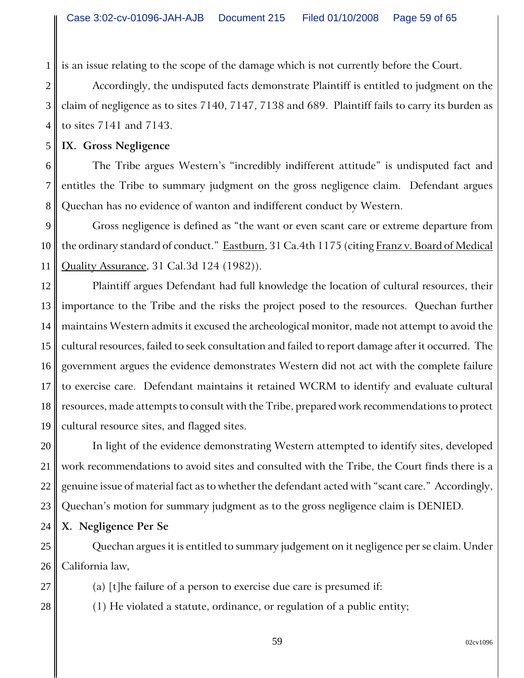is an issue relating to the scope of the damage which is not currently before the Court.

Accordingly, the undisputed facts demonstrate Plaintiff is entitled to judgment on the claim of negligence as to sites 7140, 7147, 7138 and 689. Plaintiff fails to carry its burden as to sites 7141 and 7143.

**IX. Gross Negligence**

1

2

3

4

5

6 7 8 The Tribe argues Western's "incredibly indifferent attitude" is undisputed fact and entitles the Tribe to summary judgment on the gross negligence claim. Defendant argues Quechan has no evidence of wanton and indifferent conduct by Western.

9 10 11 Gross negligence is defined as "the want or even scant care or extreme departure from the ordinary standard of conduct." Eastburn, 31 Ca.4th 1175 (citing Franz v. Board of Medical Quality Assurance, 31 Cal.3d 124 (1982)).

12 13 14 15 16 17 18 19 Plaintiff argues Defendant had full knowledge the location of cultural resources, their importance to the Tribe and the risks the project posed to the resources. Quechan further maintains Western admits it excused the archeological monitor, made not attempt to avoid the cultural resources, failed to seek consultation and failed to report damage after it occurred. The government argues the evidence demonstrates Western did not act with the complete failure to exercise care. Defendant maintains it retained WCRM to identify and evaluate cultural resources, made attempts to consult with the Tribe, prepared work recommendations to protect cultural resource sites, and flagged sites.

20 21 22 23 In light of the evidence demonstrating Western attempted to identify sites, developed work recommendations to avoid sites and consulted with the Tribe, the Court finds there is a genuine issue of material fact as to whether the defendant acted with "scant care." Accordingly, Quechan's motion for summary judgment as to the gross negligence claim is DENIED.

24 **X. Negligence Per Se**

25

27

28

26 Quechan argues it is entitled to summary judgement on it negligence per se claim. Under California law,

- (a) [t]he failure of a person to exercise due care is presumed if:
- (1) He violated a statute, ordinance, or regulation of a public entity;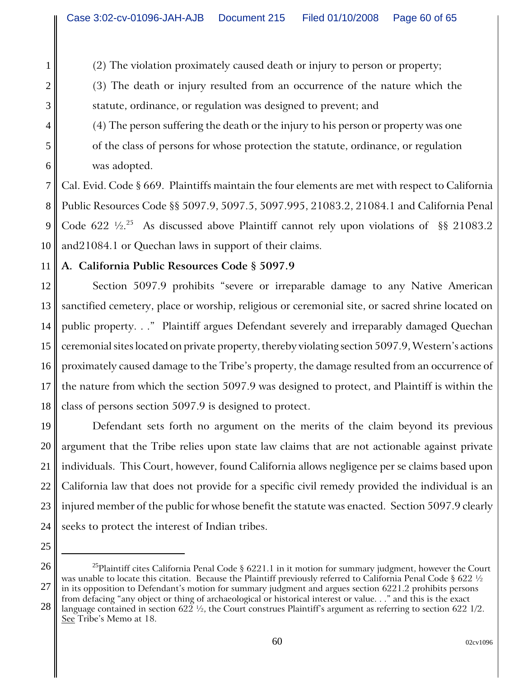(2) The violation proximately caused death or injury to person or property;

(3) The death or injury resulted from an occurrence of the nature which the statute, ordinance, or regulation was designed to prevent; and

(4) The person suffering the death or the injury to his person or property was one of the class of persons for whose protection the statute, ordinance, or regulation was adopted.

7 8 9 10 Cal. Evid. Code § 669. Plaintiffs maintain the four elements are met with respect to California Public Resources Code §§ 5097.9, 5097.5, 5097.995, 21083.2, 21084.1 and California Penal Code 622  $\frac{1}{2}$ .<sup>25</sup> As discussed above Plaintiff cannot rely upon violations of §§ 21083.2 and21084.1 or Quechan laws in support of their claims.

11 **A. California Public Resources Code § 5097.9**

12 13 14 15 16 17 18 Section 5097.9 prohibits "severe or irreparable damage to any Native American sanctified cemetery, place or worship, religious or ceremonial site, or sacred shrine located on public property. . ." Plaintiff argues Defendant severely and irreparably damaged Quechan ceremonial sites located on private property, thereby violating section 5097.9, Western's actions proximately caused damage to the Tribe's property, the damage resulted from an occurrence of the nature from which the section 5097.9 was designed to protect, and Plaintiff is within the class of persons section 5097.9 is designed to protect.

19 20 21 22 23 24 Defendant sets forth no argument on the merits of the claim beyond its previous argument that the Tribe relies upon state law claims that are not actionable against private individuals. This Court, however, found California allows negligence per se claims based upon California law that does not provide for a specific civil remedy provided the individual is an injured member of the public for whose benefit the statute was enacted. Section 5097.9 clearly seeks to protect the interest of Indian tribes.

25 26

1

2

3

4

5

<sup>27</sup> <sup>25</sup>Plaintiff cites California Penal Code § 6221.1 in it motion for summary judgment, however the Court was unable to locate this citation. Because the Plaintiff previously referred to California Penal Code § 622 ½ in its opposition to Defendant's motion for summary judgment and argues section 6221.2 prohibits persons from defacing "any object or thing of archaeological or historical interest or value. . ." and this is the exact

<sup>28</sup> language contained in section 622 ½, the Court construes Plaintiff's argument as referring to section 622 1/2. See Tribe's Memo at 18.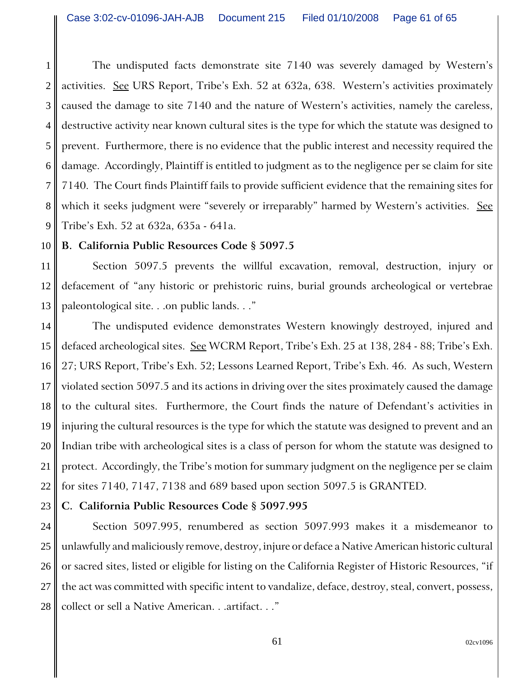1 2 3 4 5 6 7 8 9 The undisputed facts demonstrate site 7140 was severely damaged by Western's activities. See URS Report, Tribe's Exh. 52 at 632a, 638. Western's activities proximately caused the damage to site 7140 and the nature of Western's activities, namely the careless, destructive activity near known cultural sites is the type for which the statute was designed to prevent. Furthermore, there is no evidence that the public interest and necessity required the damage. Accordingly, Plaintiff is entitled to judgment as to the negligence per se claim for site 7140. The Court finds Plaintiff fails to provide sufficient evidence that the remaining sites for which it seeks judgment were "severely or irreparably" harmed by Western's activities. See Tribe's Exh. 52 at 632a, 635a - 641a.

#### 10 **B. California Public Resources Code § 5097.5**

11 12 13 Section 5097.5 prevents the willful excavation, removal, destruction, injury or defacement of "any historic or prehistoric ruins, burial grounds archeological or vertebrae paleontological site. . .on public lands. . ."

14 15 16 17 18 19 20 21 22 The undisputed evidence demonstrates Western knowingly destroyed, injured and defaced archeological sites. See WCRM Report, Tribe's Exh. 25 at 138, 284 - 88; Tribe's Exh. 27; URS Report, Tribe's Exh. 52; Lessons Learned Report, Tribe's Exh. 46. As such, Western violated section 5097.5 and its actions in driving over the sites proximately caused the damage to the cultural sites. Furthermore, the Court finds the nature of Defendant's activities in injuring the cultural resources is the type for which the statute was designed to prevent and an Indian tribe with archeological sites is a class of person for whom the statute was designed to protect. Accordingly, the Tribe's motion for summary judgment on the negligence per se claim for sites 7140, 7147, 7138 and 689 based upon section 5097.5 is GRANTED.

#### 23 **C. California Public Resources Code § 5097.995**

24 25 26 27 28 Section 5097.995, renumbered as section 5097.993 makes it a misdemeanor to unlawfully and maliciously remove, destroy, injure or deface a Native American historic cultural or sacred sites, listed or eligible for listing on the California Register of Historic Resources, "if the act was committed with specific intent to vandalize, deface, destroy, steal, convert, possess, collect or sell a Native American. . .artifact. . ."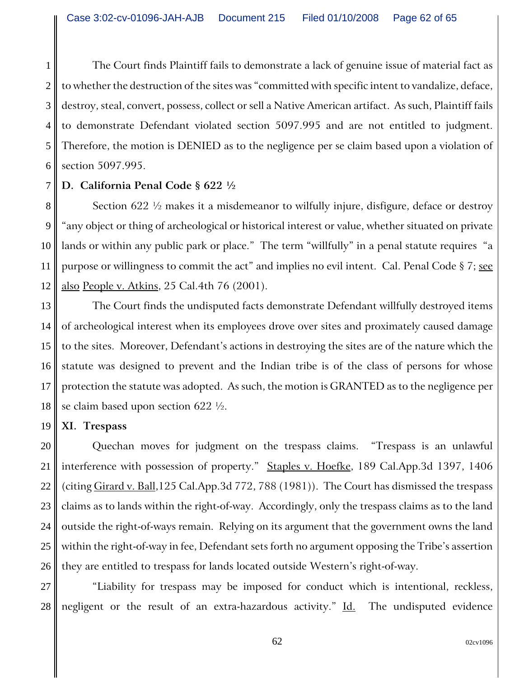1 2 3 4 5 6 The Court finds Plaintiff fails to demonstrate a lack of genuine issue of material fact as to whether the destruction of the sites was "committed with specific intent to vandalize, deface, destroy, steal, convert, possess, collect or sell a Native American artifact. As such, Plaintiff fails to demonstrate Defendant violated section 5097.995 and are not entitled to judgment. Therefore, the motion is DENIED as to the negligence per se claim based upon a violation of section 5097.995.

#### 7 **D. California Penal Code § 622 ½**

8 9 10 11 12 Section 622 ½ makes it a misdemeanor to wilfully injure, disfigure, deface or destroy "any object or thing of archeological or historical interest or value, whether situated on private lands or within any public park or place." The term "willfully" in a penal statute requires "a purpose or willingness to commit the act" and implies no evil intent. Cal. Penal Code § 7; see also People v. Atkins, 25 Cal.4th 76 (2001).

13 14 15 16 17 18 The Court finds the undisputed facts demonstrate Defendant willfully destroyed items of archeological interest when its employees drove over sites and proximately caused damage to the sites. Moreover, Defendant's actions in destroying the sites are of the nature which the statute was designed to prevent and the Indian tribe is of the class of persons for whose protection the statute was adopted. As such, the motion is GRANTED as to the negligence per se claim based upon section 622 ½.

#### 19 **XI. Trespass**

20 21 22 23 24 25 26 Quechan moves for judgment on the trespass claims. "Trespass is an unlawful interference with possession of property." Staples v. Hoefke, 189 Cal.App.3d 1397, 1406 (citing Girard v. Ball,125 Cal.App.3d 772, 788 (1981)). The Court has dismissed the trespass claims as to lands within the right-of-way. Accordingly, only the trespass claims as to the land outside the right-of-ways remain. Relying on its argument that the government owns the land within the right-of-way in fee, Defendant sets forth no argument opposing the Tribe's assertion they are entitled to trespass for lands located outside Western's right-of-way.

27 28 "Liability for trespass may be imposed for conduct which is intentional, reckless, negligent or the result of an extra-hazardous activity." Id. The undisputed evidence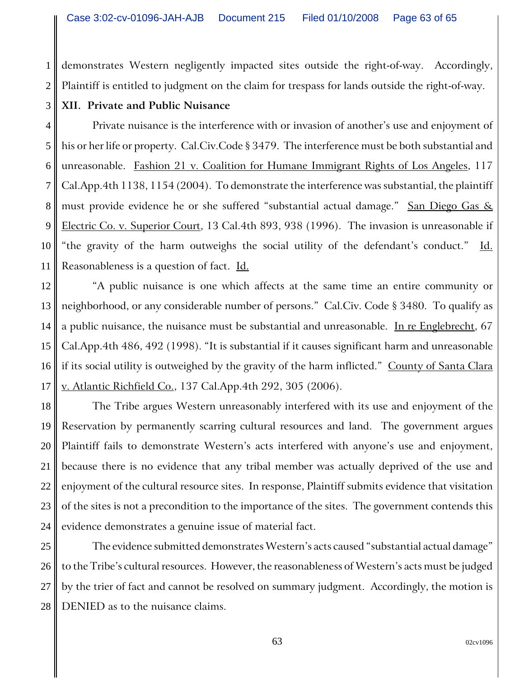2 demonstrates Western negligently impacted sites outside the right-of-way. Accordingly, Plaintiff is entitled to judgment on the claim for trespass for lands outside the right-of-way.

# **XII. Private and Public Nuisance**

1

3

4 5 6 7 8 9 10 11 Private nuisance is the interference with or invasion of another's use and enjoyment of his or her life or property. Cal.Civ.Code § 3479. The interference must be both substantial and unreasonable. Fashion 21 v. Coalition for Humane Immigrant Rights of Los Angeles, 117 Cal.App.4th 1138, 1154 (2004). To demonstrate the interference was substantial, the plaintiff must provide evidence he or she suffered "substantial actual damage." San Diego Gas & Electric Co. v. Superior Court, 13 Cal.4th 893, 938 (1996). The invasion is unreasonable if "the gravity of the harm outweighs the social utility of the defendant's conduct." Id. Reasonableness is a question of fact. Id.

12 13 14 15 16 17 "A public nuisance is one which affects at the same time an entire community or neighborhood, or any considerable number of persons." Cal.Civ. Code § 3480. To qualify as a public nuisance, the nuisance must be substantial and unreasonable. In re Englebrecht, 67 Cal.App.4th 486, 492 (1998). "It is substantial if it causes significant harm and unreasonable if its social utility is outweighed by the gravity of the harm inflicted." County of Santa Clara v. Atlantic Richfield Co., 137 Cal.App.4th 292, 305 (2006).

18 19 20 21 22 23 24 The Tribe argues Western unreasonably interfered with its use and enjoyment of the Reservation by permanently scarring cultural resources and land. The government argues Plaintiff fails to demonstrate Western's acts interfered with anyone's use and enjoyment, because there is no evidence that any tribal member was actually deprived of the use and enjoyment of the cultural resource sites. In response, Plaintiff submits evidence that visitation of the sites is not a precondition to the importance of the sites. The government contends this evidence demonstrates a genuine issue of material fact.

25 26 27 28 The evidence submitted demonstrates Western's acts caused "substantial actual damage" to the Tribe's cultural resources. However, the reasonableness of Western's acts must be judged by the trier of fact and cannot be resolved on summary judgment. Accordingly, the motion is DENIED as to the nuisance claims.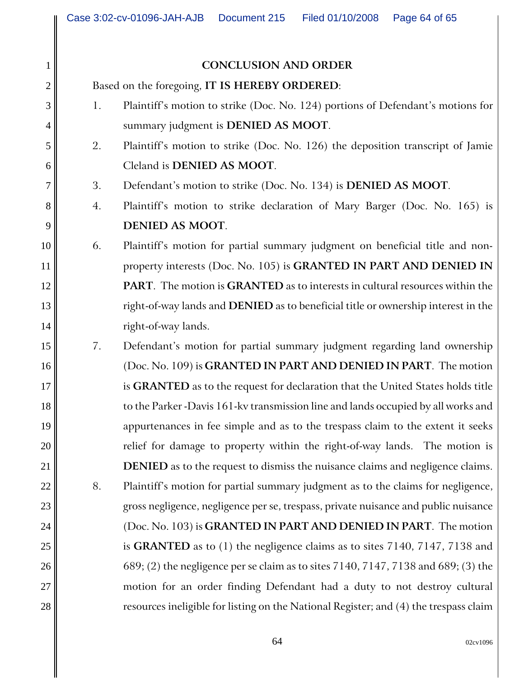### **CONCLUSION AND ORDER**

Based on the foregoing, **IT IS HEREBY ORDERED**:

1

2

3

4

5

6

7

8

9

10

11

12

13

14

15

16

17

18

19

20

21

22

23

24

25

26

27

- 1. Plaintiff's motion to strike (Doc. No. 124) portions of Defendant's motions for summary judgment is **DENIED AS MOOT**.
- 2. Plaintiff's motion to strike (Doc. No. 126) the deposition transcript of Jamie Cleland is **DENIED AS MOOT**.
- 3. Defendant's motion to strike (Doc. No. 134) is **DENIED AS MOOT**.
- 4. Plaintiff's motion to strike declaration of Mary Barger (Doc. No. 165) is **DENIED AS MOOT**.
- 6. Plaintiff's motion for partial summary judgment on beneficial title and nonproperty interests (Doc. No. 105) is **GRANTED IN PART AND DENIED IN PART**. The motion is **GRANTED** as to interests in cultural resources within the right-of-way lands and **DENIED** as to beneficial title or ownership interest in the right-of-way lands.
- 7. Defendant's motion for partial summary judgment regarding land ownership (Doc. No. 109) is **GRANTED IN PART AND DENIED IN PART**. The motion is **GRANTED** as to the request for declaration that the United States holds title to the Parker -Davis 161-kv transmission line and lands occupied by all works and appurtenances in fee simple and as to the trespass claim to the extent it seeks relief for damage to property within the right-of-way lands. The motion is **DENIED** as to the request to dismiss the nuisance claims and negligence claims. 8. Plaintiff's motion for partial summary judgment as to the claims for negligence, gross negligence, negligence per se, trespass, private nuisance and public nuisance (Doc. No. 103) is **GRANTED IN PART AND DENIED IN PART**. The motion is **GRANTED** as to (1) the negligence claims as to sites 7140, 7147, 7138 and 689; (2) the negligence per se claim as to sites 7140, 7147, 7138 and 689; (3) the motion for an order finding Defendant had a duty to not destroy cultural resources ineligible for listing on the National Register; and (4) the trespass claim